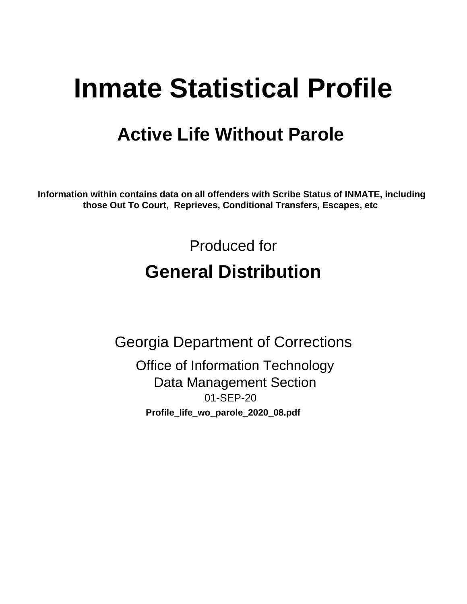# **Inmate Statistical Profile**

# **Active Life Without Parole**

Information within contains data on all offenders with Scribe Status of INMATE, including those Out To Court, Reprieves, Conditional Transfers, Escapes, etc

> Produced for **General Distribution**

**Georgia Department of Corrections Office of Information Technology Data Management Section** 01-SEP-20 Profile\_life\_wo\_parole\_2020\_08.pdf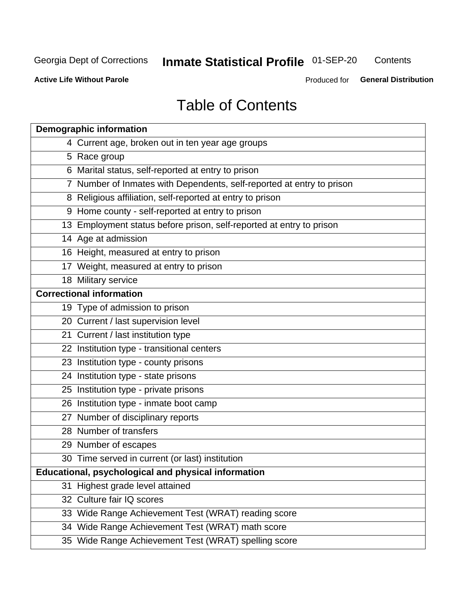# Inmate Statistical Profile 01-SEP-20

Contents

**Active Life Without Parole** 

Produced for General Distribution

# **Table of Contents**

|    | <b>Demographic information</b>                                        |
|----|-----------------------------------------------------------------------|
|    | 4 Current age, broken out in ten year age groups                      |
|    | 5 Race group                                                          |
|    | 6 Marital status, self-reported at entry to prison                    |
|    | 7 Number of Inmates with Dependents, self-reported at entry to prison |
|    | 8 Religious affiliation, self-reported at entry to prison             |
|    | 9 Home county - self-reported at entry to prison                      |
|    | 13 Employment status before prison, self-reported at entry to prison  |
|    | 14 Age at admission                                                   |
|    | 16 Height, measured at entry to prison                                |
|    | 17 Weight, measured at entry to prison                                |
|    | 18 Military service                                                   |
|    | <b>Correctional information</b>                                       |
|    | 19 Type of admission to prison                                        |
|    | 20 Current / last supervision level                                   |
|    | 21 Current / last institution type                                    |
|    | 22 Institution type - transitional centers                            |
|    | 23 Institution type - county prisons                                  |
|    | 24 Institution type - state prisons                                   |
|    | 25 Institution type - private prisons                                 |
|    | 26 Institution type - inmate boot camp                                |
|    | 27 Number of disciplinary reports                                     |
|    | 28 Number of transfers                                                |
|    | 29 Number of escapes                                                  |
|    | 30 Time served in current (or last) institution                       |
|    | Educational, psychological and physical information                   |
| 31 | Highest grade level attained                                          |
|    | 32 Culture fair IQ scores                                             |
|    | 33 Wide Range Achievement Test (WRAT) reading score                   |
|    | 34 Wide Range Achievement Test (WRAT) math score                      |
|    | 35 Wide Range Achievement Test (WRAT) spelling score                  |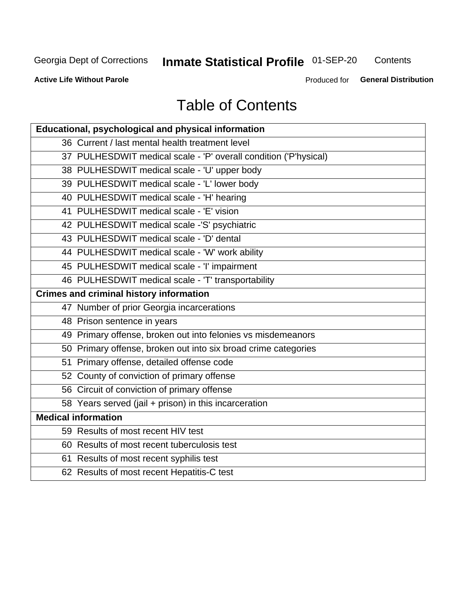# Inmate Statistical Profile 01-SEP-20

Contents

**Active Life Without Parole** 

Produced for General Distribution

# **Table of Contents**

| Educational, psychological and physical information              |
|------------------------------------------------------------------|
| 36 Current / last mental health treatment level                  |
| 37 PULHESDWIT medical scale - 'P' overall condition ('P'hysical) |
| 38 PULHESDWIT medical scale - 'U' upper body                     |
| 39 PULHESDWIT medical scale - 'L' lower body                     |
| 40 PULHESDWIT medical scale - 'H' hearing                        |
| 41 PULHESDWIT medical scale - 'E' vision                         |
| 42 PULHESDWIT medical scale -'S' psychiatric                     |
| 43 PULHESDWIT medical scale - 'D' dental                         |
| 44 PULHESDWIT medical scale - 'W' work ability                   |
| 45 PULHESDWIT medical scale - 'I' impairment                     |
| 46 PULHESDWIT medical scale - 'T' transportability               |
| <b>Crimes and criminal history information</b>                   |
| 47 Number of prior Georgia incarcerations                        |
| 48 Prison sentence in years                                      |
| 49 Primary offense, broken out into felonies vs misdemeanors     |
| 50 Primary offense, broken out into six broad crime categories   |
| 51 Primary offense, detailed offense code                        |
| 52 County of conviction of primary offense                       |
| 56 Circuit of conviction of primary offense                      |
| 58 Years served (jail + prison) in this incarceration            |
| <b>Medical information</b>                                       |
| 59 Results of most recent HIV test                               |
| 60 Results of most recent tuberculosis test                      |
| 61 Results of most recent syphilis test                          |
| 62 Results of most recent Hepatitis-C test                       |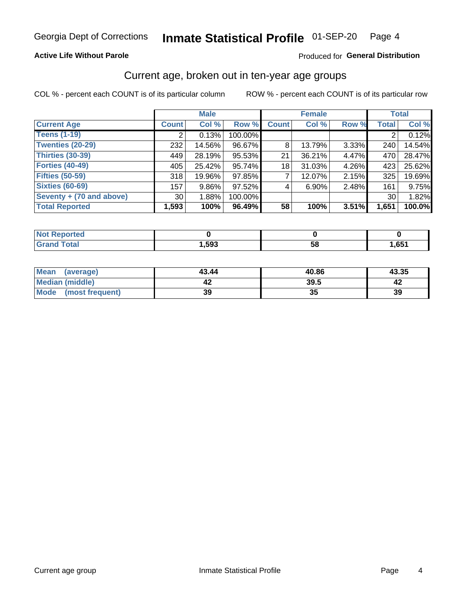#### **Active Life Without Parole**

#### Produced for General Distribution

### Current age, broken out in ten-year age groups

COL % - percent each COUNT is of its particular column

|                          |              | <b>Male</b> |         | <b>Female</b> |          |          | <b>Total</b> |        |
|--------------------------|--------------|-------------|---------|---------------|----------|----------|--------------|--------|
| <b>Current Age</b>       | <b>Count</b> | Col %       | Row %   | <b>Count</b>  | Col %    | Row %    | <b>Total</b> | Col %  |
| <b>Teens (1-19)</b>      |              | 0.13%       | 100.00% |               |          |          |              | 0.12%  |
| <b>Twenties (20-29)</b>  | 232          | 14.56%      | 96.67%  | 8             | 13.79%   | $3.33\%$ | 240          | 14.54% |
| Thirties (30-39)         | 449          | 28.19%      | 95.53%  | 21            | 36.21%   | 4.47%    | 470          | 28.47% |
| <b>Forties (40-49)</b>   | 405          | 25.42%      | 95.74%  | 18            | 31.03%   | 4.26%    | 423          | 25.62% |
| <b>Fifties (50-59)</b>   | 318          | 19.96%      | 97.85%  |               | 12.07%   | 2.15%    | 325          | 19.69% |
| <b>Sixties (60-69)</b>   | 157          | $9.86\%$    | 97.52%  | 4             | $6.90\%$ | 2.48%    | 161          | 9.75%  |
| Seventy + (70 and above) | 30           | 1.88%       | 100.00% |               |          |          | 30           | 1.82%  |
| <b>Total Reported</b>    | 1,593        | 100%        | 96.49%  | 58            | 100%     | $3.51\%$ | 1,651        | 100.0% |

| <b><i>College Hotel</i></b> |      |          |      |
|-----------------------------|------|----------|------|
| $f \wedge f \wedge f$       | ,593 | co<br>วด | ,651 |

| Mean<br>(average)    | 43.44 | 40.86 | 43.35 |
|----------------------|-------|-------|-------|
| Median (middle)      |       | 39.5  |       |
| Mode (most frequent) | 39    | JJ    | 39    |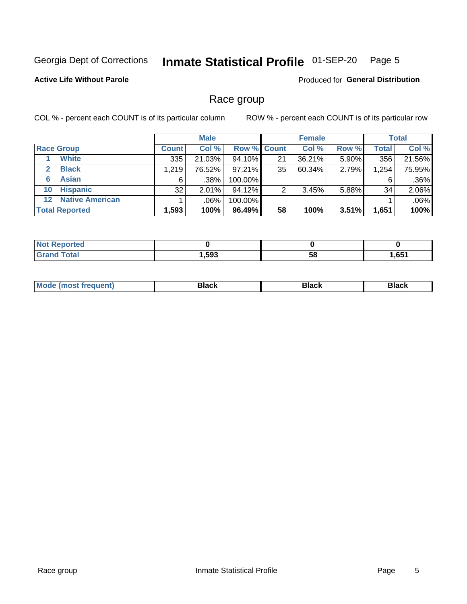#### Inmate Statistical Profile 01-SEP-20 Page 5

#### **Active Life Without Parole**

**Produced for General Distribution** 

### Race group

COL % - percent each COUNT is of its particular column

|                       |                        |              | <b>Male</b> |           |                    | <b>Female</b> |       |              | <b>Total</b> |  |
|-----------------------|------------------------|--------------|-------------|-----------|--------------------|---------------|-------|--------------|--------------|--|
|                       | <b>Race Group</b>      | <b>Count</b> | Col %       |           | <b>Row % Count</b> | Col %         | Row % | <b>Total</b> | Col %        |  |
|                       | <b>White</b>           | 335          | 21.03%      | 94.10%    | 21                 | 36.21%        | 5.90% | 356          | 21.56%       |  |
| $\mathbf{2}$          | <b>Black</b>           | 1.219        | 76.52%      | $97.21\%$ | 35                 | 60.34%        | 2.79% | 1,254        | 75.95%       |  |
| 6                     | <b>Asian</b>           | 6            | .38%        | 100.00%   |                    |               |       | 6            | .36%         |  |
| 10                    | <b>Hispanic</b>        | 32           | 2.01%       | 94.12%    | ◠                  | 3.45%         | 5.88% | 34           | 2.06%        |  |
| $12 \,$               | <b>Native American</b> |              | .06%        | 100.00%   |                    |               |       |              | .06%         |  |
| <b>Total Reported</b> |                        | 1,593        | 100%        | 96.49%    | 58                 | 100%          | 3.51% | 1,651        | 100%         |  |

| <b>orted</b> |      |    |      |
|--------------|------|----|------|
| <b>Total</b> | ,593 | 58 | .651 |

| M | - - - |  |
|---|-------|--|
|   |       |  |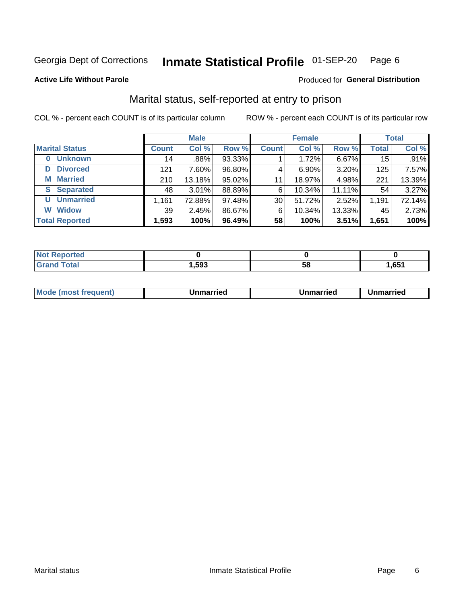#### Inmate Statistical Profile 01-SEP-20 Page 6

Produced for General Distribution

#### **Active Life Without Parole**

### Marital status, self-reported at entry to prison

COL % - percent each COUNT is of its particular column

|                            | <b>Male</b>  |        |        |                 | <b>Female</b> | <b>Total</b> |              |        |
|----------------------------|--------------|--------|--------|-----------------|---------------|--------------|--------------|--------|
| <b>Marital Status</b>      | <b>Count</b> | Col %  | Row %  | <b>Count</b>    | Col %         | Row %        | <b>Total</b> | Col %  |
| <b>Unknown</b><br>$\bf{0}$ | 14           | .88%   | 93.33% |                 | 1.72%         | 6.67%        | 15           | .91%   |
| <b>Divorced</b><br>D       | 121          | 7.60%  | 96.80% | 4               | $6.90\%$      | 3.20%        | 125          | 7.57%  |
| <b>Married</b><br>М        | 210          | 13.18% | 95.02% | 11              | 18.97%        | 4.98%        | 221          | 13.39% |
| <b>Separated</b><br>S      | 48           | 3.01%  | 88.89% | 6               | 10.34%        | 11.11%       | 54           | 3.27%  |
| <b>Unmarried</b><br>U      | 1,161        | 72.88% | 97.48% | 30 <sup>1</sup> | 51.72%        | 2.52%        | 1,191        | 72.14% |
| <b>Widow</b><br>W          | 39           | 2.45%  | 86.67% | 6               | 10.34%        | 13.33%       | 45           | 2.73%  |
| <b>Total Reported</b>      | 1,593        | 100%   | 96.49% | 58              | 100%          | 3.51%        | 1,651        | 100%   |

| <b>Not Reported</b><br>. <b>.</b> |      |    |       |
|-----------------------------------|------|----|-------|
| <b>Total</b>                      | ,593 | ວດ | 1,651 |

|--|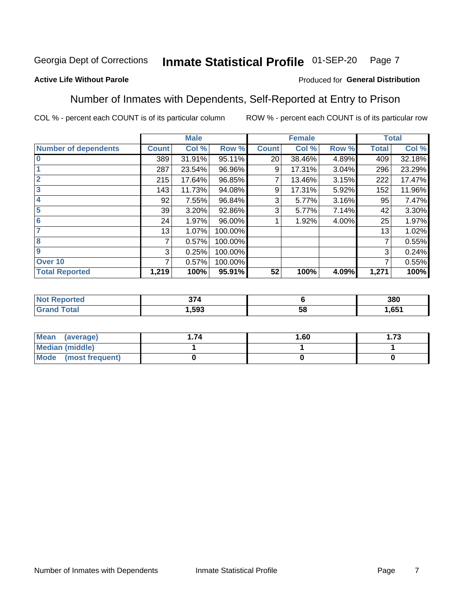#### Inmate Statistical Profile 01-SEP-20 Page 7

#### **Active Life Without Parole**

#### Produced for General Distribution

### Number of Inmates with Dependents, Self-Reported at Entry to Prison

COL % - percent each COUNT is of its particular column

|                             |              | <b>Male</b> |         |              | <b>Female</b> |       |              | <b>Total</b> |
|-----------------------------|--------------|-------------|---------|--------------|---------------|-------|--------------|--------------|
| <b>Number of dependents</b> | <b>Count</b> | Col %       | Row %   | <b>Count</b> | Col %         | Row % | <b>Total</b> | Col %        |
| $\bf{0}$                    | 389          | 31.91%      | 95.11%  | 20           | 38.46%        | 4.89% | 409          | 32.18%       |
|                             | 287          | 23.54%      | 96.96%  | 9            | 17.31%        | 3.04% | 296          | 23.29%       |
| $\overline{2}$              | 215          | 17.64%      | 96.85%  |              | 13.46%        | 3.15% | 222          | 17.47%       |
| 3                           | 143          | 11.73%      | 94.08%  | 9            | 17.31%        | 5.92% | 152          | 11.96%       |
| 4                           | 92           | 7.55%       | 96.84%  | 3            | 5.77%         | 3.16% | 95           | 7.47%        |
| 5                           | 39           | 3.20%       | 92.86%  | 3            | 5.77%         | 7.14% | 42           | 3.30%        |
| 6                           | 24           | 1.97%       | 96.00%  |              | 1.92%         | 4.00% | 25           | 1.97%        |
| 7                           | 13           | 1.07%       | 100.00% |              |               |       | 13           | 1.02%        |
| 8                           | 7            | 0.57%       | 100.00% |              |               |       | 7            | 0.55%        |
| 9                           | 3            | 0.25%       | 100.00% |              |               |       | 3            | 0.24%        |
| Over <sub>10</sub>          | 7            | 0.57%       | 100.00% |              |               |       | 7            | 0.55%        |
| <b>Total Reported</b>       | 1,219        | 100%        | 95.91%  | 52           | 100%          | 4.09% | 1,271        | 100%         |

|      | $\sim$ |         | 380  |
|------|--------|---------|------|
| ____ | .593   | .<br>uu | .651 |

| <b>Mean</b><br>(average) | 1.60 | - 72<br>I. I J |
|--------------------------|------|----------------|
| Median (middle)          |      |                |
| Mode<br>(most frequent)  |      |                |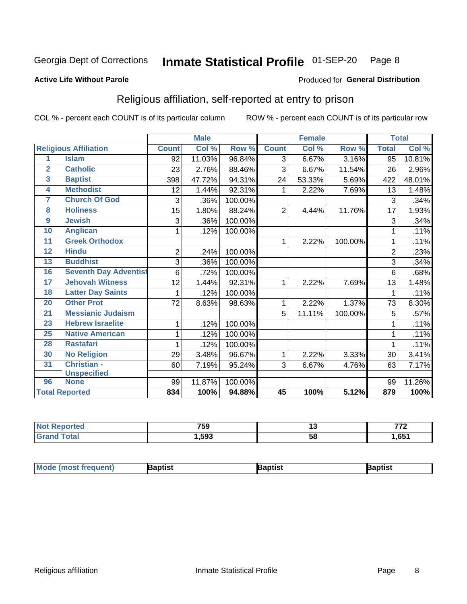#### Inmate Statistical Profile 01-SEP-20 Page 8

#### **Active Life Without Parole**

#### Produced for General Distribution

### Religious affiliation, self-reported at entry to prison

COL % - percent each COUNT is of its particular column

|                         |                              |                | <b>Male</b> |         |                | <b>Female</b>             |         |                | <b>Total</b> |
|-------------------------|------------------------------|----------------|-------------|---------|----------------|---------------------------|---------|----------------|--------------|
|                         | <b>Religious Affiliation</b> | <b>Count</b>   | Col %       | Row %   | <b>Count</b>   | $\overline{\text{Col}}$ % | Row %   | <b>Total</b>   | Col %        |
| 1                       | <b>Islam</b>                 | 92             | 11.03%      | 96.84%  | $\overline{3}$ | 6.67%                     | 3.16%   | 95             | 10.81%       |
| $\overline{2}$          | <b>Catholic</b>              | 23             | 2.76%       | 88.46%  | 3              | 6.67%                     | 11.54%  | 26             | 2.96%        |
| $\overline{\mathbf{3}}$ | <b>Baptist</b>               | 398            | 47.72%      | 94.31%  | 24             | 53.33%                    | 5.69%   | 422            | 48.01%       |
| $\overline{\mathbf{4}}$ | <b>Methodist</b>             | 12             | 1.44%       | 92.31%  | 1              | 2.22%                     | 7.69%   | 13             | 1.48%        |
| 7                       | <b>Church Of God</b>         | 3              | .36%        | 100.00% |                |                           |         | 3              | .34%         |
| 8                       | <b>Holiness</b>              | 15             | 1.80%       | 88.24%  | $\overline{2}$ | 4.44%                     | 11.76%  | 17             | 1.93%        |
| $\overline{9}$          | <b>Jewish</b>                | 3              | .36%        | 100.00% |                |                           |         | 3              | .34%         |
| 10                      | <b>Anglican</b>              | 1              | .12%        | 100.00% |                |                           |         |                | .11%         |
| 11                      | <b>Greek Orthodox</b>        |                |             |         | 1              | 2.22%                     | 100.00% |                | .11%         |
| 12                      | <b>Hindu</b>                 | $\overline{2}$ | .24%        | 100.00% |                |                           |         | $\overline{2}$ | .23%         |
| 13                      | <b>Buddhist</b>              | 3              | .36%        | 100.00% |                |                           |         | 3              | .34%         |
| 16                      | <b>Seventh Day Adventist</b> | 6              | .72%        | 100.00% |                |                           |         | 6              | .68%         |
| 17                      | <b>Jehovah Witness</b>       | 12             | 1.44%       | 92.31%  | 1              | 2.22%                     | 7.69%   | 13             | 1.48%        |
| 18                      | <b>Latter Day Saints</b>     | 1              | .12%        | 100.00% |                |                           |         |                | .11%         |
| 20                      | <b>Other Prot</b>            | 72             | 8.63%       | 98.63%  | 1              | 2.22%                     | 1.37%   | 73             | 8.30%        |
| $\overline{21}$         | <b>Messianic Judaism</b>     |                |             |         | 5              | 11.11%                    | 100.00% | 5              | .57%         |
| 23                      | <b>Hebrew Israelite</b>      | 1              | .12%        | 100.00% |                |                           |         |                | .11%         |
| 25                      | <b>Native American</b>       | 1              | .12%        | 100.00% |                |                           |         |                | .11%         |
| 28                      | <b>Rastafari</b>             | 1              | .12%        | 100.00% |                |                           |         |                | .11%         |
| 30                      | <b>No Religion</b>           | 29             | 3.48%       | 96.67%  | 1              | 2.22%                     | 3.33%   | 30             | 3.41%        |
| 31                      | Christian -                  | 60             | 7.19%       | 95.24%  | 3              | 6.67%                     | 4.76%   | 63             | 7.17%        |
|                         | <b>Unspecified</b>           |                |             |         |                |                           |         |                |              |
| 96                      | <b>None</b>                  | 99             | 11.87%      | 100.00% |                |                           |         | 99             | 11.26%       |
|                         | <b>Total Reported</b>        | 834            | 100%        | 94.88%  | 45             | 100%                      | 5.12%   | 879            | 100%         |

| τeα | フロハ<br>/ ୦ଏ | ''      | 770<br>. . |
|-----|-------------|---------|------------|
|     | .593        | 58<br>◡ | ,651       |

| Mode (most frequent)<br>3aptist<br>3aptist<br>ˈaɒtist |
|-------------------------------------------------------|
|-------------------------------------------------------|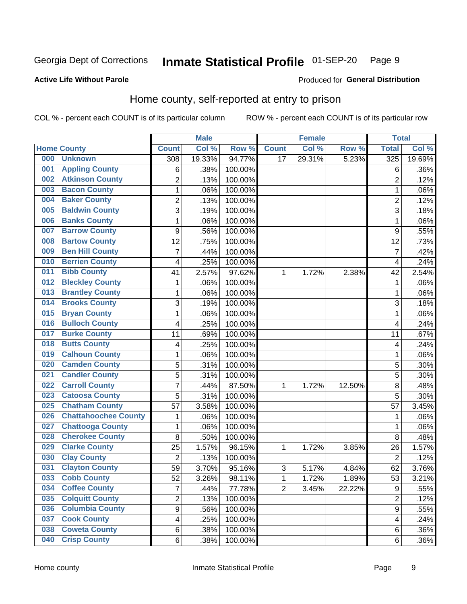#### Inmate Statistical Profile 01-SEP-20 Page 9

Produced for General Distribution

#### **Active Life Without Parole**

### Home county, self-reported at entry to prison

COL % - percent each COUNT is of its particular column

|     |                             |                | <b>Male</b> |         |                | <b>Female</b> |        | <b>Total</b>     |        |
|-----|-----------------------------|----------------|-------------|---------|----------------|---------------|--------|------------------|--------|
|     | <b>Home County</b>          | <b>Count</b>   | Col %       | Row %   | <b>Count</b>   | Col %         | Row %  | <b>Total</b>     | Col %  |
| 000 | <b>Unknown</b>              | 308            | 19.33%      | 94.77%  | 17             | 29.31%        | 5.23%  | 325              | 19.69% |
| 001 | <b>Appling County</b>       | 6              | .38%        | 100.00% |                |               |        | 6                | .36%   |
| 002 | <b>Atkinson County</b>      | $\overline{2}$ | .13%        | 100.00% |                |               |        | $\overline{2}$   | .12%   |
| 003 | <b>Bacon County</b>         | 1              | .06%        | 100.00% |                |               |        | 1                | .06%   |
| 004 | <b>Baker County</b>         | $\overline{2}$ | .13%        | 100.00% |                |               |        | $\overline{2}$   | .12%   |
| 005 | <b>Baldwin County</b>       | 3              | .19%        | 100.00% |                |               |        | 3                | .18%   |
| 006 | <b>Banks County</b>         | 1              | .06%        | 100.00% |                |               |        | 1                | .06%   |
| 007 | <b>Barrow County</b>        | 9              | .56%        | 100.00% |                |               |        | 9                | .55%   |
| 008 | <b>Bartow County</b>        | 12             | .75%        | 100.00% |                |               |        | 12               | .73%   |
| 009 | <b>Ben Hill County</b>      | 7              | .44%        | 100.00% |                |               |        | 7                | .42%   |
| 010 | <b>Berrien County</b>       | 4              | .25%        | 100.00% |                |               |        | 4                | .24%   |
| 011 | <b>Bibb County</b>          | 41             | 2.57%       | 97.62%  | 1              | 1.72%         | 2.38%  | 42               | 2.54%  |
| 012 | <b>Bleckley County</b>      | 1              | .06%        | 100.00% |                |               |        | 1                | .06%   |
| 013 | <b>Brantley County</b>      | 1              | .06%        | 100.00% |                |               |        | 1                | .06%   |
| 014 | <b>Brooks County</b>        | 3              | .19%        | 100.00% |                |               |        | 3                | .18%   |
| 015 | <b>Bryan County</b>         | 1              | .06%        | 100.00% |                |               |        | 1                | .06%   |
| 016 | <b>Bulloch County</b>       | 4              | .25%        | 100.00% |                |               |        | 4                | .24%   |
| 017 | <b>Burke County</b>         | 11             | .69%        | 100.00% |                |               |        | 11               | .67%   |
| 018 | <b>Butts County</b>         | 4              | .25%        | 100.00% |                |               |        | 4                | .24%   |
| 019 | <b>Calhoun County</b>       | 1              | .06%        | 100.00% |                |               |        | 1                | .06%   |
| 020 | <b>Camden County</b>        | 5              | .31%        | 100.00% |                |               |        | 5                | .30%   |
| 021 | <b>Candler County</b>       | 5              | .31%        | 100.00% |                |               |        | 5                | .30%   |
| 022 | <b>Carroll County</b>       | $\overline{7}$ | .44%        | 87.50%  | 1              | 1.72%         | 12.50% | 8                | .48%   |
| 023 | <b>Catoosa County</b>       | 5              | .31%        | 100.00% |                |               |        | 5                | .30%   |
| 025 | <b>Chatham County</b>       | 57             | 3.58%       | 100.00% |                |               |        | 57               | 3.45%  |
| 026 | <b>Chattahoochee County</b> | 1              | .06%        | 100.00% |                |               |        | 1                | .06%   |
| 027 | <b>Chattooga County</b>     | 1              | .06%        | 100.00% |                |               |        | 1                | .06%   |
| 028 | <b>Cherokee County</b>      | 8              | .50%        | 100.00% |                |               |        | 8                | .48%   |
| 029 | <b>Clarke County</b>        | 25             | 1.57%       | 96.15%  | 1              | 1.72%         | 3.85%  | 26               | 1.57%  |
| 030 | <b>Clay County</b>          | $\overline{2}$ | .13%        | 100.00% |                |               |        | $\overline{2}$   | .12%   |
| 031 | <b>Clayton County</b>       | 59             | 3.70%       | 95.16%  | $\sqrt{3}$     | 5.17%         | 4.84%  | 62               | 3.76%  |
| 033 | <b>Cobb County</b>          | 52             | 3.26%       | 98.11%  | 1              | 1.72%         | 1.89%  | 53               | 3.21%  |
| 034 | <b>Coffee County</b>        | 7              | .44%        | 77.78%  | $\overline{2}$ | 3.45%         | 22.22% | $\boldsymbol{9}$ | .55%   |
| 035 | <b>Colquitt County</b>      | $\overline{2}$ | .13%        | 100.00% |                |               |        | $\overline{2}$   | .12%   |
| 036 | <b>Columbia County</b>      | 9              | .56%        | 100.00% |                |               |        | 9                | .55%   |
| 037 | <b>Cook County</b>          | 4              | .25%        | 100.00% |                |               |        | 4                | .24%   |
| 038 | <b>Coweta County</b>        | 6              | .38%        | 100.00% |                |               |        | 6                | .36%   |
| 040 | <b>Crisp County</b>         | 6              | .38%        | 100.00% |                |               |        | 6                | .36%   |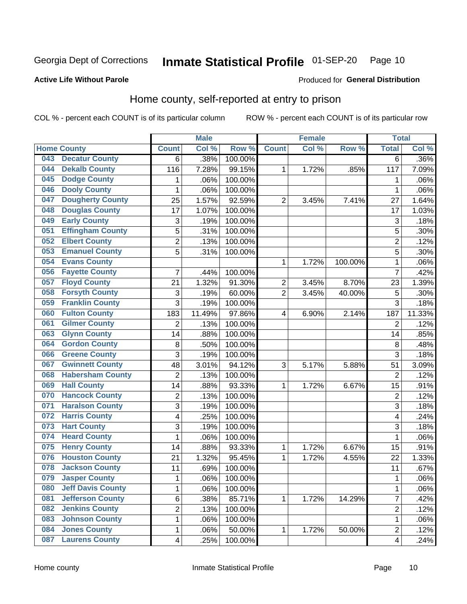#### Inmate Statistical Profile 01-SEP-20 Page 10

Produced for General Distribution

#### **Active Life Without Parole**

### Home county, self-reported at entry to prison

COL % - percent each COUNT is of its particular column

|     |                          |                           | <b>Male</b> |         |                  | <b>Female</b> |         | <b>Total</b>            |        |
|-----|--------------------------|---------------------------|-------------|---------|------------------|---------------|---------|-------------------------|--------|
|     | <b>Home County</b>       | <b>Count</b>              | Col %       | Row %   | <b>Count</b>     | Col %         | Row %   | <b>Total</b>            | Col %  |
| 043 | <b>Decatur County</b>    | 6                         | .38%        | 100.00% |                  |               |         | 6                       | .36%   |
| 044 | <b>Dekalb County</b>     | 116                       | 7.28%       | 99.15%  | 1                | 1.72%         | .85%    | 117                     | 7.09%  |
| 045 | <b>Dodge County</b>      | $\mathbf 1$               | .06%        | 100.00% |                  |               |         | 1                       | .06%   |
| 046 | <b>Dooly County</b>      | 1                         | .06%        | 100.00% |                  |               |         | 1                       | .06%   |
| 047 | <b>Dougherty County</b>  | 25                        | 1.57%       | 92.59%  | $\overline{2}$   | 3.45%         | 7.41%   | 27                      | 1.64%  |
| 048 | <b>Douglas County</b>    | 17                        | 1.07%       | 100.00% |                  |               |         | 17                      | 1.03%  |
| 049 | <b>Early County</b>      | $\ensuremath{\mathsf{3}}$ | .19%        | 100.00% |                  |               |         | 3                       | .18%   |
| 051 | <b>Effingham County</b>  | 5                         | .31%        | 100.00% |                  |               |         | 5                       | .30%   |
| 052 | <b>Elbert County</b>     | $\overline{2}$            | .13%        | 100.00% |                  |               |         | $\overline{2}$          | .12%   |
| 053 | <b>Emanuel County</b>    | 5                         | .31%        | 100.00% |                  |               |         | 5                       | .30%   |
| 054 | <b>Evans County</b>      |                           |             |         | 1                | 1.72%         | 100.00% | 1                       | .06%   |
| 056 | <b>Fayette County</b>    | 7                         | .44%        | 100.00% |                  |               |         | $\overline{7}$          | .42%   |
| 057 | <b>Floyd County</b>      | 21                        | 1.32%       | 91.30%  | $\boldsymbol{2}$ | 3.45%         | 8.70%   | 23                      | 1.39%  |
| 058 | <b>Forsyth County</b>    | $\ensuremath{\mathsf{3}}$ | .19%        | 60.00%  | $\overline{2}$   | 3.45%         | 40.00%  | 5                       | .30%   |
| 059 | <b>Franklin County</b>   | 3                         | .19%        | 100.00% |                  |               |         | 3                       | .18%   |
| 060 | <b>Fulton County</b>     | 183                       | 11.49%      | 97.86%  | 4                | 6.90%         | 2.14%   | 187                     | 11.33% |
| 061 | <b>Gilmer County</b>     | 2                         | .13%        | 100.00% |                  |               |         | $\overline{2}$          | .12%   |
| 063 | <b>Glynn County</b>      | 14                        | .88%        | 100.00% |                  |               |         | 14                      | .85%   |
| 064 | <b>Gordon County</b>     | 8                         | .50%        | 100.00% |                  |               |         | 8                       | .48%   |
| 066 | <b>Greene County</b>     | 3                         | .19%        | 100.00% |                  |               |         | 3                       | .18%   |
| 067 | <b>Gwinnett County</b>   | 48                        | 3.01%       | 94.12%  | 3                | 5.17%         | 5.88%   | 51                      | 3.09%  |
| 068 | <b>Habersham County</b>  | $\overline{2}$            | .13%        | 100.00% |                  |               |         | $\overline{2}$          | .12%   |
| 069 | <b>Hall County</b>       | 14                        | .88%        | 93.33%  | 1                | 1.72%         | 6.67%   | 15                      | .91%   |
| 070 | <b>Hancock County</b>    | $\mathbf 2$               | .13%        | 100.00% |                  |               |         | $\overline{2}$          | .12%   |
| 071 | <b>Haralson County</b>   | 3                         | .19%        | 100.00% |                  |               |         | 3                       | .18%   |
| 072 | <b>Harris County</b>     | 4                         | .25%        | 100.00% |                  |               |         | 4                       | .24%   |
| 073 | <b>Hart County</b>       | $\mathfrak{B}$            | .19%        | 100.00% |                  |               |         | 3                       | .18%   |
| 074 | <b>Heard County</b>      | $\mathbf 1$               | .06%        | 100.00% |                  |               |         | 1                       | .06%   |
| 075 | <b>Henry County</b>      | 14                        | .88%        | 93.33%  | 1                | 1.72%         | 6.67%   | 15                      | .91%   |
| 076 | <b>Houston County</b>    | 21                        | 1.32%       | 95.45%  | 1                | 1.72%         | 4.55%   | 22                      | 1.33%  |
| 078 | <b>Jackson County</b>    | 11                        | .69%        | 100.00% |                  |               |         | 11                      | .67%   |
| 079 | <b>Jasper County</b>     | 1                         | .06%        | 100.00% |                  |               |         | 1                       | .06%   |
| 080 | <b>Jeff Davis County</b> | $\mathbf{1}$              | .06%        | 100.00% |                  |               |         | 1                       | .06%   |
| 081 | <b>Jefferson County</b>  | 6                         | .38%        | 85.71%  | 1                | 1.72%         | 14.29%  | $\overline{7}$          | .42%   |
| 082 | <b>Jenkins County</b>    | $\overline{c}$            | .13%        | 100.00% |                  |               |         | $\overline{2}$          | .12%   |
| 083 | <b>Johnson County</b>    | $\mathbf 1$               | .06%        | 100.00% |                  |               |         | 1                       | .06%   |
| 084 | <b>Jones County</b>      | $\mathbf{1}$              | .06%        | 50.00%  | 1                | 1.72%         | 50.00%  | $\boldsymbol{2}$        | .12%   |
| 087 | <b>Laurens County</b>    | $\overline{\mathbf{4}}$   | .25%        | 100.00% |                  |               |         | $\overline{\mathbf{4}}$ | .24%   |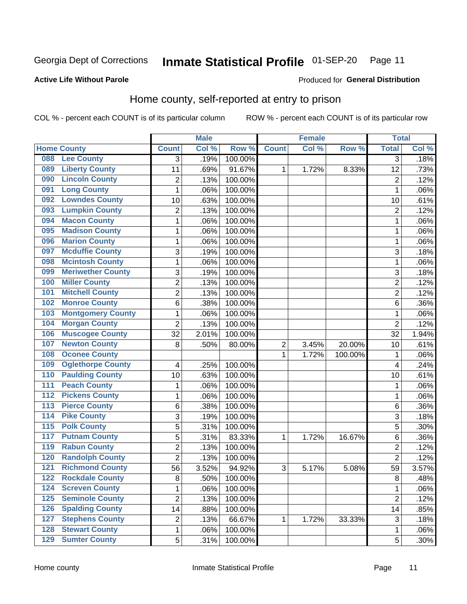#### Inmate Statistical Profile 01-SEP-20 Page 11

#### **Active Life Without Parole**

#### Produced for General Distribution

### Home county, self-reported at entry to prison

COL % - percent each COUNT is of its particular column

|                  |                          |                | <b>Male</b> |         |                | <b>Female</b> |         | <b>Total</b>   |       |
|------------------|--------------------------|----------------|-------------|---------|----------------|---------------|---------|----------------|-------|
|                  | <b>Home County</b>       | <b>Count</b>   | Col %       | Row %   | <b>Count</b>   | Col %         | Row %   | <b>Total</b>   | Col % |
| 088              | <b>Lee County</b>        | 3              | .19%        | 100.00% |                |               |         | $\overline{3}$ | .18%  |
| 089              | <b>Liberty County</b>    | 11             | .69%        | 91.67%  | 1              | 1.72%         | 8.33%   | 12             | .73%  |
| 090              | <b>Lincoln County</b>    | $\overline{c}$ | .13%        | 100.00% |                |               |         | $\overline{2}$ | .12%  |
| 091              | <b>Long County</b>       | 1              | .06%        | 100.00% |                |               |         | 1              | .06%  |
| 092              | <b>Lowndes County</b>    | 10             | .63%        | 100.00% |                |               |         | 10             | .61%  |
| 093              | <b>Lumpkin County</b>    | $\overline{2}$ | .13%        | 100.00% |                |               |         | $\overline{2}$ | .12%  |
| 094              | <b>Macon County</b>      | $\mathbf{1}$   | .06%        | 100.00% |                |               |         | 1              | .06%  |
| 095              | <b>Madison County</b>    | 1              | .06%        | 100.00% |                |               |         | 1              | .06%  |
| 096              | <b>Marion County</b>     | $\mathbf 1$    | .06%        | 100.00% |                |               |         | 1              | .06%  |
| 097              | <b>Mcduffie County</b>   | 3              | .19%        | 100.00% |                |               |         | 3              | .18%  |
| 098              | <b>Mcintosh County</b>   | $\mathbf 1$    | .06%        | 100.00% |                |               |         | 1              | .06%  |
| 099              | <b>Meriwether County</b> | 3              | .19%        | 100.00% |                |               |         | 3              | .18%  |
| 100              | <b>Miller County</b>     | $\overline{2}$ | .13%        | 100.00% |                |               |         | $\overline{2}$ | .12%  |
| 101              | <b>Mitchell County</b>   | $\overline{c}$ | .13%        | 100.00% |                |               |         | $\overline{2}$ | .12%  |
| 102              | <b>Monroe County</b>     | 6              | .38%        | 100.00% |                |               |         | 6              | .36%  |
| 103              | <b>Montgomery County</b> | 1              | .06%        | 100.00% |                |               |         | 1              | .06%  |
| 104              | <b>Morgan County</b>     | $\overline{2}$ | .13%        | 100.00% |                |               |         | $\overline{2}$ | .12%  |
| 106              | <b>Muscogee County</b>   | 32             | 2.01%       | 100.00% |                |               |         | 32             | 1.94% |
| 107              | <b>Newton County</b>     | 8              | .50%        | 80.00%  | $\overline{c}$ | 3.45%         | 20.00%  | 10             | .61%  |
| 108              | <b>Oconee County</b>     |                |             |         | 1              | 1.72%         | 100.00% | 1              | .06%  |
| 109              | <b>Oglethorpe County</b> | 4              | .25%        | 100.00% |                |               |         | 4              | .24%  |
| 110              | <b>Paulding County</b>   | 10             | .63%        | 100.00% |                |               |         | 10             | .61%  |
| 111              | <b>Peach County</b>      | 1              | .06%        | 100.00% |                |               |         | 1              | .06%  |
| 112              | <b>Pickens County</b>    | 1              | .06%        | 100.00% |                |               |         | 1              | .06%  |
| 113              | <b>Pierce County</b>     | 6              | .38%        | 100.00% |                |               |         | 6              | .36%  |
| 114              | <b>Pike County</b>       | 3              | .19%        | 100.00% |                |               |         | 3              | .18%  |
| $\overline{115}$ | <b>Polk County</b>       | 5              | .31%        | 100.00% |                |               |         | 5              | .30%  |
| 117              | <b>Putnam County</b>     | 5              | .31%        | 83.33%  | 1              | 1.72%         | 16.67%  | 6              | .36%  |
| 119              | <b>Rabun County</b>      | $\overline{2}$ | .13%        | 100.00% |                |               |         | $\overline{2}$ | .12%  |
| 120              | <b>Randolph County</b>   | $\overline{2}$ | .13%        | 100.00% |                |               |         | $\overline{2}$ | .12%  |
| 121              | <b>Richmond County</b>   | 56             | 3.52%       | 94.92%  | 3              | 5.17%         | 5.08%   | 59             | 3.57% |
| 122              | <b>Rockdale County</b>   | 8              | .50%        | 100.00% |                |               |         | 8              | .48%  |
| 124              | <b>Screven County</b>    | $\mathbf{1}$   | .06%        | 100.00% |                |               |         | 1              | .06%  |
| 125              | <b>Seminole County</b>   | $\overline{2}$ | .13%        | 100.00% |                |               |         | $\overline{2}$ | .12%  |
| 126              | <b>Spalding County</b>   | 14             | .88%        | 100.00% |                |               |         | 14             | .85%  |
| 127              | <b>Stephens County</b>   | $\overline{2}$ | .13%        | 66.67%  | 1              | 1.72%         | 33.33%  | 3              | .18%  |
| 128              | <b>Stewart County</b>    | $\mathbf{1}$   | .06%        | 100.00% |                |               |         | 1              | .06%  |
| 129              | <b>Sumter County</b>     | 5              | .31%        | 100.00% |                |               |         | 5              | .30%  |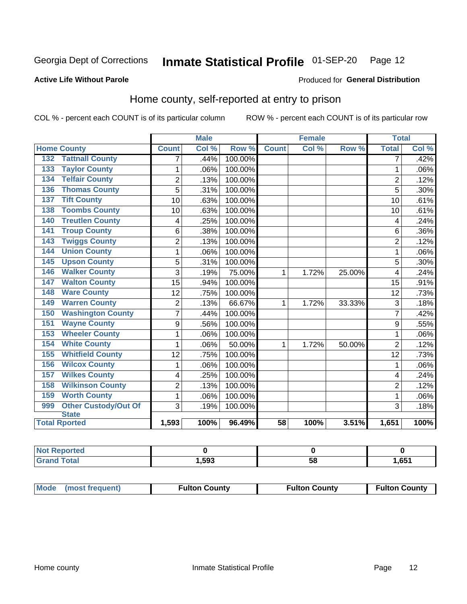#### Inmate Statistical Profile 01-SEP-20 Page 12

#### **Active Life Without Parole**

#### Produced for General Distribution

### Home county, self-reported at entry to prison

COL % - percent each COUNT is of its particular column

|                                    |                | <b>Male</b> |         |                 | <b>Female</b> |        | <b>Total</b>   |       |
|------------------------------------|----------------|-------------|---------|-----------------|---------------|--------|----------------|-------|
| <b>Home County</b>                 | <b>Count</b>   | Col %       | Row %   | <b>Count</b>    | Col %         | Row %  | <b>Total</b>   | Col % |
| <b>Tattnall County</b><br>132      | 7              | .44%        | 100.00% |                 |               |        | 7              | .42%  |
| <b>Taylor County</b><br>133        | 1              | .06%        | 100.00% |                 |               |        | 1              | .06%  |
| <b>Telfair County</b><br>134       | $\overline{2}$ | .13%        | 100.00% |                 |               |        | $\overline{2}$ | .12%  |
| <b>Thomas County</b><br>136        | 5              | .31%        | 100.00% |                 |               |        | 5              | .30%  |
| <b>Tift County</b><br>137          | 10             | .63%        | 100.00% |                 |               |        | 10             | .61%  |
| <b>Toombs County</b><br>138        | 10             | .63%        | 100.00% |                 |               |        | 10             | .61%  |
| <b>Treutlen County</b><br>140      | 4              | .25%        | 100.00% |                 |               |        | 4              | .24%  |
| <b>Troup County</b><br>141         | 6              | .38%        | 100.00% |                 |               |        | 6              | .36%  |
| <b>Twiggs County</b><br>143        | $\overline{2}$ | .13%        | 100.00% |                 |               |        | $\overline{2}$ | .12%  |
| <b>Union County</b><br>144         | 1              | .06%        | 100.00% |                 |               |        | 1              | .06%  |
| <b>Upson County</b><br>145         | 5              | .31%        | 100.00% |                 |               |        | 5              | .30%  |
| <b>Walker County</b><br>146        | 3              | .19%        | 75.00%  | 1               | 1.72%         | 25.00% | 4              | .24%  |
| <b>Walton County</b><br>147        | 15             | .94%        | 100.00% |                 |               |        | 15             | .91%  |
| <b>Ware County</b><br>148          | 12             | .75%        | 100.00% |                 |               |        | 12             | .73%  |
| <b>Warren County</b><br>149        | $\overline{2}$ | .13%        | 66.67%  | 1               | 1.72%         | 33.33% | 3              | .18%  |
| <b>Washington County</b><br>150    | $\overline{7}$ | .44%        | 100.00% |                 |               |        | 7              | .42%  |
| <b>Wayne County</b><br>151         | 9              | .56%        | 100.00% |                 |               |        | 9              | .55%  |
| <b>Wheeler County</b><br>153       | 1              | .06%        | 100.00% |                 |               |        | 1              | .06%  |
| <b>White County</b><br>154         | 1              | .06%        | 50.00%  | 1               | 1.72%         | 50.00% | $\overline{2}$ | .12%  |
| <b>Whitfield County</b><br>155     | 12             | .75%        | 100.00% |                 |               |        | 12             | .73%  |
| <b>Wilcox County</b><br>156        | 1              | .06%        | 100.00% |                 |               |        | 1              | .06%  |
| <b>Wilkes County</b><br>157        | 4              | .25%        | 100.00% |                 |               |        | 4              | .24%  |
| <b>Wilkinson County</b><br>158     | $\overline{2}$ | .13%        | 100.00% |                 |               |        | $\overline{2}$ | .12%  |
| <b>Worth County</b><br>159         | 1              | .06%        | 100.00% |                 |               |        | 1              | .06%  |
| <b>Other Custody/Out Of</b><br>999 | 3              | .19%        | 100.00% |                 |               |        | 3              | .18%  |
| <b>State</b>                       |                |             |         |                 |               |        |                |       |
| <b>Total Rported</b>               | 1,593          | 100%        | 96.49%  | $\overline{58}$ | 100%          | 3.51%  | 1,651          | 100%  |

| nteo             |       |    |      |
|------------------|-------|----|------|
| $A = 1$<br>_____ | 1,593 | uu | ,651 |

| Mode (most frequent) | <b>Fulton County</b> | <b>Fulton County</b> | <b>Fulton County</b> |
|----------------------|----------------------|----------------------|----------------------|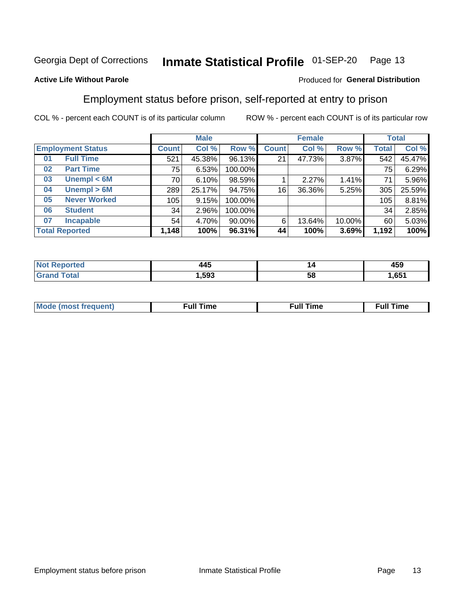#### Inmate Statistical Profile 01-SEP-20 Page 13

#### **Active Life Without Parole**

#### Produced for General Distribution

### Employment status before prison, self-reported at entry to prison

COL % - percent each COUNT is of its particular column

|                           |              | <b>Male</b> |           |              | <b>Female</b> |        |       | <b>Total</b> |
|---------------------------|--------------|-------------|-----------|--------------|---------------|--------|-------|--------------|
| <b>Employment Status</b>  | <b>Count</b> | Col %       | Row %     | <b>Count</b> | Col %         | Row %  | Total | Col %        |
| <b>Full Time</b><br>01    | 521          | 45.38%      | 96.13%    | 21           | 47.73%        | 3.87%  | 542   | 45.47%       |
| <b>Part Time</b><br>02    | 75           | 6.53%       | 100.00%   |              |               |        | 75    | 6.29%        |
| Unempl $<$ 6M<br>03       | 70           | 6.10%       | 98.59%    |              | 2.27%         | 1.41%  | 71    | 5.96%        |
| Unempl > 6M<br>04         | 289          | 25.17%      | 94.75%    | 16           | 36.36%        | 5.25%  | 305   | 25.59%       |
| <b>Never Worked</b><br>05 | 105          | 9.15%       | 100.00%   |              |               |        | 105   | 8.81%        |
| <b>Student</b><br>06      | 34           | 2.96%       | 100.00%   |              |               |        | 34    | 2.85%        |
| <b>Incapable</b><br>07    | 54           | 4.70%       | $90.00\%$ | 6            | 13.64%        | 10.00% | 60    | 5.03%        |
| <b>Total Reported</b>     | 1,148        | 100%        | 96.31%    | 44           | 100%          | 3.69%  | 1,192 | 100%         |

| AAF   | "  | $\overline{ }$ |
|-------|----|----------------|
| __    |    | 459            |
| 1,593 | ວເ |                |

| Mc | ∴ull | ----<br>ıme<br>w |
|----|------|------------------|
|    |      |                  |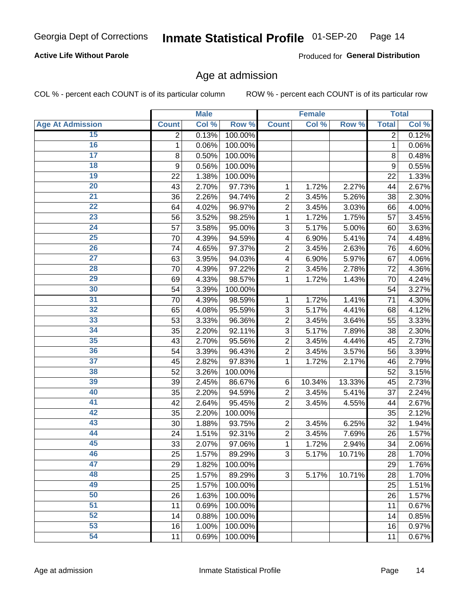#### **Active Life Without Parole**

Produced for General Distribution

### Age at admission

COL % - percent each COUNT is of its particular column

|                         |              | <b>Male</b> |         |                | <b>Female</b> |        |              | <b>Total</b> |
|-------------------------|--------------|-------------|---------|----------------|---------------|--------|--------------|--------------|
| <b>Age At Admission</b> | <b>Count</b> | Col %       | Row %   | <b>Count</b>   | Col %         | Row %  | <b>Total</b> | Col %        |
| 15                      | 2            | 0.13%       | 100.00% |                |               |        | 2            | 0.12%        |
| 16                      | 1            | 0.06%       | 100.00% |                |               |        | 1            | 0.06%        |
| $\overline{17}$         | 8            | 0.50%       | 100.00% |                |               |        | 8            | 0.48%        |
| 18                      | 9            | 0.56%       | 100.00% |                |               |        | 9            | 0.55%        |
| 19                      | 22           | 1.38%       | 100.00% |                |               |        | 22           | 1.33%        |
| $\overline{20}$         | 43           | 2.70%       | 97.73%  | 1              | 1.72%         | 2.27%  | 44           | 2.67%        |
| 21                      | 36           | 2.26%       | 94.74%  | $\overline{2}$ | 3.45%         | 5.26%  | 38           | 2.30%        |
| 22                      | 64           | 4.02%       | 96.97%  | $\overline{2}$ | 3.45%         | 3.03%  | 66           | 4.00%        |
| 23                      | 56           | 3.52%       | 98.25%  | 1              | 1.72%         | 1.75%  | 57           | 3.45%        |
| 24                      | 57           | 3.58%       | 95.00%  | 3              | 5.17%         | 5.00%  | 60           | 3.63%        |
| $\overline{25}$         | 70           | 4.39%       | 94.59%  | 4              | 6.90%         | 5.41%  | 74           | 4.48%        |
| 26                      | 74           | 4.65%       | 97.37%  | $\overline{2}$ | 3.45%         | 2.63%  | 76           | 4.60%        |
| $\overline{27}$         | 63           | 3.95%       | 94.03%  | 4              | 6.90%         | 5.97%  | 67           | 4.06%        |
| 28                      | 70           | 4.39%       | 97.22%  | $\overline{2}$ | 3.45%         | 2.78%  | 72           | 4.36%        |
| 29                      | 69           | 4.33%       | 98.57%  | 1              | 1.72%         | 1.43%  | 70           | 4.24%        |
| 30                      | 54           | 3.39%       | 100.00% |                |               |        | 54           | 3.27%        |
| $\overline{31}$         | 70           | 4.39%       | 98.59%  | 1              | 1.72%         | 1.41%  | 71           | 4.30%        |
| 32                      | 65           | 4.08%       | 95.59%  | 3              | 5.17%         | 4.41%  | 68           | 4.12%        |
| 33                      | 53           | 3.33%       | 96.36%  | $\overline{2}$ | 3.45%         | 3.64%  | 55           | 3.33%        |
| 34                      | 35           | 2.20%       | 92.11%  | 3              | 5.17%         | 7.89%  | 38           | 2.30%        |
| 35                      | 43           | 2.70%       | 95.56%  | $\overline{2}$ | 3.45%         | 4.44%  | 45           | 2.73%        |
| 36                      | 54           | 3.39%       | 96.43%  | $\overline{2}$ | 3.45%         | 3.57%  | 56           | 3.39%        |
| $\overline{37}$         | 45           | 2.82%       | 97.83%  | 1              | 1.72%         | 2.17%  | 46           | 2.79%        |
| 38                      | 52           | 3.26%       | 100.00% |                |               |        | 52           | 3.15%        |
| 39                      | 39           | 2.45%       | 86.67%  | 6              | 10.34%        | 13.33% | 45           | 2.73%        |
| 40                      | 35           | 2.20%       | 94.59%  | $\overline{2}$ | 3.45%         | 5.41%  | 37           | 2.24%        |
| 41                      | 42           | 2.64%       | 95.45%  | $\overline{2}$ | 3.45%         | 4.55%  | 44           | 2.67%        |
| 42                      | 35           | 2.20%       | 100.00% |                |               |        | 35           | 2.12%        |
| 43                      | 30           | 1.88%       | 93.75%  | $\overline{2}$ | 3.45%         | 6.25%  | 32           | 1.94%        |
| 44                      | 24           | 1.51%       | 92.31%  | $\overline{2}$ | 3.45%         | 7.69%  | 26           | 1.57%        |
| 45                      | 33           | 2.07%       | 97.06%  | 1              | 1.72%         | 2.94%  | 34           | 2.06%        |
| 46                      | 25           | 1.57%       | 89.29%  | 3              | 5.17%         | 10.71% | 28           | 1.70%        |
| 47                      | 29           | 1.82%       | 100.00% |                |               |        | 29           | 1.76%        |
| 48                      | 25           | 1.57%       | 89.29%  | 3              | 5.17%         | 10.71% | 28           | 1.70%        |
| 49                      | 25           | 1.57%       | 100.00% |                |               |        | 25           | 1.51%        |
| 50                      | 26           | 1.63%       | 100.00% |                |               |        | 26           | 1.57%        |
| $\overline{51}$         | 11           | 0.69%       | 100.00% |                |               |        | 11           | 0.67%        |
| 52                      | 14           | 0.88%       | 100.00% |                |               |        | 14           | 0.85%        |
| 53                      | 16           | 1.00%       | 100.00% |                |               |        | 16           | 0.97%        |
| 54                      | 11           | 0.69%       | 100.00% |                |               |        | 11           | 0.67%        |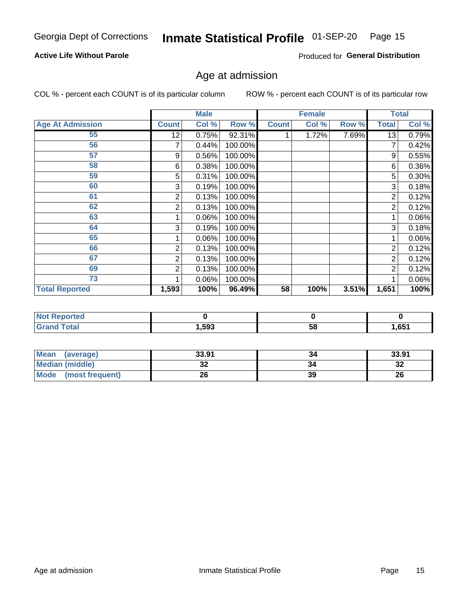#### Inmate Statistical Profile 01-SEP-20 Page 15

#### **Active Life Without Parole**

Produced for General Distribution

### Age at admission

COL % - percent each COUNT is of its particular column

|                         |              | <b>Male</b> |         |              | <b>Female</b> |       |                | <b>Total</b> |
|-------------------------|--------------|-------------|---------|--------------|---------------|-------|----------------|--------------|
| <b>Age At Admission</b> | <b>Count</b> | Col %       | Row %   | <b>Count</b> | Col %         | Row % | <b>Total</b>   | Col %        |
| 55                      | 12           | 0.75%       | 92.31%  |              | 1.72%         | 7.69% | 13             | 0.79%        |
| 56                      | 7            | 0.44%       | 100.00% |              |               |       |                | 0.42%        |
| 57                      | 9            | 0.56%       | 100.00% |              |               |       | 9              | 0.55%        |
| 58                      | 6            | 0.38%       | 100.00% |              |               |       | 6              | 0.36%        |
| 59                      | 5            | 0.31%       | 100.00% |              |               |       | 5              | $0.30\%$     |
| 60                      | 3            | 0.19%       | 100.00% |              |               |       | 3              | 0.18%        |
| 61                      | 2            | 0.13%       | 100.00% |              |               |       | 2              | 0.12%        |
| 62                      | 2            | 0.13%       | 100.00% |              |               |       | 2              | 0.12%        |
| 63                      |              | 0.06%       | 100.00% |              |               |       |                | 0.06%        |
| 64                      | 3            | 0.19%       | 100.00% |              |               |       | 3              | 0.18%        |
| 65                      |              | 0.06%       | 100.00% |              |               |       |                | 0.06%        |
| 66                      | 2            | 0.13%       | 100.00% |              |               |       | 2              | 0.12%        |
| 67                      | 2            | 0.13%       | 100.00% |              |               |       | 2              | 0.12%        |
| 69                      | 2            | 0.13%       | 100.00% |              |               |       | $\overline{2}$ | 0.12%        |
| 73                      |              | 0.06%       | 100.00% |              |               |       |                | 0.06%        |
| <b>Total Reported</b>   | 1,593        | 100%        | 96.49%  | 58           | 100%          | 3.51% | 1,651          | 100%         |

| <b>Not Reported</b> |      |    |      |
|---------------------|------|----|------|
| <b>Total</b>        | ,593 | 58 | .651 |

| <b>Mean</b><br>(average)       | 33.91 | 34 | 33.91   |
|--------------------------------|-------|----|---------|
| <b>Median (middle)</b>         | JZ    |    | …<br>34 |
| <b>Mode</b><br>(most frequent) | 26    | 39 | 26      |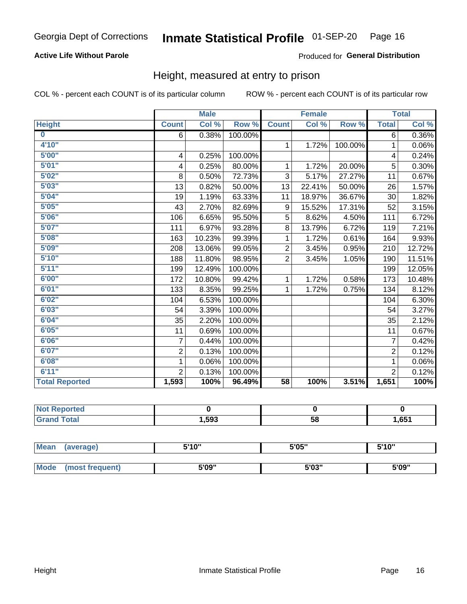#### **Active Life Without Parole**

#### Produced for General Distribution

### Height, measured at entry to prison

COL % - percent each COUNT is of its particular column

|                       |                | <b>Male</b> |         |                 | <b>Female</b> |         |                | <b>Total</b> |
|-----------------------|----------------|-------------|---------|-----------------|---------------|---------|----------------|--------------|
| <b>Height</b>         | <b>Count</b>   | Col %       | Row %   | <b>Count</b>    | Col %         | Row %   | <b>Total</b>   | Col %        |
| $\bf{0}$              | 6              | 0.38%       | 100.00% |                 |               |         | 6              | 0.36%        |
| 4'10"                 |                |             |         | $\mathbf{1}$    | 1.72%         | 100.00% | 1              | 0.06%        |
| 5'00''                | 4              | 0.25%       | 100.00% |                 |               |         | 4              | 0.24%        |
| 5'01"                 | 4              | 0.25%       | 80.00%  | 1               | 1.72%         | 20.00%  | 5              | 0.30%        |
| 5'02"                 | 8              | 0.50%       | 72.73%  | 3               | 5.17%         | 27.27%  | 11             | 0.67%        |
| 5'03''                | 13             | 0.82%       | 50.00%  | 13              | 22.41%        | 50.00%  | 26             | 1.57%        |
| 5'04"                 | 19             | 1.19%       | 63.33%  | 11              | 18.97%        | 36.67%  | 30             | 1.82%        |
| 5'05"                 | 43             | 2.70%       | 82.69%  | 9               | 15.52%        | 17.31%  | 52             | 3.15%        |
| 5'06''                | 106            | 6.65%       | 95.50%  | 5               | 8.62%         | 4.50%   | 111            | 6.72%        |
| 5'07"                 | 111            | 6.97%       | 93.28%  | 8               | 13.79%        | 6.72%   | 119            | 7.21%        |
| 5'08''                | 163            | 10.23%      | 99.39%  | 1               | 1.72%         | 0.61%   | 164            | 9.93%        |
| 5'09''                | 208            | 13.06%      | 99.05%  | $\overline{2}$  | 3.45%         | 0.95%   | 210            | 12.72%       |
| 5'10''                | 188            | 11.80%      | 98.95%  | $\overline{2}$  | 3.45%         | 1.05%   | 190            | 11.51%       |
| 5'11''                | 199            | 12.49%      | 100.00% |                 |               |         | 199            | 12.05%       |
| 6'00''                | 172            | 10.80%      | 99.42%  | 1               | 1.72%         | 0.58%   | 173            | 10.48%       |
| 6'01''                | 133            | 8.35%       | 99.25%  | 1.              | 1.72%         | 0.75%   | 134            | 8.12%        |
| 6'02"                 | 104            | 6.53%       | 100.00% |                 |               |         | 104            | 6.30%        |
| 6'03''                | 54             | 3.39%       | 100.00% |                 |               |         | 54             | 3.27%        |
| 6'04"                 | 35             | 2.20%       | 100.00% |                 |               |         | 35             | 2.12%        |
| 6'05"                 | 11             | 0.69%       | 100.00% |                 |               |         | 11             | 0.67%        |
| 6'06''                | $\overline{7}$ | 0.44%       | 100.00% |                 |               |         | $\overline{7}$ | 0.42%        |
| 6'07''                | $\overline{2}$ | 0.13%       | 100.00% |                 |               |         | $\overline{2}$ | 0.12%        |
| 6'08''                | 1              | 0.06%       | 100.00% |                 |               |         | 1              | $0.06\%$     |
| 6'11''                | $\overline{2}$ | 0.13%       | 100.00% |                 |               |         | $\overline{2}$ | 0.12%        |
| <b>Total Reported</b> | 1,593          | 100%        | 96.49%  | $\overline{58}$ | 100%          | 3.51%   | 1,651          | 100%         |

| <b>orted</b><br><b>NOT</b> |        |    |       |
|----------------------------|--------|----|-------|
| <b>Total</b>               | 593, ا | 58 | 1,651 |

| <b>Mean</b> | (average)      | 5'10" | 5'05"           | 5'10"<br>ັ |
|-------------|----------------|-------|-----------------|------------|
|             |                |       |                 |            |
| <b>Mode</b> | iost frequent) | 5'09" | EINS !!<br>ა სა | 5'09"      |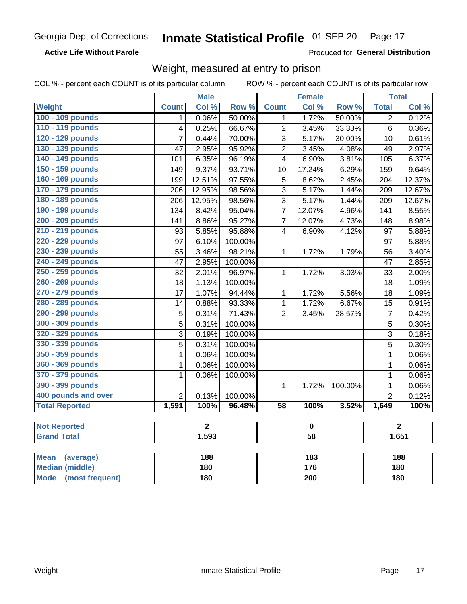**Active Life Without Parole** 

Produced for General Distribution

### Weight, measured at entry to prison

COL % - percent each COUNT is of its particular column

|                                |                          | <b>Male</b>    |         |                         | <b>Female</b>    |         |                | <b>Total</b>   |  |
|--------------------------------|--------------------------|----------------|---------|-------------------------|------------------|---------|----------------|----------------|--|
| <b>Weight</b>                  | <b>Count</b>             | Col %          | Row %   | <b>Count</b>            | Col %            | Row %   | <b>Total</b>   | Col %          |  |
| 100 - 109 pounds               | 1                        | 0.06%          | 50.00%  | 1                       | 1.72%            | 50.00%  | $\overline{2}$ | 0.12%          |  |
| 110 - 119 pounds               | $\overline{4}$           | 0.25%          | 66.67%  | $\overline{2}$          | 3.45%            | 33.33%  | $\overline{6}$ | 0.36%          |  |
| 120 - 129 pounds               | $\overline{7}$           | 0.44%          | 70.00%  | 3                       | 5.17%            | 30.00%  | 10             | 0.61%          |  |
| 130 - 139 pounds               | 47                       | 2.95%          | 95.92%  | $\overline{2}$          | 3.45%            | 4.08%   | 49             | 2.97%          |  |
| 140 - 149 pounds               | 101                      | 6.35%          | 96.19%  | $\overline{\mathbf{4}}$ | 6.90%            | 3.81%   | 105            | 6.37%          |  |
| 150 - 159 pounds               | 149                      | 9.37%          | 93.71%  | 10                      | 17.24%           | 6.29%   | 159            | 9.64%          |  |
| 160 - 169 pounds               | 199                      | 12.51%         | 97.55%  | $\overline{5}$          | 8.62%            | 2.45%   | 204            | 12.37%         |  |
| 170 - 179 pounds               | 206                      | 12.95%         | 98.56%  | 3                       | 5.17%            | 1.44%   | 209            | 12.67%         |  |
| 180 - 189 pounds               | 206                      | 12.95%         | 98.56%  | 3                       | 5.17%            | 1.44%   | 209            | 12.67%         |  |
| 190 - 199 pounds               | 134                      | 8.42%          | 95.04%  | $\overline{7}$          | 12.07%           | 4.96%   | 141            | 8.55%          |  |
| 200 - 209 pounds               | 141                      | 8.86%          | 95.27%  | $\overline{7}$          | 12.07%           | 4.73%   | 148            | 8.98%          |  |
| 210 - 219 pounds               | 93                       | 5.85%          | 95.88%  | $\overline{4}$          | 6.90%            | 4.12%   | 97             | 5.88%          |  |
| 220 - 229 pounds               | 97                       | 6.10%          | 100.00% |                         |                  |         | 97             | 5.88%          |  |
| 230 - 239 pounds               | $\overline{55}$          | 3.46%          | 98.21%  | 1                       | 1.72%            | 1.79%   | 56             | 3.40%          |  |
| 240 - 249 pounds               | 47                       | 2.95%          | 100.00% |                         |                  |         | 47             | 2.85%          |  |
| 250 - 259 pounds               | $\overline{32}$          | 2.01%          | 96.97%  | $\mathbf{1}$            | 1.72%            | 3.03%   | 33             | 2.00%          |  |
| 260 - 269 pounds               | 18                       | 1.13%          | 100.00% |                         |                  |         | 18             | 1.09%          |  |
| 270 - 279 pounds               | 17                       | 1.07%          | 94.44%  | 1                       | 1.72%            | 5.56%   | 18             | 1.09%          |  |
| 280 - 289 pounds               | 14                       | 0.88%          | 93.33%  | $\mathbf{1}$            | 1.72%            | 6.67%   | 15             | 0.91%          |  |
| 290 - 299 pounds               | 5                        | 0.31%          | 71.43%  | $\overline{2}$          | 3.45%            | 28.57%  | $\overline{7}$ | 0.42%          |  |
| 300 - 309 pounds               | 5                        | 0.31%          | 100.00% |                         |                  |         | 5              | 0.30%          |  |
| 320 - 329 pounds               | 3                        | 0.19%          | 100.00% |                         |                  |         | 3              | 0.18%          |  |
| 330 - 339 pounds               | 5                        | 0.31%          | 100.00% |                         |                  |         | 5              | 0.30%          |  |
| 350 - 359 pounds               | 1                        | 0.06%          | 100.00% |                         |                  |         | $\mathbf{1}$   | 0.06%          |  |
| 360 - 369 pounds               | 1                        | 0.06%          | 100.00% |                         |                  |         | $\mathbf{1}$   | 0.06%          |  |
| 370 - 379 pounds               | 1                        | 0.06%          | 100.00% |                         |                  |         | $\mathbf 1$    | 0.06%          |  |
| 390 - 399 pounds               |                          |                |         | 1                       | 1.72%            | 100.00% | $\mathbf 1$    | 0.06%          |  |
| 400 pounds and over            | $\overline{2}$           | 0.13%          | 100.00% |                         |                  |         | $\overline{2}$ | 0.12%          |  |
| <b>Total Reported</b>          | 1,591                    | 100%           | 96.48%  | $\overline{58}$         | 100%             | 3.52%   | 1,649          | 100%           |  |
| <b>Not Reported</b>            |                          | $\overline{2}$ |         |                         | $\pmb{0}$        |         |                | $\overline{2}$ |  |
| <b>Grand Total</b>             | 1,593<br>$\overline{58}$ |                |         |                         | 1,651            |         |                |                |  |
|                                |                          |                |         |                         |                  |         |                |                |  |
| <b>Mean</b><br>(average)       |                          | 188            |         |                         | $\overline{183}$ |         |                | 188            |  |
| <b>Median (middle)</b>         |                          | 180            |         |                         | 176              |         |                | 180            |  |
| <b>Mode</b><br>(most frequent) |                          | 180            |         | 200                     |                  |         | 180            |                |  |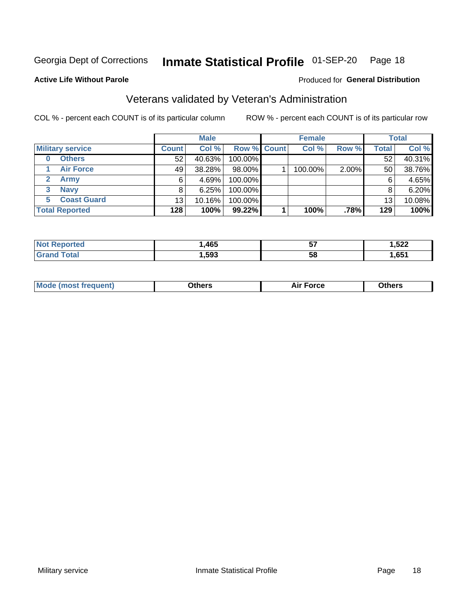#### Inmate Statistical Profile 01-SEP-20 Page 18

Produced for General Distribution

#### **Active Life Without Parole**

### Veterans validated by Veteran's Administration

COL % - percent each COUNT is of its particular column

|                         |                 | <b>Male</b> |             | <b>Female</b> |       |              | <b>Total</b> |
|-------------------------|-----------------|-------------|-------------|---------------|-------|--------------|--------------|
| <b>Military service</b> | <b>Count</b>    | Col %       | Row % Count | Col %         | Row % | <b>Total</b> | Col %        |
| <b>Others</b><br>0      | 52              | 40.63%      | 100.00%     |               |       | 52           | 40.31%       |
| <b>Air Force</b>        | 49              | 38.28%      | 98.00%      | 100.00%       | 2.00% | 50           | 38.76%       |
| Army                    | 6               | 4.69%       | 100.00%     |               |       | 6            | 4.65%        |
| <b>Navy</b><br>3        |                 | 6.25%       | 100.00%     |               |       | 8            | 6.20%        |
| <b>Coast Guard</b><br>5 | 13 <sub>1</sub> | 10.16%      | 100.00%     |               |       | 13           | 10.08%       |
| <b>Total Reported</b>   | 128             | 100%        | 99.22%      | 100%          | .78%  | 129          | 100%         |

| neo     | .465 | --<br>v, | .522 |
|---------|------|----------|------|
| $f = f$ | ,593 | 58       | .651 |

| <b>Moo.</b> |
|-------------|
|-------------|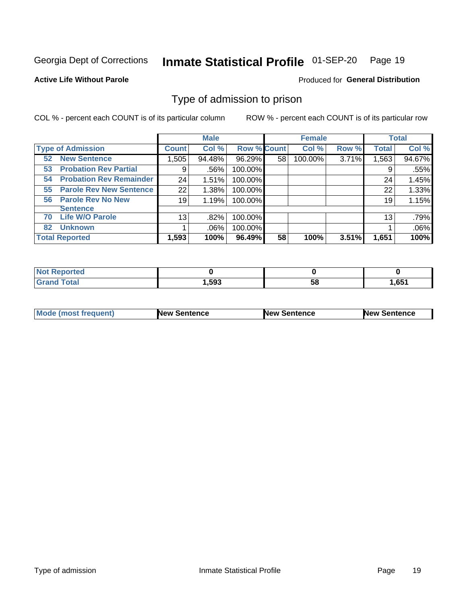#### Inmate Statistical Profile 01-SEP-20 Page 19

**Active Life Without Parole** 

Produced for General Distribution

### Type of admission to prison

COL % - percent each COUNT is of its particular column

|                                      |                 | <b>Male</b> |                    |    | <b>Female</b> |       |              | <b>Total</b> |
|--------------------------------------|-----------------|-------------|--------------------|----|---------------|-------|--------------|--------------|
| <b>Type of Admission</b>             | <b>Count</b>    | Col %       | <b>Row % Count</b> |    | Col %         | Row % | <b>Total</b> | Col %        |
| <b>New Sentence</b><br>52            | 1,505           | 94.48%      | 96.29%             | 58 | 100.00%       | 3.71% | 1,563        | 94.67%       |
| <b>Probation Rev Partial</b><br>53   | 9               | .56%        | 100.00%            |    |               |       | 9            | .55%         |
| <b>Probation Rev Remainder</b><br>54 | 24              | 1.51%       | 100.00%            |    |               |       | 24           | 1.45%        |
| <b>Parole Rev New Sentence</b><br>55 | 22              | 1.38%       | 100.00%            |    |               |       | 22           | 1.33%        |
| 56 Parole Rev No New                 | 19              | 1.19%       | 100.00%            |    |               |       | 19           | 1.15%        |
| <b>Sentence</b>                      |                 |             |                    |    |               |       |              |              |
| <b>Life W/O Parole</b><br>70         | 13 <sub>1</sub> | .82%        | 100.00%            |    |               |       | 13           | .79%         |
| <b>Unknown</b><br>82                 |                 | .06%        | 100.00%            |    |               |       |              | .06%         |
| <b>Total Reported</b>                | 1,593           | 100%        | 96.49%             | 58 | 100%          | 3.51% | 1,651        | 100%         |

| <b>Not Reported</b> |      |           |       |
|---------------------|------|-----------|-------|
| Гоtal               | ,593 | - -<br>ວດ | 1,651 |

| Mode (most frequent) | <b>New Sentence</b> | <b>New Sentence</b> | <b>New Sentence</b> |
|----------------------|---------------------|---------------------|---------------------|
|                      |                     |                     |                     |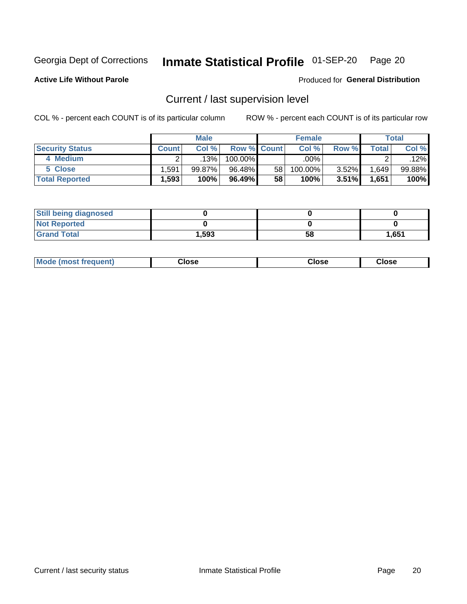## Inmate Statistical Profile 01-SEP-20 Page 20

**Active Life Without Parole** 

### Produced for General Distribution

### Current / last supervision level

COL % - percent each COUNT is of its particular column

|                        |                   | <b>Male</b> |                    |    | <b>Female</b> |          |       | <b>Total</b> |
|------------------------|-------------------|-------------|--------------------|----|---------------|----------|-------|--------------|
| <b>Security Status</b> | <b>Count</b>      | Col%        | <b>Row % Count</b> |    | Col %         | Row %    | Total | Col %        |
| 4 Medium               |                   | 13%         | 100.00%            |    | .00%          |          |       | .12%         |
| 5 Close                | .591              | 99.87%      | 96.48%             | 58 | 100.00%       | $3.52\%$ | 1,649 | $99.88\%$    |
| <b>Total Reported</b>  | $.593$ $^{\circ}$ | 100%        | 96.49%             | 58 | $100\%$       | 3.51%    | 1,651 | 100%         |

| <b>Still being diagnosed</b> |       |    |       |
|------------------------------|-------|----|-------|
| <b>Not Reported</b>          |       |    |       |
| <b>Grand Total</b>           | 1,593 | 58 | 1,651 |

| <b>AhoM</b><br>rreauent) | <b>Close</b> | Close | Close |
|--------------------------|--------------|-------|-------|
|                          |              |       |       |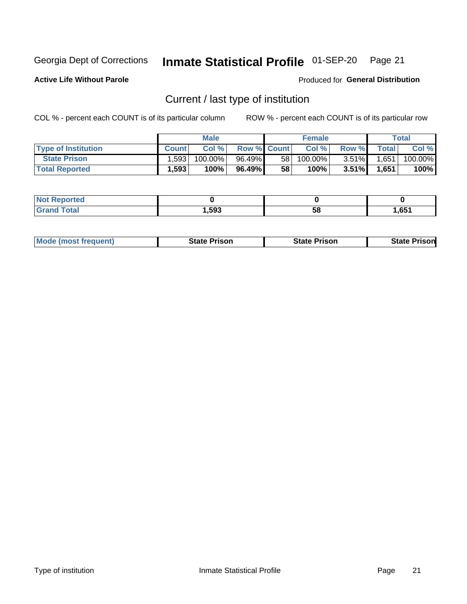#### Inmate Statistical Profile 01-SEP-20 Page 21

**Active Life Without Parole** 

Produced for General Distribution

### Current / last type of institution

COL % - percent each COUNT is of its particular column

|                            |              | <b>Male</b> |                    |    | <b>Female</b> |          |              | Total   |
|----------------------------|--------------|-------------|--------------------|----|---------------|----------|--------------|---------|
| <b>Type of Institution</b> | <b>Count</b> | Col %       | <b>Row % Count</b> |    | Col %         | Row %    | <b>Total</b> | Col %   |
| <b>State Prison</b>        | .593         | 100.00%     | 96.49%             | 58 | $100.00\%$    | $3.51\%$ | 1,651        | 100.00% |
| <b>Total Reported</b>      | 1,593        | 100%        | 96.49%             | 58 | 100%          | $3.51\%$ | 1,651        | 100%    |

| rted<br>. |      |    |      |
|-----------|------|----|------|
|           | ,593 | ວເ | .651 |

|  | <b>Mode (most frequent)</b> | State Prison | <b>State Prison</b> | <b>State Prison</b> |
|--|-----------------------------|--------------|---------------------|---------------------|
|--|-----------------------------|--------------|---------------------|---------------------|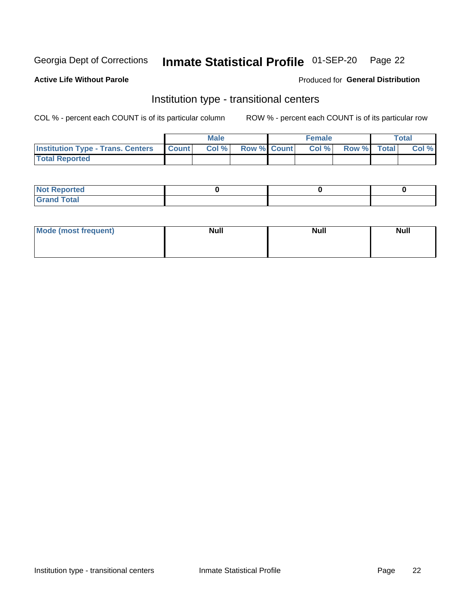#### Inmate Statistical Profile 01-SEP-20 Page 22

**Active Life Without Parole** 

#### Produced for General Distribution

### Institution type - transitional centers

COL % - percent each COUNT is of its particular column

|                                                | Male  |                    | <b>Female</b> |                   | Total |
|------------------------------------------------|-------|--------------------|---------------|-------------------|-------|
| <b>Institution Type - Trans. Centers Count</b> | Col % | <b>Row % Count</b> |               | Col % Row % Total | Col % |
| <b>Total Reported</b>                          |       |                    |               |                   |       |

| <b>Reported</b><br><b>NOT</b><br>$\sim$            |  |  |
|----------------------------------------------------|--|--|
| $f$ $f \circ f \circ f$<br>$C = 1$<br><b>TULAI</b> |  |  |

| Mode (most frequent) | <b>Null</b> | <b>Null</b> | <b>Null</b> |
|----------------------|-------------|-------------|-------------|
|                      |             |             |             |
|                      |             |             |             |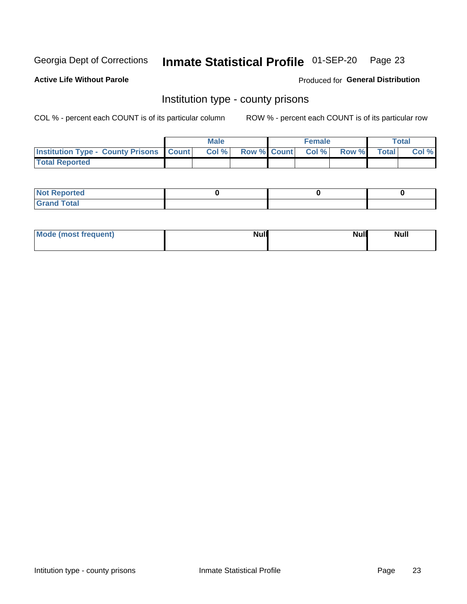## Inmate Statistical Profile 01-SEP-20 Page 23

**Active Life Without Parole** 

Produced for General Distribution

### Institution type - county prisons

COL % - percent each COUNT is of its particular column

|                                                    | <b>Male</b> |       |                          | <b>Female</b> |  |             | <b>Total</b> |       |
|----------------------------------------------------|-------------|-------|--------------------------|---------------|--|-------------|--------------|-------|
| <b>Institution Type - County Prisons   Count  </b> |             | Col % | <b>Row % Count Col %</b> |               |  | Row % Total |              | Col % |
| <b>Total Reported</b>                              |             |       |                          |               |  |             |              |       |

| <b>Not Reported</b>   |  |  |
|-----------------------|--|--|
| <b>Total</b><br>Granc |  |  |

| Mode (most frequent) | <b>Null</b> | <b>Null</b><br><b>Null</b> |
|----------------------|-------------|----------------------------|
|                      |             |                            |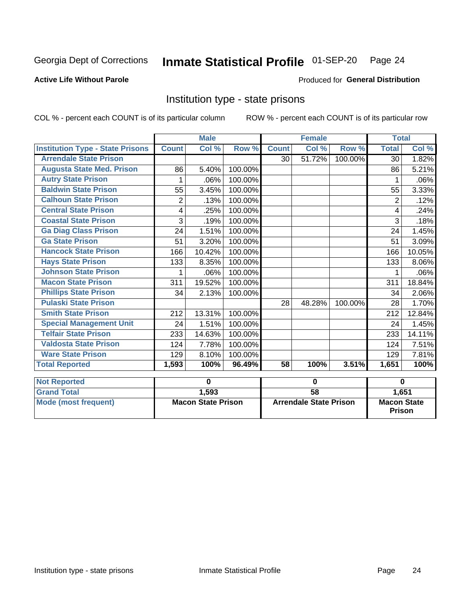#### Inmate Statistical Profile 01-SEP-20 Page 24

#### **Active Life Without Parole**

#### Produced for General Distribution

### Institution type - state prisons

|                                           |                           | <b>Male</b> | <b>Female</b> |                               |                      | <b>Total</b> |                                     |          |
|-------------------------------------------|---------------------------|-------------|---------------|-------------------------------|----------------------|--------------|-------------------------------------|----------|
| <b>Institution Type - State Prisons</b>   | <b>Count</b>              | Col %       | Row %         | <b>Count</b>                  | Col %                | Row %        | <b>Total</b>                        | Col %    |
| <b>Arrendale State Prison</b>             |                           |             |               | 30                            | 51.72%               | 100.00%      | 30                                  | 1.82%    |
| <b>Augusta State Med. Prison</b>          | 86                        | 5.40%       | 100.00%       |                               |                      |              | 86                                  | 5.21%    |
| <b>Autry State Prison</b>                 | 1                         | .06%        | 100.00%       |                               |                      |              |                                     | $.06\%$  |
| <b>Baldwin State Prison</b>               | 55                        | 3.45%       | 100.00%       |                               |                      |              | 55                                  | 3.33%    |
| <b>Calhoun State Prison</b>               | $\overline{2}$            | .13%        | 100.00%       |                               |                      |              | 2                                   | .12%     |
| <b>Central State Prison</b>               | 4                         | .25%        | 100.00%       |                               |                      |              | 4                                   | .24%     |
| <b>Coastal State Prison</b>               | 3                         | .19%        | 100.00%       |                               |                      |              | 3                                   | .18%     |
| <b>Ga Diag Class Prison</b>               | 24                        | 1.51%       | 100.00%       |                               |                      |              | 24                                  | 1.45%    |
| <b>Ga State Prison</b>                    | 51                        | 3.20%       | 100.00%       |                               |                      |              | 51                                  | 3.09%    |
| <b>Hancock State Prison</b>               | 166                       | 10.42%      | 100.00%       |                               |                      |              | 166                                 | 10.05%   |
| <b>Hays State Prison</b>                  | 133                       | 8.35%       | 100.00%       |                               |                      |              | 133                                 | $8.06\%$ |
| <b>Johnson State Prison</b>               | 1                         | .06%        | 100.00%       |                               |                      |              |                                     | $.06\%$  |
| <b>Macon State Prison</b>                 | 311                       | 19.52%      | 100.00%       |                               |                      |              | 311                                 | 18.84%   |
| <b>Phillips State Prison</b>              | 34                        | 2.13%       | 100.00%       |                               |                      |              | 34                                  | 2.06%    |
| <b>Pulaski State Prison</b>               |                           |             |               | 28                            | 48.28%               | 100.00%      | 28                                  | 1.70%    |
| <b>Smith State Prison</b>                 | 212                       | 13.31%      | 100.00%       |                               |                      |              | 212                                 | 12.84%   |
| <b>Special Management Unit</b>            | 24                        | 1.51%       | 100.00%       |                               |                      |              | 24                                  | 1.45%    |
| <b>Telfair State Prison</b>               | 233                       | 14.63%      | 100.00%       |                               |                      |              | 233                                 | 14.11%   |
| <b>Valdosta State Prison</b>              | 124                       | 7.78%       | 100.00%       |                               |                      |              | 124                                 | 7.51%    |
| <b>Ware State Prison</b>                  | 129                       | 8.10%       | 100.00%       |                               |                      |              | 129                                 | 7.81%    |
| <b>Total Reported</b>                     | 1,593                     | 100%        | 96.49%        | 58                            | 100%                 | 3.51%        | 1,651                               | 100%     |
|                                           |                           | $\mathbf 0$ |               |                               |                      |              |                                     | $\bf{0}$ |
| <b>Not Reported</b><br><b>Grand Total</b> |                           |             |               |                               | 0<br>$\overline{58}$ |              |                                     |          |
|                                           |                           | 1,593       |               |                               |                      |              |                                     | 1,651    |
| <b>Mode (most frequent)</b>               | <b>Macon State Prison</b> |             |               | <b>Arrendale State Prison</b> |                      |              | <b>Macon State</b><br><b>Prison</b> |          |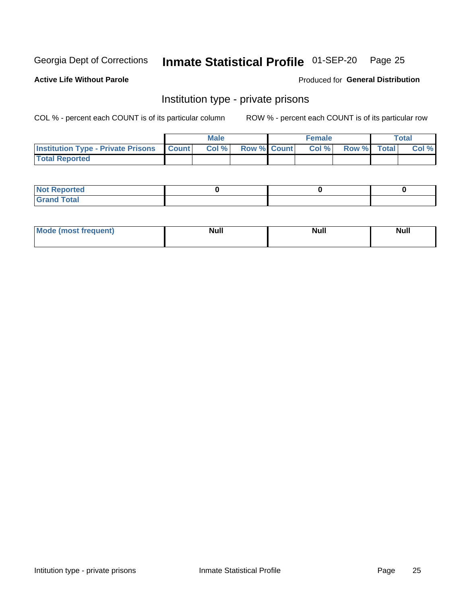## Inmate Statistical Profile 01-SEP-20 Page 25

**Active Life Without Parole** 

Produced for General Distribution

### Institution type - private prisons

COL % - percent each COUNT is of its particular column

|                                                 | <b>Male</b> |      |                    | <b>Female</b> |       |             | Total |       |
|-------------------------------------------------|-------------|------|--------------------|---------------|-------|-------------|-------|-------|
| <b>Institution Type - Private Prisons Count</b> |             | Col% | <b>Row % Count</b> |               | Col % | Row % Total |       | Col % |
| <b>Total Reported</b>                           |             |      |                    |               |       |             |       |       |

| <b>Reported</b><br><b>NOT</b><br>$\sim$            |  |  |
|----------------------------------------------------|--|--|
| $f$ $f \circ f \circ f$<br>$C = 1$<br><b>TULAI</b> |  |  |

| <b>Mo</b><br>frequent) | <b>Null</b> | <b>Null</b> | . . I *<br><b>IVUII</b> |
|------------------------|-------------|-------------|-------------------------|
|                        |             |             |                         |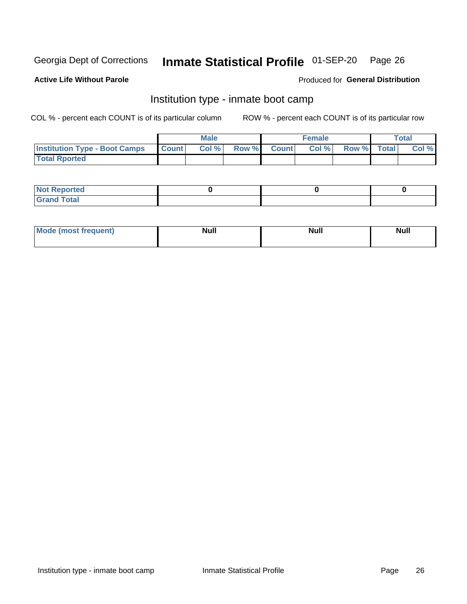#### Inmate Statistical Profile 01-SEP-20 Page 26

#### **Active Life Without Parole**

#### Produced for General Distribution

### Institution type - inmate boot camp

COL % - percent each COUNT is of its particular column

|                                      | <b>Male</b>  |       |               |              | <b>Female</b> | <b>Total</b> |  |       |
|--------------------------------------|--------------|-------|---------------|--------------|---------------|--------------|--|-------|
| <b>Institution Type - Boot Camps</b> | <b>Count</b> | Col % | <b>Row %I</b> | <b>Count</b> | Col %         | Row % Total  |  | Col % |
| <b>Total Rported</b>                 |              |       |               |              |               |              |  |       |

| <b>Not Reported</b>            |  |  |
|--------------------------------|--|--|
| <b>Total</b><br>C <sub>r</sub> |  |  |

| Mod<br>uamo | Nul.<br>$- - - - - -$ | <b>Null</b> | . .<br>uu.<br>------ |
|-------------|-----------------------|-------------|----------------------|
|             |                       |             |                      |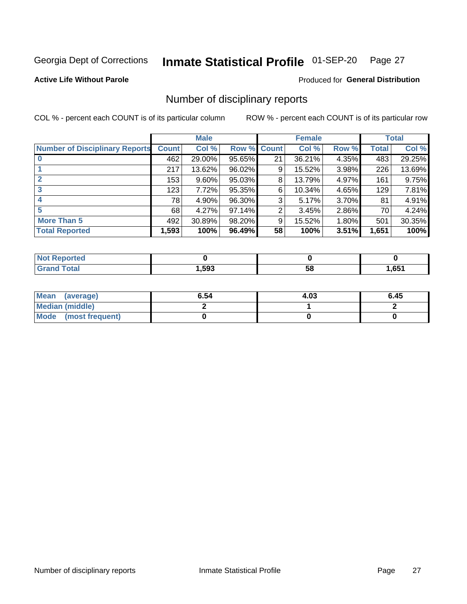#### Inmate Statistical Profile 01-SEP-20 Page 27

**Active Life Without Parole** 

Produced for General Distribution

### Number of disciplinary reports

COL % - percent each COUNT is of its particular column

|                                       | <b>Male</b>  |          |             |    | <b>Female</b> | <b>Total</b> |       |        |
|---------------------------------------|--------------|----------|-------------|----|---------------|--------------|-------|--------|
| <b>Number of Disciplinary Reports</b> | <b>Count</b> | Col %    | Row % Count |    | Col %         | Row %        | Total | Col %  |
|                                       | 462          | 29.00%   | 95.65%      | 21 | 36.21%        | 4.35%        | 483   | 29.25% |
|                                       | 217          | 13.62%   | 96.02%      | 9  | 15.52%        | 3.98%        | 226   | 13.69% |
|                                       | 153          | $9.60\%$ | 95.03%      | 8  | 13.79%        | 4.97%        | 161   | 9.75%  |
| 3                                     | 123          | 7.72%    | 95.35%      | 6  | 10.34%        | 4.65%        | 129   | 7.81%  |
|                                       | 78           | 4.90%    | 96.30%      | 3  | 5.17%         | 3.70%        | 81    | 4.91%  |
| 5                                     | 68           | 4.27%    | 97.14%      | 2  | 3.45%         | 2.86%        | 70    | 4.24%  |
| <b>More Than 5</b>                    | 492          | 30.89%   | 98.20%      | 9  | 15.52%        | 1.80%        | 501   | 30.35% |
| <b>Total Reported</b>                 | 1,593        | 100%     | 96.49%      | 58 | 100%          | 3.51%        | 1,651 | 100%   |

| тео<br>NO |      |    |                |
|-----------|------|----|----------------|
| Гоtal     | ,593 | 58 | CE4<br>ו כס, ו |

| Mean (average)       | 6.54 | 4.03 | 6.45 |
|----------------------|------|------|------|
| Median (middle)      |      |      |      |
| Mode (most frequent) |      |      |      |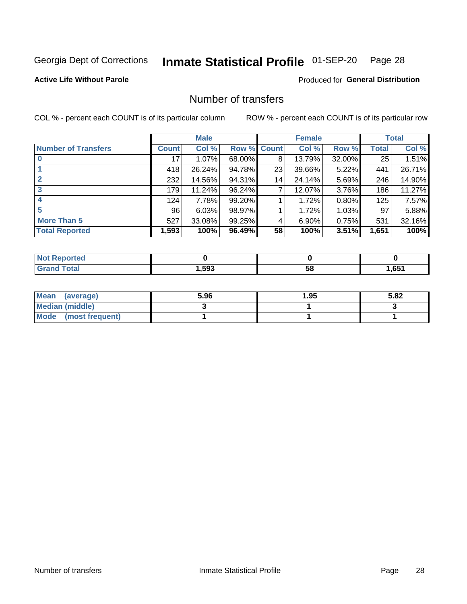## Inmate Statistical Profile 01-SEP-20 Page 28

**Active Life Without Parole** 

**Produced for General Distribution** 

### Number of transfers

COL % - percent each COUNT is of its particular column

|                            |              | <b>Male</b> |             |    | <b>Female</b> |          |              | <b>Total</b> |
|----------------------------|--------------|-------------|-------------|----|---------------|----------|--------------|--------------|
| <b>Number of Transfers</b> | <b>Count</b> | Col %       | Row % Count |    | Col %         | Row %    | <b>Total</b> | Col %        |
|                            | 17           | $1.07\%$    | 68.00%      | 8  | 13.79%        | 32.00%   | 25           | 1.51%        |
|                            | 418          | 26.24%      | 94.78%      | 23 | 39.66%        | 5.22%    | 441          | 26.71%       |
| $\mathbf{2}$               | 232          | 14.56%      | 94.31%      | 14 | 24.14%        | 5.69%    | 246          | 14.90%       |
| 3                          | 179          | 11.24%      | 96.24%      | 7  | 12.07%        | 3.76%    | 186          | 11.27%       |
|                            | 124          | 7.78%       | 99.20%      |    | 1.72%         | 0.80%    | 125          | 7.57%        |
| 5                          | 96           | 6.03%       | 98.97%      |    | 1.72%         | $1.03\%$ | 97           | 5.88%        |
| <b>More Than 5</b>         | 527          | 33.08%      | 99.25%      | 4  | 6.90%         | 0.75%    | 531          | 32.16%       |
| <b>Total Reported</b>      | 1,593        | 100%        | 96.49%      | 58 | 100%          | 3.51%    | 1,651        | 100%         |

| prted<br>NOT F    |      |    |      |
|-------------------|------|----|------|
| <sup>-</sup> otal | ,593 | 58 | .651 |

| Mean (average)       | 5.96 | 1.95 | 5.82 |
|----------------------|------|------|------|
| Median (middle)      |      |      |      |
| Mode (most frequent) |      |      |      |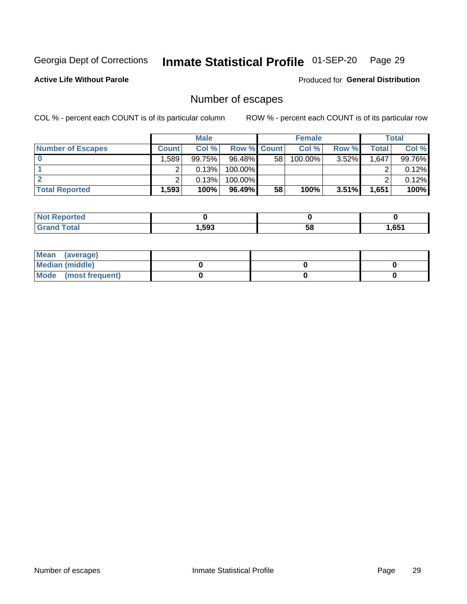## Inmate Statistical Profile 01-SEP-20 Page 29

**Active Life Without Parole** 

Produced for General Distribution

### Number of escapes

COL % - percent each COUNT is of its particular column

|                          |                   | <b>Male</b> |                    |    | <b>Female</b> |          |       | <b>Total</b> |
|--------------------------|-------------------|-------------|--------------------|----|---------------|----------|-------|--------------|
| <b>Number of Escapes</b> | Count l           | Col %       | <b>Row % Count</b> |    | Col %         | Row %    | Total | Col %        |
|                          | .589 <sup>1</sup> | 99.75%      | $96.48\%$          | 58 | 100.00%       | $3.52\%$ | 1,647 | 99.76%       |
|                          |                   | 0.13%       | 100.00%            |    |               |          |       | 0.12%        |
|                          |                   | 0.13%       | 100.00%            |    |               |          |       | 0.12%        |
| <b>Total Reported</b>    | $.593$ $^{\circ}$ | 100%        | 96.49%             | 58 | 100%          | $3.51\%$ | 1,651 | 100%         |

| <b>Not Reported</b> |      |    |       |
|---------------------|------|----|-------|
| <b>Grand Total</b>  | ,593 | 58 | 1,651 |

| Mean (average)       |  |  |
|----------------------|--|--|
| Median (middle)      |  |  |
| Mode (most frequent) |  |  |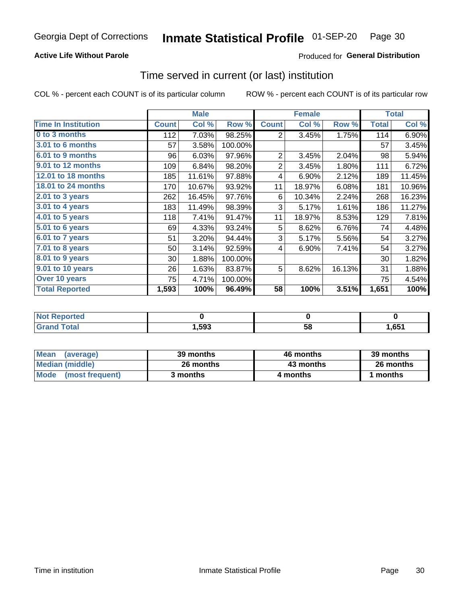#### **Active Life Without Parole**

### **Produced for General Distribution**

### Time served in current (or last) institution

COL % - percent each COUNT is of its particular column

|                            |              | <b>Male</b> |         |                | <b>Female</b> | <b>Total</b> |              |        |
|----------------------------|--------------|-------------|---------|----------------|---------------|--------------|--------------|--------|
| <b>Time In Institution</b> | <b>Count</b> | Col %       | Row %   | <b>Count</b>   | Col %         | Row %        | <b>Total</b> | Col %  |
| 0 to 3 months              | 112          | 7.03%       | 98.25%  | 2              | 3.45%         | 1.75%        | 114          | 6.90%  |
| 3.01 to 6 months           | 57           | 3.58%       | 100.00% |                |               |              | 57           | 3.45%  |
| 6.01 to 9 months           | 96           | 6.03%       | 97.96%  | $\overline{2}$ | 3.45%         | 2.04%        | 98           | 5.94%  |
| 9.01 to 12 months          | 109          | 6.84%       | 98.20%  | $\overline{2}$ | 3.45%         | 1.80%        | 111          | 6.72%  |
| 12.01 to 18 months         | 185          | 11.61%      | 97.88%  | 4              | 6.90%         | 2.12%        | 189          | 11.45% |
| <b>18.01 to 24 months</b>  | 170          | 10.67%      | 93.92%  | 11             | 18.97%        | 6.08%        | 181          | 10.96% |
| 2.01 to 3 years            | 262          | 16.45%      | 97.76%  | 6              | 10.34%        | 2.24%        | 268          | 16.23% |
| 3.01 to 4 years            | 183          | 11.49%      | 98.39%  | 3              | 5.17%         | 1.61%        | 186          | 11.27% |
| 4.01 to 5 years            | 118          | 7.41%       | 91.47%  | 11             | 18.97%        | 8.53%        | 129          | 7.81%  |
| 5.01 to 6 years            | 69           | 4.33%       | 93.24%  | 5              | 8.62%         | 6.76%        | 74           | 4.48%  |
| 6.01 to 7 years            | 51           | 3.20%       | 94.44%  | 3              | 5.17%         | 5.56%        | 54           | 3.27%  |
| $7.01$ to 8 years          | 50           | 3.14%       | 92.59%  | 4              | 6.90%         | 7.41%        | 54           | 3.27%  |
| $8.01$ to 9 years          | 30           | 1.88%       | 100.00% |                |               |              | 30           | 1.82%  |
| 9.01 to 10 years           | 26           | 1.63%       | 83.87%  | 5              | 8.62%         | 16.13%       | 31           | 1.88%  |
| Over 10 years              | 75           | 4.71%       | 100.00% |                |               |              | 75           | 4.54%  |
| <b>Total Reported</b>      | 1,593        | 100%        | 96.49%  | 58             | 100%          | 3.51%        | 1,651        | 100%   |

| <b>Not Reported</b> |       |    |      |
|---------------------|-------|----|------|
| Total               | 593،، | วง | ,651 |

| <b>Mean</b><br>(average) | 39 months | 46 months | 39 months |
|--------------------------|-----------|-----------|-----------|
| Median (middle)          | 26 months | 43 months | 26 months |
| Mode (most frequent)     | 3 months  | 4 months  | 1 months  |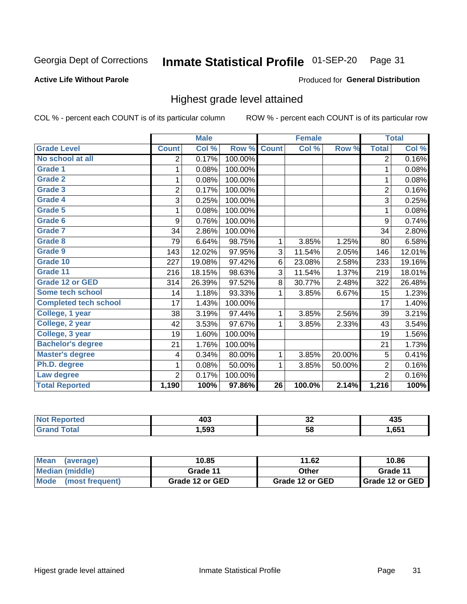#### Inmate Statistical Profile 01-SEP-20 Page 31

#### **Active Life Without Parole**

#### Produced for General Distribution

### Highest grade level attained

COL % - percent each COUNT is of its particular column

|                              |                | <b>Male</b> |         |                 | <b>Female</b> |        |                | <b>Total</b> |
|------------------------------|----------------|-------------|---------|-----------------|---------------|--------|----------------|--------------|
| <b>Grade Level</b>           | <b>Count</b>   | Col %       | Row %   | <b>Count</b>    | Col %         | Row %  | <b>Total</b>   | Col %        |
| No school at all             | 2              | 0.17%       | 100.00% |                 |               |        | $\overline{2}$ | 0.16%        |
| <b>Grade 1</b>               | 1              | 0.08%       | 100.00% |                 |               |        | 1              | 0.08%        |
| <b>Grade 2</b>               | 1              | 0.08%       | 100.00% |                 |               |        | 1              | 0.08%        |
| <b>Grade 3</b>               | $\overline{2}$ | 0.17%       | 100.00% |                 |               |        | $\overline{2}$ | 0.16%        |
| Grade 4                      | 3              | 0.25%       | 100.00% |                 |               |        | 3              | 0.25%        |
| Grade 5                      | 1              | 0.08%       | 100.00% |                 |               |        | 1              | 0.08%        |
| Grade 6                      | 9              | 0.76%       | 100.00% |                 |               |        | 9              | 0.74%        |
| Grade 7                      | 34             | 2.86%       | 100.00% |                 |               |        | 34             | 2.80%        |
| <b>Grade 8</b>               | 79             | 6.64%       | 98.75%  | 1               | 3.85%         | 1.25%  | 80             | 6.58%        |
| Grade 9                      | 143            | 12.02%      | 97.95%  | 3               | 11.54%        | 2.05%  | 146            | 12.01%       |
| Grade 10                     | 227            | 19.08%      | 97.42%  | 6               | 23.08%        | 2.58%  | 233            | 19.16%       |
| Grade 11                     | 216            | 18.15%      | 98.63%  | 3               | 11.54%        | 1.37%  | 219            | 18.01%       |
| <b>Grade 12 or GED</b>       | 314            | 26.39%      | 97.52%  | 8               | 30.77%        | 2.48%  | 322            | 26.48%       |
| Some tech school             | 14             | 1.18%       | 93.33%  | 1               | 3.85%         | 6.67%  | 15             | 1.23%        |
| <b>Completed tech school</b> | 17             | 1.43%       | 100.00% |                 |               |        | 17             | 1.40%        |
| College, 1 year              | 38             | 3.19%       | 97.44%  | 1               | 3.85%         | 2.56%  | 39             | 3.21%        |
| College, 2 year              | 42             | 3.53%       | 97.67%  | 1               | 3.85%         | 2.33%  | 43             | 3.54%        |
| College, 3 year              | 19             | 1.60%       | 100.00% |                 |               |        | 19             | 1.56%        |
| <b>Bachelor's degree</b>     | 21             | 1.76%       | 100.00% |                 |               |        | 21             | 1.73%        |
| <b>Master's degree</b>       | 4              | 0.34%       | 80.00%  | 1               | 3.85%         | 20.00% | 5              | 0.41%        |
| Ph.D. degree                 | 1              | 0.08%       | 50.00%  | 1               | 3.85%         | 50.00% | $\overline{2}$ | 0.16%        |
| Law degree                   | $\overline{2}$ | 0.17%       | 100.00% |                 |               |        | $\overline{2}$ | 0.16%        |
| <b>Total Reported</b>        | 1,190          | 100%        | 97.86%  | $\overline{26}$ | 100.0%        | 2.14%  | 1,216          | 100%         |

| rteo        | 100   | ^^  | ---  |
|-------------|-------|-----|------|
| NO          | TV~   | ◡▵  | ーマー  |
| <b>Utal</b> | 1,593 | -58 | .651 |

| Mean<br>(average)       | 10.85           | 11.62           | 10.86           |
|-------------------------|-----------------|-----------------|-----------------|
| <b>Median (middle)</b>  | Grade 11        | Other           | Grade 11        |
| Mode<br>(most frequent) | Grade 12 or GED | Grade 12 or GED | Grade 12 or GED |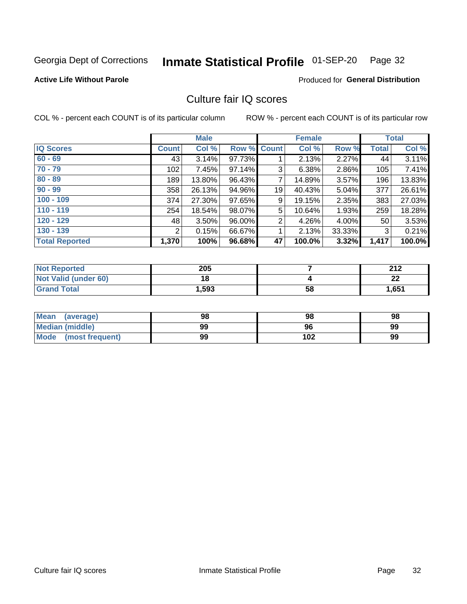#### Inmate Statistical Profile 01-SEP-20 Page 32

#### **Active Life Without Parole**

#### **Produced for General Distribution**

### Culture fair IQ scores

COL % - percent each COUNT is of its particular column

|                       |                       | <b>Male</b> |        |                | <b>Female</b> |          |              | <b>Total</b> |
|-----------------------|-----------------------|-------------|--------|----------------|---------------|----------|--------------|--------------|
| <b>IQ Scores</b>      | <b>Count</b>          | Col %       | Row %  | Count          | Col %         | Row %    | <b>Total</b> | Col %        |
| $60 - 69$             | 43                    | 3.14%       | 97.73% |                | 2.13%         | 2.27%    | 44           | 3.11%        |
| $70 - 79$             | 102                   | 7.45%       | 97.14% | 3              | 6.38%         | 2.86%    | 105          | 7.41%        |
| $80 - 89$             | 189                   | $13.80\%$   | 96.43% | 7              | 14.89%        | 3.57%    | 196          | 13.83%       |
| $90 - 99$             | 358                   | 26.13%      | 94.96% | 19             | 40.43%        | 5.04%    | 377          | 26.61%       |
| $100 - 109$           | 374                   | 27.30%      | 97.65% | 9              | 19.15%        | 2.35%    | 383          | 27.03%       |
| $110 - 119$           | 254                   | 18.54%      | 98.07% | 5              | 10.64%        | 1.93%    | 259          | 18.28%       |
| $120 - 129$           | 48                    | $3.50\%$    | 96.00% | $\overline{2}$ | 4.26%         | $4.00\%$ | 50           | 3.53%        |
| $130 - 139$           | $\mathbf{2}^{\prime}$ | 0.15%       | 66.67% | 1              | 2.13%         | 33.33%   | 3            | 0.21%        |
| <b>Total Reported</b> | 1,370                 | 100%        | 96.68% | 47             | 100.0%        | 3.32%    | 1,417        | 100.0%       |

| <b>Not Reported</b>  | 205   |    | າ4 າ    |
|----------------------|-------|----|---------|
| Not Valid (under 60) | 18    |    | ົ<br>LL |
| <b>Grand Total</b>   | 1,593 | 58 | 1,651   |

| Mean<br>(average)       | 98 | 98  | 98 |
|-------------------------|----|-----|----|
| <b>Median (middle)</b>  | 99 | 96  | 99 |
| Mode<br>(most frequent) | 99 | 102 | 99 |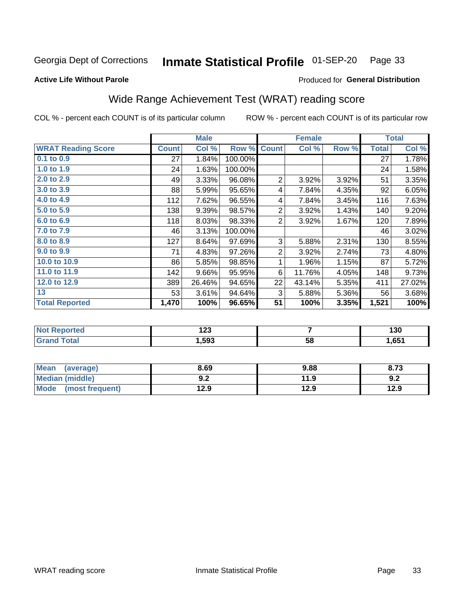#### Inmate Statistical Profile 01-SEP-20 Page 33

Produced for General Distribution

#### **Active Life Without Parole**

### Wide Range Achievement Test (WRAT) reading score

COL % - percent each COUNT is of its particular column

|                           | <b>Male</b><br><b>Female</b> |        |         | <b>Total</b>   |        |       |              |        |
|---------------------------|------------------------------|--------|---------|----------------|--------|-------|--------------|--------|
| <b>WRAT Reading Score</b> | <b>Count</b>                 | Col %  | Row %   | <b>Count</b>   | Col %  | Row % | <b>Total</b> | Col %  |
| 0.1 to 0.9                | 27                           | 1.84%  | 100.00% |                |        |       | 27           | 1.78%  |
| 1.0 to 1.9                | 24                           | 1.63%  | 100.00% |                |        |       | 24           | 1.58%  |
| 2.0 to 2.9                | 49                           | 3.33%  | 96.08%  | $\overline{2}$ | 3.92%  | 3.92% | 51           | 3.35%  |
| 3.0 to 3.9                | 88                           | 5.99%  | 95.65%  | 4              | 7.84%  | 4.35% | 92           | 6.05%  |
| 4.0 to 4.9                | 112                          | 7.62%  | 96.55%  | 4              | 7.84%  | 3.45% | 116          | 7.63%  |
| 5.0 to 5.9                | 138                          | 9.39%  | 98.57%  | $\overline{2}$ | 3.92%  | 1.43% | 140          | 9.20%  |
| 6.0 to 6.9                | 118                          | 8.03%  | 98.33%  | $\overline{2}$ | 3.92%  | 1.67% | 120          | 7.89%  |
| 7.0 to 7.9                | 46                           | 3.13%  | 100.00% |                |        |       | 46           | 3.02%  |
| 8.0 to 8.9                | 127                          | 8.64%  | 97.69%  | 3              | 5.88%  | 2.31% | 130          | 8.55%  |
| 9.0 to 9.9                | 71                           | 4.83%  | 97.26%  | $\overline{2}$ | 3.92%  | 2.74% | 73           | 4.80%  |
| 10.0 to 10.9              | 86                           | 5.85%  | 98.85%  | 1              | 1.96%  | 1.15% | 87           | 5.72%  |
| 11.0 to 11.9              | 142                          | 9.66%  | 95.95%  | 6              | 11.76% | 4.05% | 148          | 9.73%  |
| 12.0 to 12.9              | 389                          | 26.46% | 94.65%  | 22             | 43.14% | 5.35% | 411          | 27.02% |
| 13                        | 53                           | 3.61%  | 94.64%  | 3              | 5.88%  | 5.36% | 56           | 3.68%  |
| <b>Total Reported</b>     | 1,470                        | 100%   | 96.65%  | 51             | 100%   | 3.35% | 1,521        | 100%   |
|                           |                              |        |         |                |        |       |              |        |

| <b>Not Reported</b> | י ה<br>12J |    | 130   |
|---------------------|------------|----|-------|
| <b>Grand Total</b>  | .,593      | 58 | 1,651 |

| <b>Mean</b><br>(average) | 8.69       | 9.88 | 8.73 |
|--------------------------|------------|------|------|
| Median (middle)          | י ה<br>J.Z | 11.9 | 9.2  |
| Mode<br>(most frequent)  | 12.9       | 12.9 | 12.9 |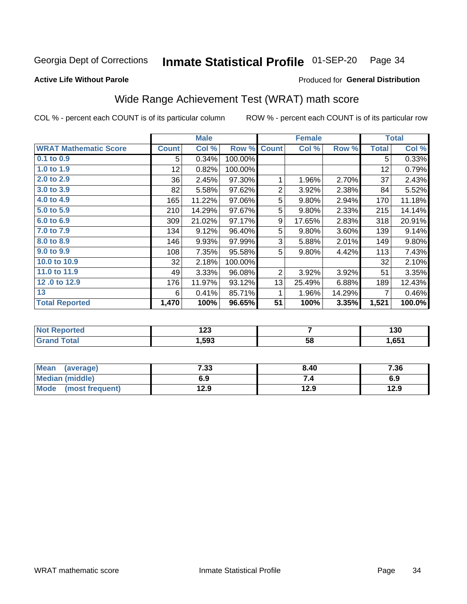#### Inmate Statistical Profile 01-SEP-20 Page 34

#### **Active Life Without Parole**

### Produced for General Distribution

### Wide Range Achievement Test (WRAT) math score

COL % - percent each COUNT is of its particular column

|                              | <b>Male</b>  |        |         | <b>Female</b>  | <b>Total</b> |        |              |        |
|------------------------------|--------------|--------|---------|----------------|--------------|--------|--------------|--------|
| <b>WRAT Mathematic Score</b> | <b>Count</b> | Col %  | Row %   | <b>Count</b>   | Col %        | Row %  | <b>Total</b> | Col %  |
| $0.1$ to $0.9$               | 5            | 0.34%  | 100.00% |                |              |        | 5            | 0.33%  |
| 1.0 to 1.9                   | 12           | 0.82%  | 100.00% |                |              |        | 12           | 0.79%  |
| 2.0 to 2.9                   | 36           | 2.45%  | 97.30%  | 1              | 1.96%        | 2.70%  | 37           | 2.43%  |
| 3.0 to 3.9                   | 82           | 5.58%  | 97.62%  | $\overline{2}$ | 3.92%        | 2.38%  | 84           | 5.52%  |
| 4.0 to 4.9                   | 165          | 11.22% | 97.06%  | 5              | 9.80%        | 2.94%  | 170          | 11.18% |
| 5.0 to 5.9                   | 210          | 14.29% | 97.67%  | 5              | 9.80%        | 2.33%  | 215          | 14.14% |
| 6.0 to 6.9                   | 309          | 21.02% | 97.17%  | 9              | 17.65%       | 2.83%  | 318          | 20.91% |
| 7.0 to 7.9                   | 134          | 9.12%  | 96.40%  | 5              | 9.80%        | 3.60%  | 139          | 9.14%  |
| 8.0 to 8.9                   | 146          | 9.93%  | 97.99%  | 3              | 5.88%        | 2.01%  | 149          | 9.80%  |
| 9.0 to 9.9                   | 108          | 7.35%  | 95.58%  | 5              | 9.80%        | 4.42%  | 113          | 7.43%  |
| 10.0 to 10.9                 | 32           | 2.18%  | 100.00% |                |              |        | 32           | 2.10%  |
| 11.0 to 11.9                 | 49           | 3.33%  | 96.08%  | $\overline{2}$ | 3.92%        | 3.92%  | 51           | 3.35%  |
| 12.0 to 12.9                 | 176          | 11.97% | 93.12%  | 13             | 25.49%       | 6.88%  | 189          | 12.43% |
| 13                           | 6            | 0.41%  | 85.71%  | 1              | 1.96%        | 14.29% | 7            | 0.46%  |
| <b>Total Reported</b>        | 1,470        | 100%   | 96.65%  | 51             | 100%         | 3.35%  | 1,521        | 100.0% |
|                              |              |        |         |                |              |        |              |        |

| <b>Not Reported</b>    | .<br>ن ع ا |    | 130   |
|------------------------|------------|----|-------|
| <b>Total</b><br>'Grand | 1,593      | 58 | 1,651 |

| <b>Mean</b><br>(average)       | 7.33 | 8.40 | 7.36 |
|--------------------------------|------|------|------|
| <b>Median (middle)</b>         | 6.9  |      | 6.9  |
| <b>Mode</b><br>(most frequent) | l2.9 | 12.9 | 12.9 |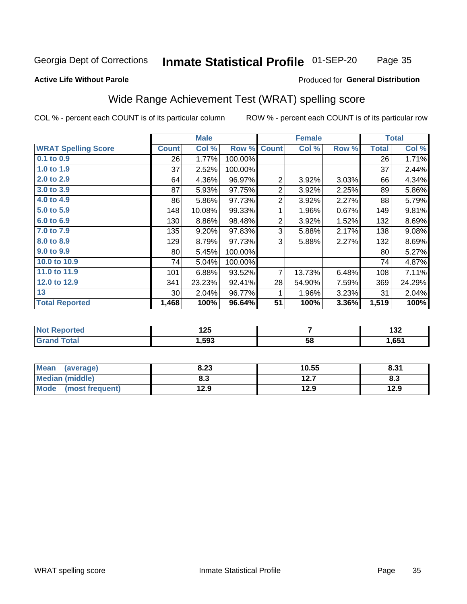#### Inmate Statistical Profile 01-SEP-20 Page 35

#### **Active Life Without Parole**

#### Produced for General Distribution

### Wide Range Achievement Test (WRAT) spelling score

COL % - percent each COUNT is of its particular column

ROW % - percent each COUNT is of its particular row

 $\overline{58}$ 

|                            |              | <b>Male</b> |         |                | <b>Female</b>           |       |              | <b>Total</b> |
|----------------------------|--------------|-------------|---------|----------------|-------------------------|-------|--------------|--------------|
| <b>WRAT Spelling Score</b> | <b>Count</b> | Col %       | Row %   | <b>Count</b>   | Col %                   | Row % | <b>Total</b> | Col %        |
| 0.1 to 0.9                 | 26           | 1.77%       | 100.00% |                |                         |       | 26           | 1.71%        |
| 1.0 to 1.9                 | 37           | 2.52%       | 100.00% |                |                         |       | 37           | 2.44%        |
| 2.0 to 2.9                 | 64           | 4.36%       | 96.97%  | $\overline{2}$ | 3.92%                   | 3.03% | 66           | 4.34%        |
| 3.0 to 3.9                 | 87           | 5.93%       | 97.75%  | $\overline{2}$ | 3.92%                   | 2.25% | 89           | 5.86%        |
| 4.0 to 4.9                 | 86           | 5.86%       | 97.73%  | $\overline{c}$ | 3.92%                   | 2.27% | 88           | 5.79%        |
| 5.0 to 5.9                 | 148          | 10.08%      | 99.33%  | 1              | 1.96%                   | 0.67% | 149          | 9.81%        |
| 6.0 to 6.9                 | 130          | 8.86%       | 98.48%  | $\overline{c}$ | 3.92%                   | 1.52% | 132          | 8.69%        |
| 7.0 to 7.9                 | 135          | 9.20%       | 97.83%  | 3              | 5.88%                   | 2.17% | 138          | 9.08%        |
| 8.0 to 8.9                 | 129          | 8.79%       | 97.73%  | 3              | 5.88%                   | 2.27% | 132          | 8.69%        |
| 9.0 to 9.9                 | 80           | 5.45%       | 100.00% |                |                         |       | 80           | 5.27%        |
| 10.0 to 10.9               | 74           | 5.04%       | 100.00% |                |                         |       | 74           | 4.87%        |
| 11.0 to 11.9               | 101          | 6.88%       | 93.52%  | 7              | 13.73%                  | 6.48% | 108          | 7.11%        |
| 12.0 to 12.9               | 341          | 23.23%      | 92.41%  | 28             | 54.90%                  | 7.59% | 369          | 24.29%       |
| 13                         | 30           | 2.04%       | 96.77%  | 1              | 1.96%                   | 3.23% | 31           | 2.04%        |
| <b>Total Reported</b>      | 1,468        | 100%        | 96.64%  | 51             | 100%                    | 3.36% | 1,519        | 100%         |
|                            |              |             |         |                |                         |       |              |              |
| <b>Not Reported</b>        |              | 125         |         |                | $\overline{\mathbf{r}}$ |       |              | 132          |

| <b>Mean</b><br>(average)       | 8.23 | 10.55        | 8.31 |
|--------------------------------|------|--------------|------|
| <b>Median (middle)</b>         | o. J | 127<br>I 4.I | ი.ა  |
| <b>Mode</b><br>(most frequent) | 12.9 | 12.9         | 12.9 |

 $1,593$ 

**Grand Total** 

 $1,651$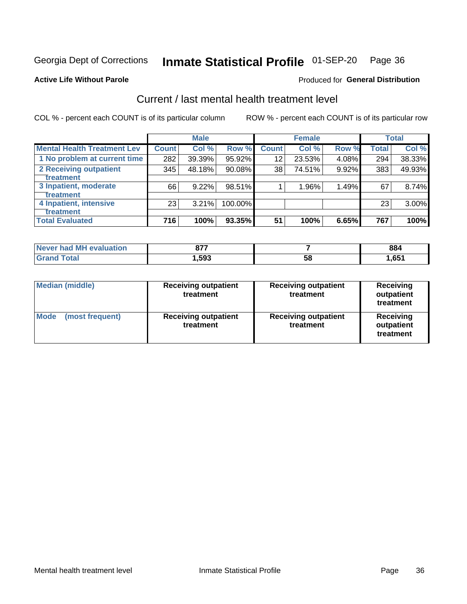#### Inmate Statistical Profile 01-SEP-20 Page 36

Produced for General Distribution

#### **Active Life Without Parole**

### Current / last mental health treatment level

COL % - percent each COUNT is of its particular column

|                                    |              | <b>Male</b> |           |              | <b>Female</b> |       |       | <b>Total</b> |
|------------------------------------|--------------|-------------|-----------|--------------|---------------|-------|-------|--------------|
| <b>Mental Health Treatment Lev</b> | <b>Count</b> | Col %       | Row %     | <b>Count</b> | Col %         | Row % | Total | Col %        |
| 1 No problem at current time       | 282          | 39.39%      | 95.92%    | 12           | 23.53%        | 4.08% | 294   | 38.33%       |
| 2 Receiving outpatient             | 345          | 48.18%      | $90.08\%$ | 38           | 74.51%        | 9.92% | 383   | 49.93%       |
| <b>Treatment</b>                   |              |             |           |              |               |       |       |              |
| 3 Inpatient, moderate              | 66           | 9.22%       | 98.51%    |              | 1.96%         | 1.49% | 67    | 8.74%        |
| <b>Treatment</b>                   |              |             |           |              |               |       |       |              |
| 4 Inpatient, intensive             | 23           | 3.21%       | 100.00%   |              |               |       | 23    | 3.00%        |
| Treatment                          |              |             |           |              |               |       |       |              |
| <b>Total Evaluated</b>             | 716          | 100%        | 93.35%    | 51           | 100%          | 6.65% | 767   | 100%         |

| Never had MH evaluation | ヘラフ<br>01. |    | 884  |
|-------------------------|------------|----|------|
| ⊺otal                   | .,593      | 58 | ,651 |

| <b>Median (middle)</b>         | <b>Receiving outpatient</b><br>treatment | <b>Receiving outpatient</b><br>treatment | <b>Receiving</b><br>outpatient<br>treatment |  |
|--------------------------------|------------------------------------------|------------------------------------------|---------------------------------------------|--|
| <b>Mode</b><br>(most frequent) | <b>Receiving outpatient</b><br>treatment | <b>Receiving outpatient</b><br>treatment | <b>Receiving</b><br>outpatient<br>treatment |  |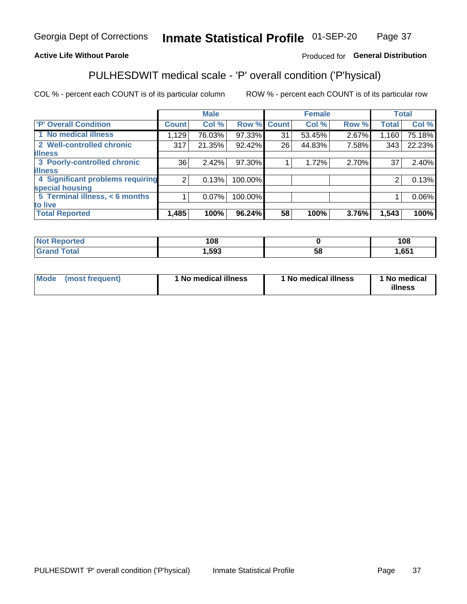#### Inmate Statistical Profile 01-SEP-20 Page 37

#### **Active Life Without Parole**

#### Produced for General Distribution

### PULHESDWIT medical scale - 'P' overall condition ('P'hysical)

COL % - percent each COUNT is of its particular column

|                                  |                | <b>Male</b> |             |    | <b>Female</b> |       |              | <b>Total</b> |
|----------------------------------|----------------|-------------|-------------|----|---------------|-------|--------------|--------------|
| 'P' Overall Condition            | <b>Count</b>   | Col %       | Row % Count |    | Col %         | Row % | <b>Total</b> | Col %        |
| 1 No medical illness             | 1,129          | 76.03%      | 97.33%      | 31 | 53.45%        | 2.67% | 1,160        | 75.18%       |
| 2 Well-controlled chronic        | 317            | 21.35%      | 92.42%      | 26 | 44.83%        | 7.58% | 343          | 22.23%       |
| <b>lillness</b>                  |                |             |             |    |               |       |              |              |
| 3 Poorly-controlled chronic      | 36             | 2.42%       | 97.30%      |    | 1.72%         | 2.70% | 37           | 2.40%        |
| <b>illness</b>                   |                |             |             |    |               |       |              |              |
| 4 Significant problems requiring | 2 <sub>1</sub> | 0.13%       | 100.00%     |    |               |       | 2            | 0.13%        |
| special housing                  |                |             |             |    |               |       |              |              |
| 5 Terminal illness, < 6 months   |                | 0.07%       | 100.00%     |    |               |       |              | 0.06%        |
| to live                          |                |             |             |    |               |       |              |              |
| <b>Total Reported</b>            | 1,485          | 100%        | 96.24%      | 58 | 100%          | 3.76% | 1,543        | 100%         |

| rteo<br>.          | 108    |    | 108  |
|--------------------|--------|----|------|
| $\sim$ 40<br>_____ | 593, ا | ၁၀ | ,651 |

|  |  | Mode (most frequent) | 1 No medical illness | 1 No medical illness | 1 No medical<br>illness |
|--|--|----------------------|----------------------|----------------------|-------------------------|
|--|--|----------------------|----------------------|----------------------|-------------------------|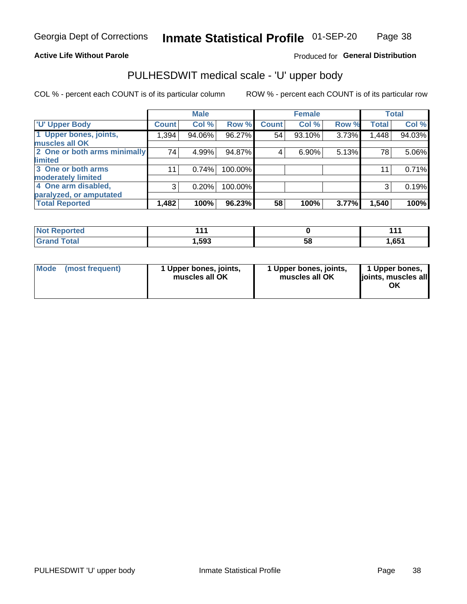#### **Active Life Without Parole**

### Produced for General Distribution

### PULHESDWIT medical scale - 'U' upper body

COL % - percent each COUNT is of its particular column

|                              |              | <b>Male</b> |         |              | <b>Female</b> |       |              | <b>Total</b> |
|------------------------------|--------------|-------------|---------|--------------|---------------|-------|--------------|--------------|
| <b>'U' Upper Body</b>        | <b>Count</b> | Col %       | Row %   | <b>Count</b> | Col %         | Row % | <b>Total</b> | Col %        |
| 1 Upper bones, joints,       | 1,394        | 94.06%      | 96.27%  | 54           | 93.10%        | 3.73% | 1,448        | 94.03%       |
| muscles all OK               |              |             |         |              |               |       |              |              |
| 2 One or both arms minimally | 74           | 4.99%       | 94.87%  | 4            | 6.90%         | 5.13% | 78           | 5.06%        |
| limited                      |              |             |         |              |               |       |              |              |
| 3 One or both arms           | 11           | 0.74%       | 100.00% |              |               |       | 11           | 0.71%        |
| <b>moderately limited</b>    |              |             |         |              |               |       |              |              |
| 4 One arm disabled,          | 3            | 0.20%       | 100.00% |              |               |       | 3            | 0.19%        |
| paralyzed, or amputated      |              |             |         |              |               |       |              |              |
| <b>Total Reported</b>        | 1,482        | 100%        | 96.23%  | 58           | 100%          | 3.77% | 1,540        | 100%         |

| <b>Not Reported</b>   |      |    | 44 A |
|-----------------------|------|----|------|
| <b>Total</b><br>Grand | ,593 | 58 | ,651 |

| Mode | (most frequent) | 1 Upper bones, joints,<br>muscles all OK | 1 Upper bones, joints,<br>muscles all OK | 1 Upper bones,<br>ljoints, muscles all<br>OK |
|------|-----------------|------------------------------------------|------------------------------------------|----------------------------------------------|
|------|-----------------|------------------------------------------|------------------------------------------|----------------------------------------------|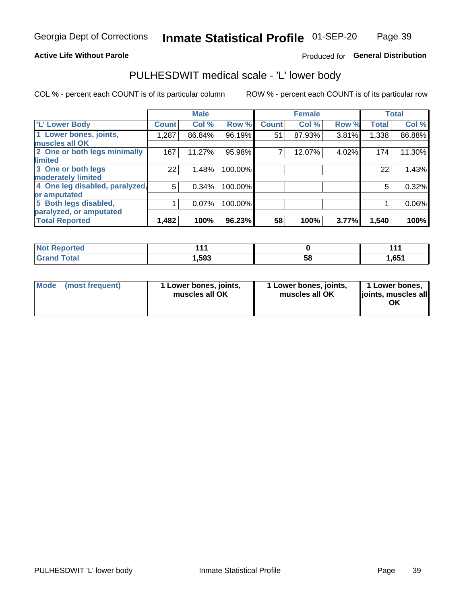#### **Active Life Without Parole**

Produced for General Distribution

### PULHESDWIT medical scale - 'L' lower body

COL % - percent each COUNT is of its particular column

|                                |              | <b>Male</b> |         |              | <b>Female</b> |       |              | <b>Total</b> |
|--------------------------------|--------------|-------------|---------|--------------|---------------|-------|--------------|--------------|
| 'L' Lower Body                 | <b>Count</b> | Col %       | Row %   | <b>Count</b> | Col %         | Row % | <b>Total</b> | Col %        |
| 1 Lower bones, joints,         | ا 287.1      | 86.84%      | 96.19%  | 51           | 87.93%        | 3.81% | 1,338        | 86.88%       |
| muscles all OK                 |              |             |         |              |               |       |              |              |
| 2 One or both legs minimally   | 167          | 11.27%      | 95.98%  |              | 12.07%        | 4.02% | 174          | 11.30%       |
| limited                        |              |             |         |              |               |       |              |              |
| 3 One or both legs             | 22           | 1.48%       | 100.00% |              |               |       | 22           | 1.43%        |
| moderately limited             |              |             |         |              |               |       |              |              |
| 4 One leg disabled, paralyzed, | 5            | 0.34%       | 100.00% |              |               |       | 5            | 0.32%        |
| or amputated                   |              |             |         |              |               |       |              |              |
| 5 Both legs disabled,          |              | 0.07%       | 100.00% |              |               |       |              | $0.06\%$     |
| paralyzed, or amputated        |              |             |         |              |               |       |              |              |
| <b>Total Reported</b>          | 1,482        | 100%        | 96.23%  | 58           | 100%          | 3.77% | 1,540        | 100%         |

| <b>Not Reported</b> |       |    |       |
|---------------------|-------|----|-------|
| <b>Grand Total</b>  | 1,593 | ວັ | 1,651 |

| Mode | (most frequent) | 1 Lower bones, joints,<br>muscles all OK | 1 Lower bones, joints,<br>muscles all OK | 1 Lower bones,<br>joints, muscles all<br>ΟK |
|------|-----------------|------------------------------------------|------------------------------------------|---------------------------------------------|
|------|-----------------|------------------------------------------|------------------------------------------|---------------------------------------------|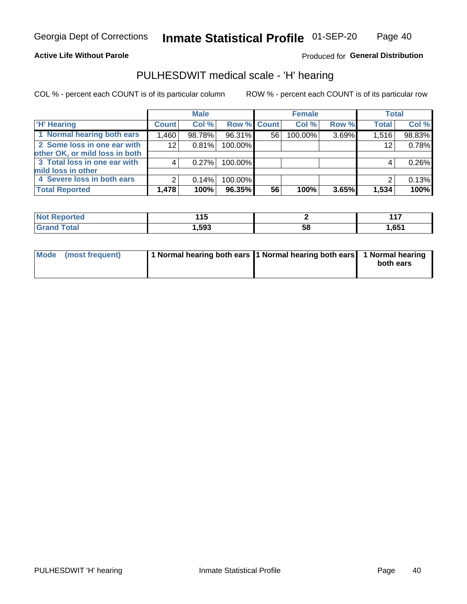#### **Active Life Without Parole**

Produced for General Distribution

### PULHESDWIT medical scale - 'H' hearing

COL % - percent each COUNT is of its particular column

|                                |              | <b>Male</b> |             |    | <b>Female</b> |       | <b>Total</b> |        |
|--------------------------------|--------------|-------------|-------------|----|---------------|-------|--------------|--------|
| <b>H' Hearing</b>              | <b>Count</b> | Col %       | Row % Count |    | Col %         | Row % | <b>Total</b> | Col %  |
| 1 Normal hearing both ears     | 1,460        | 98.78%      | 96.31%      | 56 | 100.00%       | 3.69% | 1,516        | 98.83% |
| 2 Some loss in one ear with    | 12           | 0.81%       | 100.00%     |    |               |       | 12           | 0.78%  |
| other OK, or mild loss in both |              |             |             |    |               |       |              |        |
| 3 Total loss in one ear with   | 4            | 0.27%       | 100.00%     |    |               |       | 4            | 0.26%  |
| mild loss in other             |              |             |             |    |               |       |              |        |
| 4 Severe loss in both ears     | 2            | 0.14%       | 100.00%     |    |               |       |              | 0.13%  |
| <b>Total Reported</b>          | 1,478        | 100%        | 96.35%      | 56 | 100%          | 3.65% | 1,534        | 100%   |

| 'N<br>Teo | --<br>. .<br><u> 1 J</u> |    | .<br>. |
|-----------|--------------------------|----|--------|
| ______    | いいり                      | სა | 1,651  |

| Mode (most frequent) | 1 Normal hearing both ears 1 Normal hearing both ears 1 Normal hearing | both ears |
|----------------------|------------------------------------------------------------------------|-----------|
|                      |                                                                        |           |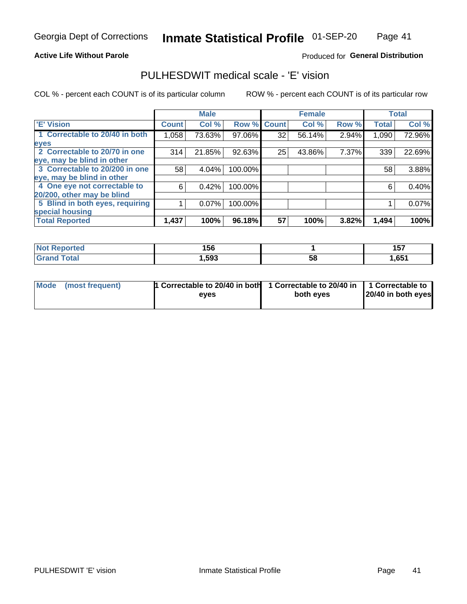#### **Active Life Without Parole**

#### Produced for General Distribution

### PULHESDWIT medical scale - 'E' vision

COL % - percent each COUNT is of its particular column

|                                 |              | <b>Male</b> |         |              | <b>Female</b> |       |              | <b>Total</b> |
|---------------------------------|--------------|-------------|---------|--------------|---------------|-------|--------------|--------------|
| <b>E' Vision</b>                | <b>Count</b> | Col %       | Row %   | <b>Count</b> | Col %         | Row % | <b>Total</b> | Col %        |
| 1 Correctable to 20/40 in both  | 1,058        | 73.63%      | 97.06%  | 32           | 56.14%        | 2.94% | 1,090        | 72.96%       |
| eyes                            |              |             |         |              |               |       |              |              |
| 2 Correctable to 20/70 in one   | 314          | 21.85%      | 92.63%  | 25           | 43.86%        | 7.37% | 339          | 22.69%       |
| eye, may be blind in other      |              |             |         |              |               |       |              |              |
| 3 Correctable to 20/200 in one  | 58           | 4.04%       | 100.00% |              |               |       | 58           | 3.88%        |
| eye, may be blind in other      |              |             |         |              |               |       |              |              |
| 4 One eye not correctable to    | 6            | 0.42%       | 100.00% |              |               |       | 6            | 0.40%        |
| 20/200, other may be blind      |              |             |         |              |               |       |              |              |
| 5 Blind in both eyes, requiring |              | 0.07%       | 100.00% |              |               |       |              | 0.07%        |
| special housing                 |              |             |         |              |               |       |              |              |
| <b>Total Reported</b>           | 1,437        | 100%        | 96.18%  | 57           | 100%          | 3.82% | 1,494        | 100%         |

| <b>orted</b><br>NOT<br>seno | 156  |    | .<br>7 h<br>1 J I |
|-----------------------------|------|----|-------------------|
| $\mathsf{Total}$            | ,593 | 58 | ,651              |

| Mode (most frequent) | 1 Correctable to 20/40 in both<br>eves | 1 Correctable to 20/40 in   1 Correctable to  <br>both eyes | 20/40 in both eyes |
|----------------------|----------------------------------------|-------------------------------------------------------------|--------------------|
|                      |                                        |                                                             |                    |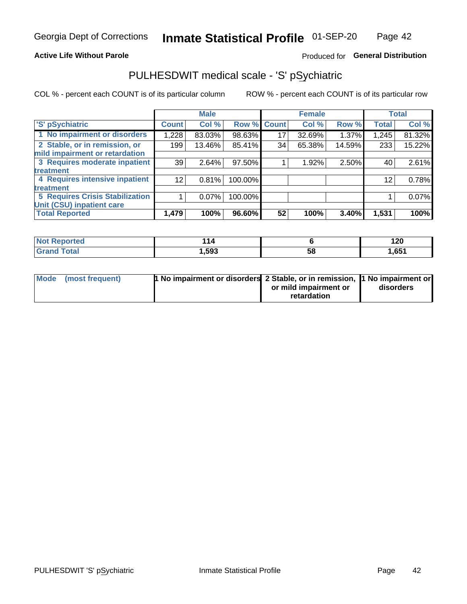#### **Active Life Without Parole**

### Produced for General Distribution

### PULHESDWIT medical scale - 'S' pSychiatric

COL % - percent each COUNT is of its particular column

|                                        |                 | <b>Male</b> |         |             | <b>Female</b> |        |              | <b>Total</b> |
|----------------------------------------|-----------------|-------------|---------|-------------|---------------|--------|--------------|--------------|
| 'S' pSychiatric                        | <b>Count</b>    | Col %       |         | Row % Count | Col %         | Row %  | <b>Total</b> | Col %        |
| 1 No impairment or disorders           | 1,228           | 83.03%      | 98.63%  | 17          | 32.69%        | 1.37%  | 1,245        | 81.32%       |
| 2 Stable, or in remission, or          | 199             | 13.46%      | 85.41%  | 34          | 65.38%        | 14.59% | 233          | 15.22%       |
| mild impairment or retardation         |                 |             |         |             |               |        |              |              |
| 3 Requires moderate inpatient          | 39              | 2.64%       | 97.50%  |             | 1.92%         | 2.50%  | 40           | 2.61%        |
| treatment                              |                 |             |         |             |               |        |              |              |
| 4 Requires intensive inpatient         | 12 <sub>1</sub> | 0.81%       | 100.00% |             |               |        | 12           | 0.78%        |
| treatment                              |                 |             |         |             |               |        |              |              |
| <b>5 Requires Crisis Stabilization</b> |                 | $0.07\%$    | 100.00% |             |               |        |              | 0.07%        |
| Unit (CSU) inpatient care              |                 |             |         |             |               |        |              |              |
| <b>Total Reported</b>                  | 1,479           | 100%        | 96.60%  | 52          | 100%          | 3.40%  | 1,531        | 100%         |

| <b>Not Reported</b> | 114  |    | 120   |
|---------------------|------|----|-------|
| <b>Grand Total</b>  | ,593 | 58 | .651, |

| Mode | (most frequent) | <b>1 No impairment or disorders</b> 2 Stable, or in remission, 1 No impairment or |                       |           |
|------|-----------------|-----------------------------------------------------------------------------------|-----------------------|-----------|
|      |                 |                                                                                   | or mild impairment or | disorders |
|      |                 |                                                                                   | retardation           |           |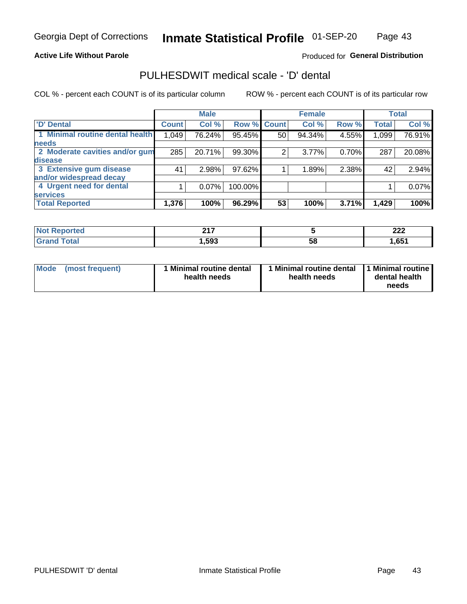#### **Active Life Without Parole**

#### Produced for General Distribution

### PULHESDWIT medical scale - 'D' dental

COL % - percent each COUNT is of its particular column

|                                 |              | <b>Male</b> |         |              | <b>Female</b> |       |              | <b>Total</b> |
|---------------------------------|--------------|-------------|---------|--------------|---------------|-------|--------------|--------------|
| <b>D'</b> Dental                | <b>Count</b> | Col %       | Row %   | <b>Count</b> | Col %         | Row % | <b>Total</b> | Col %        |
| 1 Minimal routine dental health | 1,049        | 76.24%      | 95.45%  | 50           | 94.34%        | 4.55% | 1,099        | 76.91%       |
| <b>needs</b>                    |              |             |         |              |               |       |              |              |
| 2 Moderate cavities and/or gum  | 285          | 20.71%      | 99.30%  | 2            | 3.77%         | 0.70% | 287          | 20.08%       |
| disease                         |              |             |         |              |               |       |              |              |
| 3 Extensive gum disease         | 41           | 2.98%       | 97.62%  |              | 1.89%         | 2.38% | 42           | 2.94%        |
| and/or widespread decay         |              |             |         |              |               |       |              |              |
| 4 Urgent need for dental        |              | $0.07\%$    | 100.00% |              |               |       |              | 0.07%        |
| <b>services</b>                 |              |             |         |              |               |       |              |              |
| <b>Total Reported</b>           | 1,376        | 100%        | 96.29%  | 53           | 100%          | 3.71% | 1,429        | 100%         |

| orted<br>NOT RADO<br>. | <b>047</b><br>4 I I |    | $\sim$<br>LLL |
|------------------------|---------------------|----|---------------|
| Total                  | ,593                | 58 | 1,651         |

| <b>Mode</b> | (most frequent) | <b>Minimal routine dental</b><br>health needs | 1 Minimal routine dental<br>health needs | <b>11 Minimal routine I</b><br>dental health<br>needs |
|-------------|-----------------|-----------------------------------------------|------------------------------------------|-------------------------------------------------------|
|-------------|-----------------|-----------------------------------------------|------------------------------------------|-------------------------------------------------------|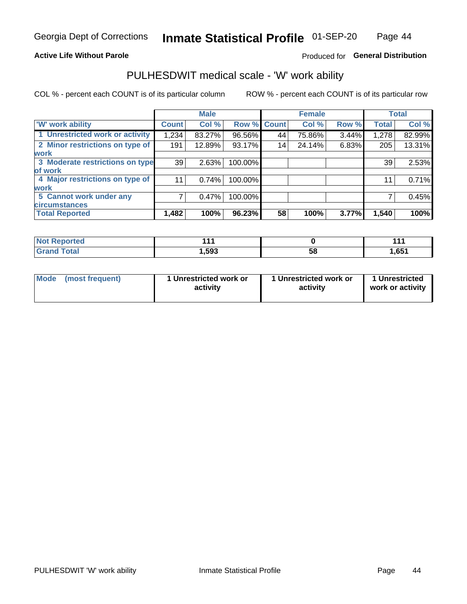#### **Active Life Without Parole**

### Produced for General Distribution

### PULHESDWIT medical scale - 'W' work ability

COL % - percent each COUNT is of its particular column

|                                 |              | <b>Male</b> |         |             | <b>Female</b> |       |              | <b>Total</b> |
|---------------------------------|--------------|-------------|---------|-------------|---------------|-------|--------------|--------------|
| <b>W' work ability</b>          | <b>Count</b> | Col %       |         | Row % Count | Col %         | Row % | <b>Total</b> | Col %        |
| 1 Unrestricted work or activity | 1,234        | 83.27%      | 96.56%  | 44          | 75.86%        | 3.44% | 1,278        | 82.99%       |
| 2 Minor restrictions on type of | 191          | 12.89%      | 93.17%  | 14          | 24.14%        | 6.83% | 205          | 13.31%       |
| <b>work</b>                     |              |             |         |             |               |       |              |              |
| 3 Moderate restrictions on type | 39           | 2.63%       | 100.00% |             |               |       | 39           | 2.53%        |
| lof work                        |              |             |         |             |               |       |              |              |
| 4 Major restrictions on type of | 11           | 0.74%       | 100.00% |             |               |       | 11           | 0.71%        |
| <b>work</b>                     |              |             |         |             |               |       |              |              |
| 5 Cannot work under any         |              | 0.47%       | 100.00% |             |               |       |              | 0.45%        |
| <b>circumstances</b>            |              |             |         |             |               |       |              |              |
| <b>Total Reported</b>           | 1,482        | 100%        | 96.23%  | 58          | 100%          | 3.77% | 1,540        | 100%         |

| <b>Not Reported</b>         | 44,    |   |       |
|-----------------------------|--------|---|-------|
| <b>Total</b><br><b>Cron</b> | 593, ا | ວ | 1,651 |

| Mode (most frequent) | 1 Unrestricted work or | 1 Unrestricted work or | 1 Unrestricted   |
|----------------------|------------------------|------------------------|------------------|
|                      | activity               | activity               | work or activity |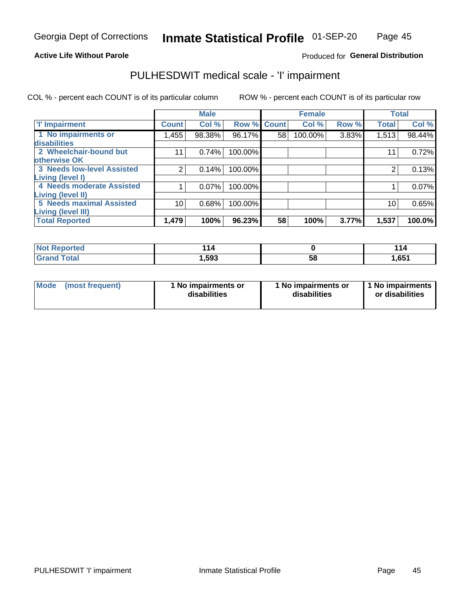#### **Active Life Without Parole**

#### Produced for General Distribution

### PULHESDWIT medical scale - 'I' impairment

|                                   |              | <b>Male</b> |             |    | <b>Female</b> |       |              | <b>Total</b> |
|-----------------------------------|--------------|-------------|-------------|----|---------------|-------|--------------|--------------|
| <b>T' Impairment</b>              | <b>Count</b> | Col %       | Row % Count |    | Col %         | Row % | <b>Total</b> | Col %        |
| 1 No impairments or               | 1,455        | 98.38%      | 96.17%      | 58 | 100.00%       | 3.83% | 1,513        | 98.44%       |
| disabilities                      |              |             |             |    |               |       |              |              |
| 2 Wheelchair-bound but            | 11           | 0.74%       | 100.00%     |    |               |       | 11           | 0.72%        |
| otherwise OK                      |              |             |             |    |               |       |              |              |
| <b>3 Needs low-level Assisted</b> |              | 0.14%       | 100.00%     |    |               |       |              | 0.13%        |
| Living (level I)                  |              |             |             |    |               |       |              |              |
| 4 Needs moderate Assisted         |              | 0.07%       | 100.00%     |    |               |       |              | 0.07%        |
| <b>Living (level II)</b>          |              |             |             |    |               |       |              |              |
| <b>5 Needs maximal Assisted</b>   | 10           | 0.68%       | 100.00%     |    |               |       | 10           | 0.65%        |
| Living (level III)                |              |             |             |    |               |       |              |              |
| <b>Total Reported</b>             | 1,479        | 100%        | 96.23%      | 58 | 100%          | 3.77% | 1,537        | 100.0%       |

| eported?      | 44     |    | <u> 114</u> |
|---------------|--------|----|-------------|
| <b>c</b> otal | 593, ا | 58 | 1,651       |

| Mode | (most frequent) | 1 No impairments or<br>disabilities | 1 No impairments or<br>disabilities | 1 No impairments<br>or disabilities |
|------|-----------------|-------------------------------------|-------------------------------------|-------------------------------------|
|------|-----------------|-------------------------------------|-------------------------------------|-------------------------------------|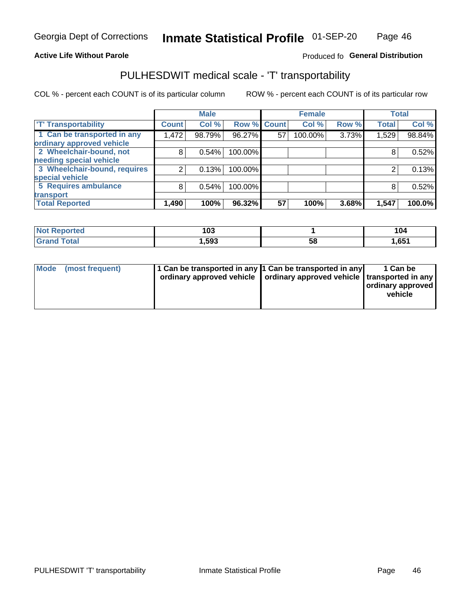#### **Active Life Without Parole**

#### Produced fo General Distribution

### PULHESDWIT medical scale - 'T' transportability

COL % - percent each COUNT is of its particular column

|                              |              | <b>Male</b> |                    |    | <b>Female</b> |       |              | <b>Total</b> |
|------------------------------|--------------|-------------|--------------------|----|---------------|-------|--------------|--------------|
| <b>T' Transportability</b>   | <b>Count</b> | Col %       | <b>Row % Count</b> |    | Col %         | Row % | <b>Total</b> | Col %        |
| 1 Can be transported in any  | 1,472        | 98.79%      | 96.27%             | 57 | 100.00%       | 3.73% | 1,529        | 98.84%       |
| ordinary approved vehicle    |              |             |                    |    |               |       |              |              |
| 2 Wheelchair-bound, not      | 8            | 0.54%       | 100.00%            |    |               |       |              | 0.52%        |
| needing special vehicle      |              |             |                    |    |               |       |              |              |
| 3 Wheelchair-bound, requires |              | 0.13%       | 100.00%            |    |               |       |              | 0.13%        |
| special vehicle              |              |             |                    |    |               |       |              |              |
| 5 Requires ambulance         | 8            | 0.54%       | 100.00%            |    |               |       |              | 0.52%        |
| transport                    |              |             |                    |    |               |       |              |              |
| <b>Total Reported</b>        | 1,490        | 100%        | 96.32%             | 57 | 100%          | 3.68% | 1,547        | 100.0%       |

| orted        | 103   |    | 104   |
|--------------|-------|----|-------|
| <b>Total</b> | Ⅰ,593 | 58 | 1,651 |

| <b>Mode</b> | (most frequent) | 1 Can be transported in any 1 Can be transported in any<br>ordinary approved vehicle   ordinary approved vehicle   transported in any |  | 1 Can be<br>  ordinary approved  <br>vehicle |
|-------------|-----------------|---------------------------------------------------------------------------------------------------------------------------------------|--|----------------------------------------------|
|-------------|-----------------|---------------------------------------------------------------------------------------------------------------------------------------|--|----------------------------------------------|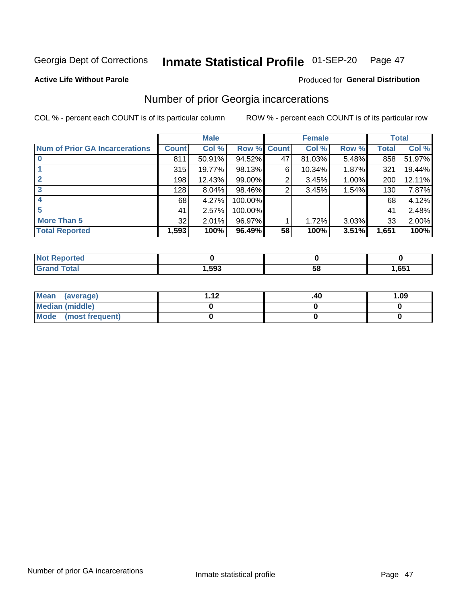#### Inmate Statistical Profile 01-SEP-20 Page 47

#### **Active Life Without Parole**

### **Produced for General Distribution**

### Number of prior Georgia incarcerations

COL % - percent each COUNT is of its particular column

|                                       |       | <b>Male</b> |             |    | <b>Female</b> |       |       | <b>Total</b> |
|---------------------------------------|-------|-------------|-------------|----|---------------|-------|-------|--------------|
| <b>Num of Prior GA Incarcerations</b> | Count | Col %       | Row % Count |    | Col %         | Row % | Total | Col %        |
| $\bf{0}$                              | 811   | 50.91%      | 94.52%      | 47 | 81.03%        | 5.48% | 858   | 51.97%       |
|                                       | 315   | 19.77%      | 98.13%      | 6  | 10.34%        | 1.87% | 321   | 19.44%       |
|                                       | 198   | 12.43%      | 99.00%      | 2  | 3.45%         | 1.00% | 200   | 12.11%       |
| 3                                     | 128   | 8.04%       | 98.46%      | 2  | 3.45%         | 1.54% | 130   | 7.87%        |
| 4                                     | 68    | 4.27%       | 100.00%     |    |               |       | 68    | 4.12%        |
| 5                                     | 41    | 2.57%       | 100.00%     |    |               |       | 41    | 2.48%        |
| <b>More Than 5</b>                    | 32    | 2.01%       | 96.97%      |    | 1.72%         | 3.03% | 33    | 2.00%        |
| <b>Total Reported</b>                 | 1,593 | 100%        | 96.49%      | 58 | 100%          | 3.51% | 1,651 | 100%         |

| prted<br><b>NOT REDO</b> |      |    |      |
|--------------------------|------|----|------|
| <b>Total</b><br>Cror     | ,593 | วช | ,651 |

| Mean (average)       | 1 1 J | .40 | 1.09 |
|----------------------|-------|-----|------|
| Median (middle)      |       |     |      |
| Mode (most frequent) |       |     |      |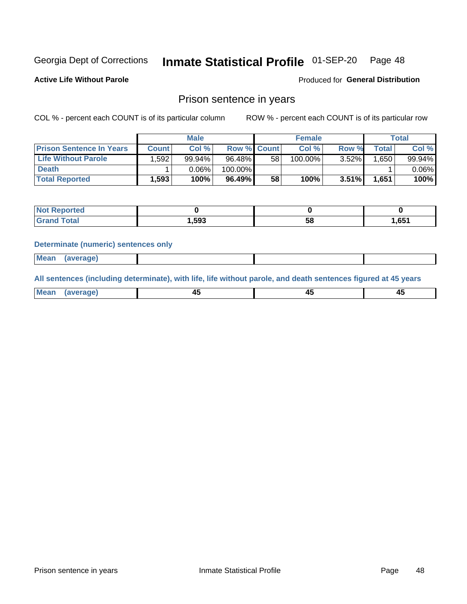#### Inmate Statistical Profile 01-SEP-20 Page 48

**Active Life Without Parole** 

Produced for General Distribution

### Prison sentence in years

COL % - percent each COUNT is of its particular column

ROW % - percent each COUNT is of its particular row

|                                 | <b>Male</b> |          |                    | <b>Female</b> |         |       | Total        |           |
|---------------------------------|-------------|----------|--------------------|---------------|---------|-------|--------------|-----------|
| <b>Prison Sentence In Years</b> | Count       | Col %    | <b>Row % Count</b> |               | Col %   | Row % | <b>Total</b> | Col %     |
| <b>Life Without Parole</b>      | .592        | 99.94%   | 96.48%             | 58            | 100.00% | 3.52% | 1.650        | $99.94\%$ |
| <b>Death</b>                    |             | $0.06\%$ | $100.00\%$         |               |         |       |              | $0.06\%$  |
| <b>Total Reported</b>           | 1,593       | 100%     | 96.49%             | 58            | 100%    | 3.51% | 1.651        | 100%      |

| ported      |       |    |      |
|-------------|-------|----|------|
| <b>otal</b> | 1.593 | эс | .651 |

#### **Determinate (numeric) sentences only**

| ' Mea<br><b>Service</b> A<br>ЯМА. |  |  |  |
|-----------------------------------|--|--|--|
|                                   |  |  |  |

All sentences (including determinate), with life, life without parole, and death sentences figured at 45 years

| Me: |  |  |  |
|-----|--|--|--|
|     |  |  |  |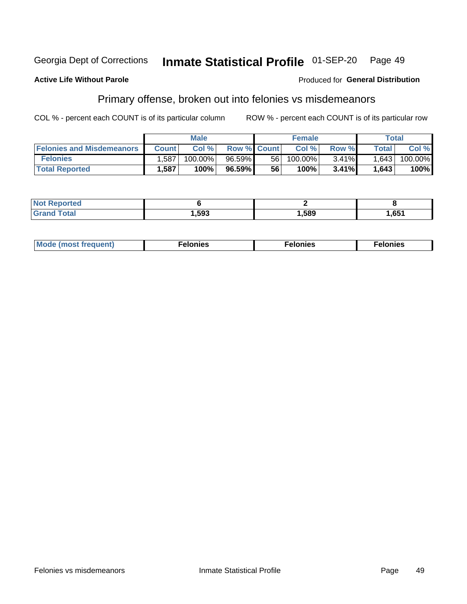#### Georgia Dept of Corrections Inmate Statistical Profile 01-SEP-20 Page 49

#### **Active Life Without Parole**

#### Produced for General Distribution

### Primary offense, broken out into felonies vs misdemeanors

COL % - percent each COUNT is of its particular column

|                                  | <b>Male</b>  |         |                    | <b>Female</b> |            |          | Total              |         |  |
|----------------------------------|--------------|---------|--------------------|---------------|------------|----------|--------------------|---------|--|
| <b>Felonies and Misdemeanors</b> | <b>Count</b> | Col%    | <b>Row % Count</b> |               | Col%       | Row %    | Total <sub>1</sub> | Col %   |  |
| <b>Felonies</b>                  | 1,587        | 100.00% | $96.59\%$          | 56            | $100.00\%$ | $3.41\%$ | 1,643              | 100.00% |  |
| <b>Total Reported</b>            | .587         | 100%    | 96.59%             | 56            | 100%       | 3.41%    | 1,643              | 100%    |  |

| <b>Not Reported</b> |      |      |      |  |
|---------------------|------|------|------|--|
| <b>Grand Total</b>  | ,593 | ,589 | ,651 |  |

| <b>Mode</b><br>frequent)<br>nies<br>≧ (most tr.<br>. | onies<br>. | lonies<br>енл<br>____ |
|------------------------------------------------------|------------|-----------------------|
|------------------------------------------------------|------------|-----------------------|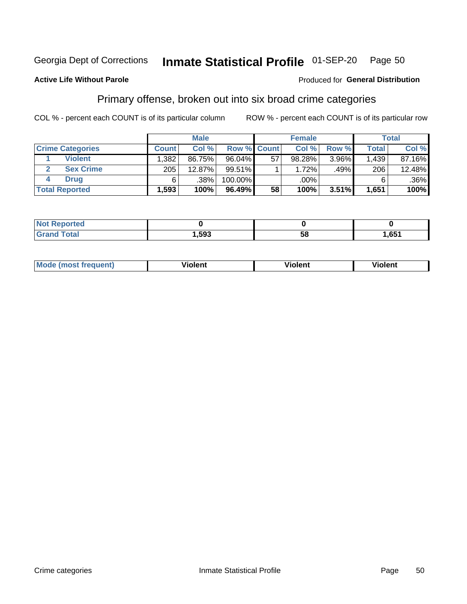#### Inmate Statistical Profile 01-SEP-20 Page 50

#### **Active Life Without Parole**

#### Produced for General Distribution

### Primary offense, broken out into six broad crime categories

COL % - percent each COUNT is of its particular column

|                         | <b>Male</b>  |        |                    | <b>Female</b> |        |          | <b>Total</b> |        |
|-------------------------|--------------|--------|--------------------|---------------|--------|----------|--------------|--------|
| <b>Crime Categories</b> | <b>Count</b> | Col%   | <b>Row % Count</b> |               | Col %  | Row %    | <b>Total</b> | Col %  |
| <b>Violent</b>          | 1.382        | 86.75% | 96.04%             | 57            | 98.28% | 3.96%    | 1,439        | 87.16% |
| <b>Sex Crime</b>        | 205          | 12.87% | 99.51%             |               | 1.72%  | .49%     | 206          | 12.48% |
| <b>Drug</b>             | 6            | .38%   | 100.00%            |               | .00%   |          |              | .36%   |
| <b>Total Reported</b>   | 1,593        | 100%   | 96.49%             | 58            | 100%   | $3.51\%$ | 1,651        | 100%   |

| .           |      |    |     |
|-------------|------|----|-----|
| -<br>______ | .593 | 58 | 651 |

| Mo<br>quenti | .<br>iolent<br>ΊΙ. | --<br>olent | .<br>'ent |
|--------------|--------------------|-------------|-----------|
|              |                    |             |           |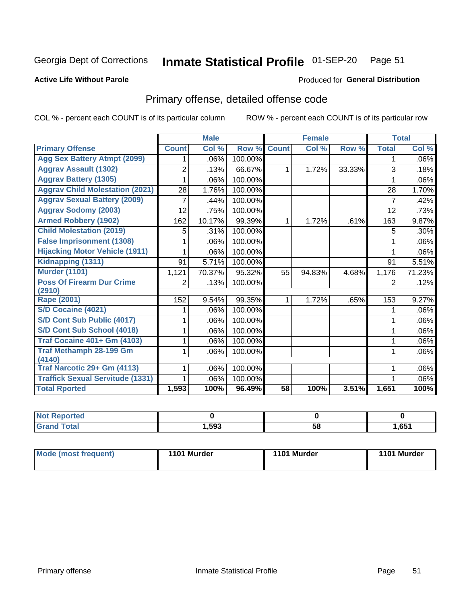#### Inmate Statistical Profile 01-SEP-20 Page 51

#### **Active Life Without Parole**

#### Produced for General Distribution

### Primary offense, detailed offense code

COL % - percent each COUNT is of its particular column

|                                         |              | <b>Male</b>                |         |              | <b>Female</b> |        |              | <b>Total</b> |
|-----------------------------------------|--------------|----------------------------|---------|--------------|---------------|--------|--------------|--------------|
| <b>Primary Offense</b>                  | <b>Count</b> | $\overline{\text{Col }^9}$ | Row %   | <b>Count</b> | Col %         | Row %  | <b>Total</b> | Col %        |
| <b>Agg Sex Battery Atmpt (2099)</b>     |              | .06%                       | 100.00% |              |               |        | 1            | .06%         |
| <b>Aggrav Assault (1302)</b>            | 2            | .13%                       | 66.67%  | 1            | 1.72%         | 33.33% | 3            | .18%         |
| <b>Aggrav Battery (1305)</b>            |              | .06%                       | 100.00% |              |               |        |              | .06%         |
| <b>Aggrav Child Molestation (2021)</b>  | 28           | 1.76%                      | 100.00% |              |               |        | 28           | 1.70%        |
| <b>Aggrav Sexual Battery (2009)</b>     |              | .44%                       | 100.00% |              |               |        | 7            | .42%         |
| <b>Aggrav Sodomy (2003)</b>             | 12           | .75%                       | 100.00% |              |               |        | 12           | .73%         |
| <b>Armed Robbery (1902)</b>             | 162          | 10.17%                     | 99.39%  | 1            | 1.72%         | .61%   | 163          | 9.87%        |
| <b>Child Molestation (2019)</b>         | 5            | .31%                       | 100.00% |              |               |        | 5            | .30%         |
| <b>False Imprisonment (1308)</b>        |              | .06%                       | 100.00% |              |               |        |              | .06%         |
| <b>Hijacking Motor Vehicle (1911)</b>   |              | .06%                       | 100.00% |              |               |        |              | .06%         |
| Kidnapping (1311)                       | 91           | 5.71%                      | 100.00% |              |               |        | 91           | 5.51%        |
| <b>Murder (1101)</b>                    | 1,121        | 70.37%                     | 95.32%  | 55           | 94.83%        | 4.68%  | 1,176        | 71.23%       |
| <b>Poss Of Firearm Dur Crime</b>        | 2            | .13%                       | 100.00% |              |               |        | 2            | .12%         |
| (2910)                                  |              |                            |         |              |               |        |              |              |
| Rape (2001)                             | 152          | 9.54%                      | 99.35%  |              | 1.72%         | .65%   | 153          | 9.27%        |
| S/D Cocaine (4021)                      |              | .06%                       | 100.00% |              |               |        |              | .06%         |
| S/D Cont Sub Public (4017)              |              | .06%                       | 100.00% |              |               |        |              | .06%         |
| S/D Cont Sub School (4018)              |              | .06%                       | 100.00% |              |               |        | 1            | .06%         |
| <b>Traf Cocaine 401+ Gm (4103)</b>      |              | .06%                       | 100.00% |              |               |        | 1            | .06%         |
| <b>Traf Methamph 28-199 Gm</b>          |              | .06%                       | 100.00% |              |               |        | 1            | .06%         |
| (4140)                                  |              |                            |         |              |               |        |              |              |
| Traf Narcotic 29+ Gm (4113)             |              | .06%                       | 100.00% |              |               |        |              | .06%         |
| <b>Traffick Sexual Servitude (1331)</b> |              | .06%                       | 100.00% |              |               |        |              | .06%         |
| <b>Total Rported</b>                    | 1,593        | 100%                       | 96.49%  | 58           | 100%          | 3.51%  | 1,651        | 100%         |

| <b>Not</b><br><b>orted</b><br>Renc |      |    |       |
|------------------------------------|------|----|-------|
| <b>Total</b><br>$C$ ron            | ,593 | 58 | 651,ا |

| Mode (most frequent) | 1101 Murder | 1101 Murder | 1101 Murder |
|----------------------|-------------|-------------|-------------|
|----------------------|-------------|-------------|-------------|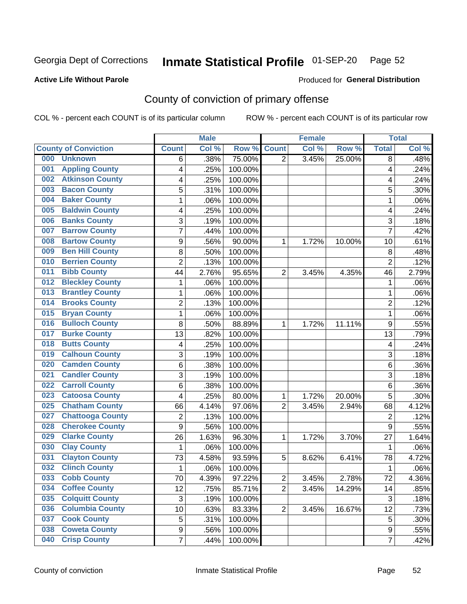### Inmate Statistical Profile 01-SEP-20 Page 52

**Active Life Without Parole** 

Produced for General Distribution

### County of conviction of primary offense

COL % - percent each COUNT is of its particular column

|                                |                         | <b>Male</b> |         |                | <b>Female</b> |        |                | <b>Total</b> |
|--------------------------------|-------------------------|-------------|---------|----------------|---------------|--------|----------------|--------------|
| <b>County of Conviction</b>    | <b>Count</b>            | Col %       | Row %   | <b>Count</b>   | Col %         | Row %  | <b>Total</b>   | Col %        |
| 000<br><b>Unknown</b>          | 6                       | .38%        | 75.00%  | $\overline{2}$ | 3.45%         | 25.00% | 8              | .48%         |
| <b>Appling County</b><br>001   | 4                       | .25%        | 100.00% |                |               |        | 4              | .24%         |
| <b>Atkinson County</b><br>002  | 4                       | .25%        | 100.00% |                |               |        | 4              | .24%         |
| <b>Bacon County</b><br>003     | 5                       | .31%        | 100.00% |                |               |        | 5              | .30%         |
| <b>Baker County</b><br>004     | 1                       | .06%        | 100.00% |                |               |        | 1              | .06%         |
| <b>Baldwin County</b><br>005   | 4                       | .25%        | 100.00% |                |               |        | 4              | .24%         |
| <b>Banks County</b><br>006     | 3                       | .19%        | 100.00% |                |               |        | 3              | .18%         |
| <b>Barrow County</b><br>007    | 7                       | .44%        | 100.00% |                |               |        | $\overline{7}$ | .42%         |
| <b>Bartow County</b><br>008    | 9                       | .56%        | 90.00%  | 1              | 1.72%         | 10.00% | 10             | .61%         |
| <b>Ben Hill County</b><br>009  | 8                       | .50%        | 100.00% |                |               |        | 8              | .48%         |
| <b>Berrien County</b><br>010   | $\overline{c}$          | .13%        | 100.00% |                |               |        | $\overline{2}$ | .12%         |
| <b>Bibb County</b><br>011      | 44                      | 2.76%       | 95.65%  | $\overline{2}$ | 3.45%         | 4.35%  | 46             | 2.79%        |
| <b>Bleckley County</b><br>012  | 1                       | .06%        | 100.00% |                |               |        | 1              | .06%         |
| <b>Brantley County</b><br>013  | 1                       | .06%        | 100.00% |                |               |        | 1              | .06%         |
| <b>Brooks County</b><br>014    | $\overline{c}$          | .13%        | 100.00% |                |               |        | $\overline{2}$ | .12%         |
| <b>Bryan County</b><br>015     | 1                       | .06%        | 100.00% |                |               |        | 1              | .06%         |
| <b>Bulloch County</b><br>016   | 8                       | .50%        | 88.89%  | 1              | 1.72%         | 11.11% | 9              | .55%         |
| <b>Burke County</b><br>017     | 13                      | .82%        | 100.00% |                |               |        | 13             | .79%         |
| <b>Butts County</b><br>018     | $\overline{\mathbf{4}}$ | .25%        | 100.00% |                |               |        | 4              | .24%         |
| <b>Calhoun County</b><br>019   | 3                       | .19%        | 100.00% |                |               |        | 3              | .18%         |
| <b>Camden County</b><br>020    | 6                       | .38%        | 100.00% |                |               |        | 6              | .36%         |
| <b>Candler County</b><br>021   | 3                       | .19%        | 100.00% |                |               |        | 3              | .18%         |
| <b>Carroll County</b><br>022   | 6                       | .38%        | 100.00% |                |               |        | 6              | .36%         |
| <b>Catoosa County</b><br>023   | 4                       | .25%        | 80.00%  | 1              | 1.72%         | 20.00% | 5              | .30%         |
| <b>Chatham County</b><br>025   | 66                      | 4.14%       | 97.06%  | $\overline{2}$ | 3.45%         | 2.94%  | 68             | 4.12%        |
| <b>Chattooga County</b><br>027 | $\overline{c}$          | .13%        | 100.00% |                |               |        | $\overline{2}$ | .12%         |
| <b>Cherokee County</b><br>028  | $\overline{9}$          | .56%        | 100.00% |                |               |        | $\overline{9}$ | .55%         |
| <b>Clarke County</b><br>029    | 26                      | 1.63%       | 96.30%  | 1              | 1.72%         | 3.70%  | 27             | 1.64%        |
| <b>Clay County</b><br>030      | 1                       | .06%        | 100.00% |                |               |        | 1              | .06%         |
| <b>Clayton County</b><br>031   | 73                      | 4.58%       | 93.59%  | 5              | 8.62%         | 6.41%  | 78             | 4.72%        |
| <b>Clinch County</b><br>032    | 1                       | .06%        | 100.00% |                |               |        | 1              | .06%         |
| 033<br><b>Cobb County</b>      | 70                      | 4.39%       | 97.22%  | $\overline{c}$ | 3.45%         | 2.78%  | 72             | 4.36%        |
| <b>Coffee County</b><br>034    | 12                      | .75%        | 85.71%  | $\overline{2}$ | 3.45%         | 14.29% | 14             | .85%         |
| <b>Colquitt County</b><br>035  | $\sqrt{3}$              | .19%        | 100.00% |                |               |        | 3              | .18%         |
| <b>Columbia County</b><br>036  | 10                      | .63%        | 83.33%  | $\overline{2}$ | 3.45%         | 16.67% | 12             | .73%         |
| <b>Cook County</b><br>037      | 5                       | .31%        | 100.00% |                |               |        | 5              | .30%         |
| <b>Coweta County</b><br>038    | 9                       | .56%        | 100.00% |                |               |        | 9              | .55%         |
| <b>Crisp County</b><br>040     | $\overline{7}$          | .44%        | 100.00% |                |               |        | $\overline{7}$ | .42%         |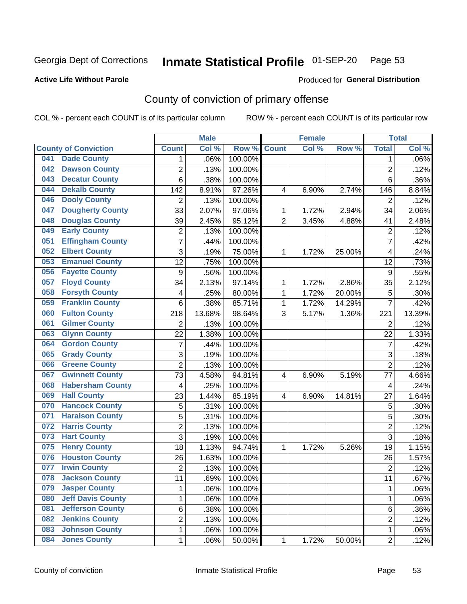### Inmate Statistical Profile 01-SEP-20 Page 53

#### **Active Life Without Parole**

#### Produced for General Distribution

### County of conviction of primary offense

COL % - percent each COUNT is of its particular column

|     |                             |                  | <b>Male</b> |         |                | <b>Female</b> |        |                | <b>Total</b> |
|-----|-----------------------------|------------------|-------------|---------|----------------|---------------|--------|----------------|--------------|
|     | <b>County of Conviction</b> | <b>Count</b>     | Col %       | Row %   | <b>Count</b>   | Col %         | Row %  | <b>Total</b>   | Col %        |
| 041 | <b>Dade County</b>          | 1                | .06%        | 100.00% |                |               |        | $\mathbf 1$    | $.06\%$      |
| 042 | <b>Dawson County</b>        | $\overline{2}$   | .13%        | 100.00% |                |               |        | $\overline{2}$ | .12%         |
| 043 | <b>Decatur County</b>       | $\overline{6}$   | .38%        | 100.00% |                |               |        | 6              | .36%         |
| 044 | <b>Dekalb County</b>        | 142              | 8.91%       | 97.26%  | 4              | 6.90%         | 2.74%  | 146            | 8.84%        |
| 046 | <b>Dooly County</b>         | $\overline{2}$   | .13%        | 100.00% |                |               |        | $\overline{2}$ | .12%         |
| 047 | <b>Dougherty County</b>     | 33               | 2.07%       | 97.06%  | 1              | 1.72%         | 2.94%  | 34             | 2.06%        |
| 048 | <b>Douglas County</b>       | 39               | 2.45%       | 95.12%  | $\overline{2}$ | 3.45%         | 4.88%  | 41             | 2.48%        |
| 049 | <b>Early County</b>         | $\overline{c}$   | .13%        | 100.00% |                |               |        | $\overline{2}$ | .12%         |
| 051 | <b>Effingham County</b>     | $\overline{7}$   | .44%        | 100.00% |                |               |        | $\overline{7}$ | .42%         |
| 052 | <b>Elbert County</b>        | 3                | .19%        | 75.00%  | 1              | 1.72%         | 25.00% | 4              | .24%         |
| 053 | <b>Emanuel County</b>       | $\overline{12}$  | .75%        | 100.00% |                |               |        | 12             | .73%         |
| 056 | <b>Fayette County</b>       | $\boldsymbol{9}$ | .56%        | 100.00% |                |               |        | 9              | .55%         |
| 057 | <b>Floyd County</b>         | 34               | 2.13%       | 97.14%  | 1              | 1.72%         | 2.86%  | 35             | 2.12%        |
| 058 | <b>Forsyth County</b>       | 4                | .25%        | 80.00%  | $\mathbf{1}$   | 1.72%         | 20.00% | 5              | .30%         |
| 059 | <b>Franklin County</b>      | 6                | .38%        | 85.71%  | 1              | 1.72%         | 14.29% | $\overline{7}$ | .42%         |
| 060 | <b>Fulton County</b>        | 218              | 13.68%      | 98.64%  | 3              | 5.17%         | 1.36%  | 221            | 13.39%       |
| 061 | <b>Gilmer County</b>        | 2                | .13%        | 100.00% |                |               |        | $\overline{2}$ | .12%         |
| 063 | <b>Glynn County</b>         | 22               | 1.38%       | 100.00% |                |               |        | 22             | 1.33%        |
| 064 | <b>Gordon County</b>        | $\overline{7}$   | .44%        | 100.00% |                |               |        | $\overline{7}$ | .42%         |
| 065 | <b>Grady County</b>         | 3                | .19%        | 100.00% |                |               |        | 3              | .18%         |
| 066 | <b>Greene County</b>        | $\overline{2}$   | .13%        | 100.00% |                |               |        | $\overline{2}$ | .12%         |
| 067 | <b>Gwinnett County</b>      | 73               | 4.58%       | 94.81%  | 4              | 6.90%         | 5.19%  | 77             | 4.66%        |
| 068 | <b>Habersham County</b>     | 4                | .25%        | 100.00% |                |               |        | 4              | .24%         |
| 069 | <b>Hall County</b>          | 23               | 1.44%       | 85.19%  | 4              | 6.90%         | 14.81% | 27             | 1.64%        |
| 070 | <b>Hancock County</b>       | 5                | .31%        | 100.00% |                |               |        | 5              | .30%         |
| 071 | <b>Haralson County</b>      | 5                | .31%        | 100.00% |                |               |        | 5              | .30%         |
| 072 | <b>Harris County</b>        | $\overline{2}$   | .13%        | 100.00% |                |               |        | $\overline{2}$ | .12%         |
| 073 | <b>Hart County</b>          | 3                | .19%        | 100.00% |                |               |        | 3              | .18%         |
| 075 | <b>Henry County</b>         | 18               | 1.13%       | 94.74%  | 1              | 1.72%         | 5.26%  | 19             | 1.15%        |
| 076 | <b>Houston County</b>       | 26               | 1.63%       | 100.00% |                |               |        | 26             | 1.57%        |
| 077 | <b>Irwin County</b>         | $\overline{2}$   | .13%        | 100.00% |                |               |        | $\overline{2}$ | .12%         |
| 078 | <b>Jackson County</b>       | 11               | .69%        | 100.00% |                |               |        | 11             | .67%         |
| 079 | <b>Jasper County</b>        | 1                | .06%        | 100.00% |                |               |        | $\mathbf{1}$   | .06%         |
| 080 | <b>Jeff Davis County</b>    | 1                | .06%        | 100.00% |                |               |        | 1              | .06%         |
| 081 | <b>Jefferson County</b>     | 6                | .38%        | 100.00% |                |               |        | 6              | $.36\%$      |
| 082 | <b>Jenkins County</b>       | 2                | .13%        | 100.00% |                |               |        | $\overline{2}$ | .12%         |
| 083 | <b>Johnson County</b>       | 1                | .06%        | 100.00% |                |               |        | $\mathbf 1$    | .06%         |
| 084 | <b>Jones County</b>         | 1                | .06%        | 50.00%  | 1              | 1.72%         | 50.00% | $\overline{2}$ | .12%         |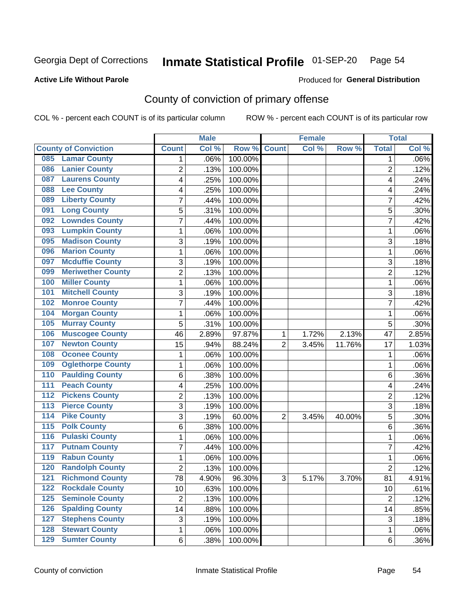### Inmate Statistical Profile 01-SEP-20 Page 54

**Active Life Without Parole** 

**Produced for General Distribution** 

### County of conviction of primary offense

COL % - percent each COUNT is of its particular column

|                  |                             |                 | <b>Male</b> |         |                | <b>Female</b> |        |                 | <b>Total</b> |
|------------------|-----------------------------|-----------------|-------------|---------|----------------|---------------|--------|-----------------|--------------|
|                  | <b>County of Conviction</b> | <b>Count</b>    | Col %       | Row %   | <b>Count</b>   | Col %         | Row %  | <b>Total</b>    | Col %        |
| 085              | <b>Lamar County</b>         | 1               | .06%        | 100.00% |                |               |        | 1               | $.06\%$      |
| 086              | <b>Lanier County</b>        | $\overline{2}$  | .13%        | 100.00% |                |               |        | $\overline{2}$  | .12%         |
| 087              | <b>Laurens County</b>       | 4               | .25%        | 100.00% |                |               |        | 4               | .24%         |
| 088              | <b>Lee County</b>           | 4               | .25%        | 100.00% |                |               |        | 4               | .24%         |
| 089              | <b>Liberty County</b>       | 7               | .44%        | 100.00% |                |               |        | 7               | .42%         |
| 091              | <b>Long County</b>          | 5               | .31%        | 100.00% |                |               |        | 5               | .30%         |
| 092              | <b>Lowndes County</b>       | 7               | .44%        | 100.00% |                |               |        | 7               | .42%         |
| 093              | <b>Lumpkin County</b>       | 1               | .06%        | 100.00% |                |               |        | 1               | .06%         |
| 095              | <b>Madison County</b>       | 3               | .19%        | 100.00% |                |               |        | 3               | .18%         |
| 096              | <b>Marion County</b>        | 1               | .06%        | 100.00% |                |               |        | 1               | .06%         |
| 097              | <b>Mcduffie County</b>      | 3               | .19%        | 100.00% |                |               |        | 3               | .18%         |
| 099              | <b>Meriwether County</b>    | $\overline{2}$  | .13%        | 100.00% |                |               |        | $\overline{2}$  | .12%         |
| 100              | <b>Miller County</b>        | 1               | .06%        | 100.00% |                |               |        | 1               | .06%         |
| 101              | <b>Mitchell County</b>      | 3               | .19%        | 100.00% |                |               |        | 3               | .18%         |
| 102              | <b>Monroe County</b>        | 7               | .44%        | 100.00% |                |               |        | $\overline{7}$  | .42%         |
| 104              | <b>Morgan County</b>        | 1               | .06%        | 100.00% |                |               |        | 1               | .06%         |
| 105              | <b>Murray County</b>        | 5               | .31%        | 100.00% |                |               |        | 5               | .30%         |
| 106              | <b>Muscogee County</b>      | 46              | 2.89%       | 97.87%  | 1              | 1.72%         | 2.13%  | 47              | 2.85%        |
| 107              | <b>Newton County</b>        | 15              | .94%        | 88.24%  | $\overline{2}$ | 3.45%         | 11.76% | 17              | 1.03%        |
| 108              | <b>Oconee County</b>        | 1               | .06%        | 100.00% |                |               |        | 1               | .06%         |
| 109              | <b>Oglethorpe County</b>    | 1               | .06%        | 100.00% |                |               |        | 1               | .06%         |
| 110              | <b>Paulding County</b>      | 6               | .38%        | 100.00% |                |               |        | 6               | .36%         |
| 111              | <b>Peach County</b>         | 4               | .25%        | 100.00% |                |               |        | 4               | .24%         |
| 112              | <b>Pickens County</b>       | $\overline{2}$  | .13%        | 100.00% |                |               |        | $\overline{2}$  | .12%         |
| 113              | <b>Pierce County</b>        | 3               | .19%        | 100.00% |                |               |        | 3               | .18%         |
| $\overline{114}$ | <b>Pike County</b>          | 3               | .19%        | 60.00%  | $\overline{2}$ | 3.45%         | 40.00% | 5               | .30%         |
| $\overline{115}$ | <b>Polk County</b>          | 6               | .38%        | 100.00% |                |               |        | 6               | .36%         |
| 116              | <b>Pulaski County</b>       | 1               | .06%        | 100.00% |                |               |        | 1               | .06%         |
| 117              | <b>Putnam County</b>        | 7               | .44%        | 100.00% |                |               |        | 7               | .42%         |
| 119              | <b>Rabun County</b>         | 1               | .06%        | 100.00% |                |               |        | 1               | .06%         |
| 120              | <b>Randolph County</b>      | 2               | .13%        | 100.00% |                |               |        | 2               | .12%         |
|                  | <b>121 Richmond County</b>  | $\overline{78}$ | 4.90%       | 96.30%  | 3              | 5.17%         | 3.70%  | $\overline{81}$ | 4.91%        |
| 122              | <b>Rockdale County</b>      | 10              | .63%        | 100.00% |                |               |        | 10              | .61%         |
| $125$            | <b>Seminole County</b>      | $\overline{2}$  | .13%        | 100.00% |                |               |        | $\overline{2}$  | .12%         |
| 126              | <b>Spalding County</b>      | 14              | .88%        | 100.00% |                |               |        | 14              | .85%         |
| 127              | <b>Stephens County</b>      | 3               | .19%        | 100.00% |                |               |        | 3               | .18%         |
| 128              | <b>Stewart County</b>       | 1               | .06%        | 100.00% |                |               |        | 1               | .06%         |
| 129              | <b>Sumter County</b>        | 6               | .38%        | 100.00% |                |               |        | 6               | .36%         |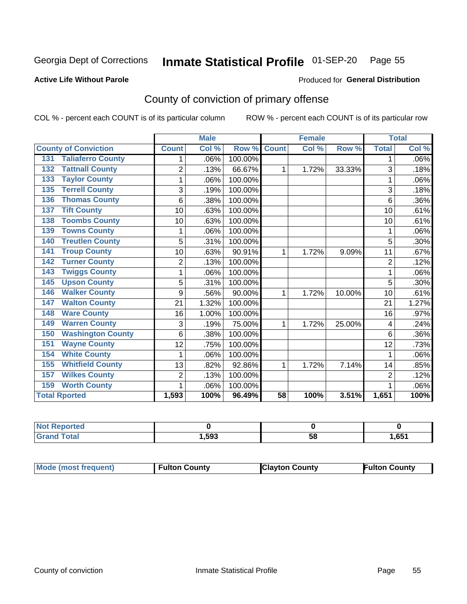#### Inmate Statistical Profile 01-SEP-20 Page 55

**Active Life Without Parole** 

Produced for General Distribution

### County of conviction of primary offense

COL % - percent each COUNT is of its particular column

|                                 |                | <b>Male</b> |         |                 | <b>Female</b> |        |                | <b>Total</b> |
|---------------------------------|----------------|-------------|---------|-----------------|---------------|--------|----------------|--------------|
| <b>County of Conviction</b>     | <b>Count</b>   | Col %       | Row %   | <b>Count</b>    | Col %         | Row %  | <b>Total</b>   | Col %        |
| <b>Taliaferro County</b><br>131 |                | .06%        | 100.00% |                 |               |        | 1              | .06%         |
| <b>Tattnall County</b><br>132   | $\overline{2}$ | .13%        | 66.67%  | 1               | 1.72%         | 33.33% | 3              | .18%         |
| <b>Taylor County</b><br>133     | 1              | .06%        | 100.00% |                 |               |        | 1              | .06%         |
| <b>Terrell County</b><br>135    | 3              | .19%        | 100.00% |                 |               |        | 3              | .18%         |
| <b>Thomas County</b><br>136     | 6              | .38%        | 100.00% |                 |               |        | 6              | .36%         |
| <b>Tift County</b><br>137       | 10             | .63%        | 100.00% |                 |               |        | 10             | .61%         |
| <b>Toombs County</b><br>138     | 10             | .63%        | 100.00% |                 |               |        | 10             | .61%         |
| <b>Towns County</b><br>139      |                | .06%        | 100.00% |                 |               |        |                | .06%         |
| <b>Treutlen County</b><br>140   | 5              | .31%        | 100.00% |                 |               |        | 5              | $.30\%$      |
| <b>Troup County</b><br>141      | 10             | .63%        | 90.91%  | 1               | 1.72%         | 9.09%  | 11             | .67%         |
| <b>Turner County</b><br>142     | $\overline{2}$ | .13%        | 100.00% |                 |               |        | $\overline{2}$ | .12%         |
| <b>Twiggs County</b><br>143     | 1              | .06%        | 100.00% |                 |               |        | 1              | .06%         |
| <b>Upson County</b><br>145      | 5              | .31%        | 100.00% |                 |               |        | 5              | .30%         |
| <b>Walker County</b><br>146     | 9              | .56%        | 90.00%  | 1               | 1.72%         | 10.00% | 10             | .61%         |
| <b>Walton County</b><br>147     | 21             | 1.32%       | 100.00% |                 |               |        | 21             | 1.27%        |
| <b>Ware County</b><br>148       | 16             | 1.00%       | 100.00% |                 |               |        | 16             | .97%         |
| <b>Warren County</b><br>149     | 3              | .19%        | 75.00%  | 1               | 1.72%         | 25.00% | 4              | .24%         |
| <b>Washington County</b><br>150 | 6              | .38%        | 100.00% |                 |               |        | 6              | $.36\%$      |
| <b>Wayne County</b><br>151      | 12             | .75%        | 100.00% |                 |               |        | 12             | .73%         |
| <b>White County</b><br>154      | 1              | .06%        | 100.00% |                 |               |        | 1              | .06%         |
| <b>Whitfield County</b><br>155  | 13             | .82%        | 92.86%  | 1               | 1.72%         | 7.14%  | 14             | .85%         |
| <b>Wilkes County</b><br>157     | $\overline{2}$ | .13%        | 100.00% |                 |               |        | 2              | .12%         |
| <b>Worth County</b><br>159      | 1              | .06%        | 100.00% |                 |               |        |                | .06%         |
| <b>Total Rported</b>            | 1,593          | 100%        | 96.49%  | $\overline{58}$ | 100%          | 3.51%  | 1,651          | 100%         |

| rted        |      |    |      |
|-------------|------|----|------|
| $C = 4 - 7$ | ,593 | ວເ | ,651 |

|  | Mode (most frequent) | <b>Fulton County</b> | <b>Clayton County</b> | <b>Fulton County</b> |
|--|----------------------|----------------------|-----------------------|----------------------|
|--|----------------------|----------------------|-----------------------|----------------------|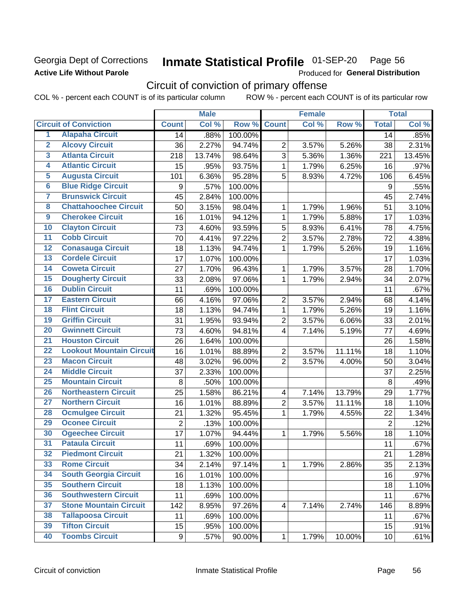### Georgia Dept of Corrections **Active Life Without Parole**

#### Inmate Statistical Profile 01-SEP-20 Page 56

Produced for General Distribution

### Circuit of conviction of primary offense

|                         |                                 |                  | <b>Male</b> |         |                          | <b>Female</b> |        |                  | <b>Total</b> |
|-------------------------|---------------------------------|------------------|-------------|---------|--------------------------|---------------|--------|------------------|--------------|
|                         | <b>Circuit of Conviction</b>    | <b>Count</b>     | Col %       | Row %   | <b>Count</b>             | Col %         | Row %  | <b>Total</b>     | Col %        |
| 1                       | <b>Alapaha Circuit</b>          | 14               | .88%        | 100.00% |                          |               |        | 14               | .85%         |
| $\overline{2}$          | <b>Alcovy Circuit</b>           | 36               | 2.27%       | 94.74%  | $\overline{2}$           | 3.57%         | 5.26%  | 38               | 2.31%        |
| $\overline{\mathbf{3}}$ | <b>Atlanta Circuit</b>          | 218              | 13.74%      | 98.64%  | 3                        | 5.36%         | 1.36%  | 221              | 13.45%       |
| 4                       | <b>Atlantic Circuit</b>         | 15               | .95%        | 93.75%  | $\mathbf 1$              | 1.79%         | 6.25%  | 16               | .97%         |
| 5                       | <b>Augusta Circuit</b>          | 101              | 6.36%       | 95.28%  | 5                        | 8.93%         | 4.72%  | 106              | 6.45%        |
| $\overline{6}$          | <b>Blue Ridge Circuit</b>       | $\boldsymbol{9}$ | .57%        | 100.00% |                          |               |        | $\boldsymbol{9}$ | .55%         |
| 7                       | <b>Brunswick Circuit</b>        | 45               | 2.84%       | 100.00% |                          |               |        | 45               | 2.74%        |
| 8                       | <b>Chattahoochee Circuit</b>    | 50               | 3.15%       | 98.04%  | 1                        | 1.79%         | 1.96%  | 51               | 3.10%        |
| $\overline{9}$          | <b>Cherokee Circuit</b>         | 16               | 1.01%       | 94.12%  | 1                        | 1.79%         | 5.88%  | 17               | 1.03%        |
| 10                      | <b>Clayton Circuit</b>          | 73               | 4.60%       | 93.59%  | 5                        | 8.93%         | 6.41%  | 78               | 4.75%        |
| $\overline{11}$         | <b>Cobb Circuit</b>             | 70               | 4.41%       | 97.22%  | $\overline{c}$           | 3.57%         | 2.78%  | 72               | 4.38%        |
| 12                      | <b>Conasauga Circuit</b>        | 18               | 1.13%       | 94.74%  | $\mathbf{1}$             | 1.79%         | 5.26%  | 19               | 1.16%        |
| 13                      | <b>Cordele Circuit</b>          | 17               | 1.07%       | 100.00% |                          |               |        | 17               | 1.03%        |
| $\overline{14}$         | <b>Coweta Circuit</b>           | 27               | 1.70%       | 96.43%  | $\mathbf{1}$             | 1.79%         | 3.57%  | 28               | 1.70%        |
| $\overline{15}$         | <b>Dougherty Circuit</b>        | 33               | 2.08%       | 97.06%  | $\mathbf 1$              | 1.79%         | 2.94%  | 34               | 2.07%        |
| 16                      | <b>Dublin Circuit</b>           | 11               | .69%        | 100.00% |                          |               |        | 11               | .67%         |
| 17                      | <b>Eastern Circuit</b>          | 66               | 4.16%       | 97.06%  | $\overline{2}$           | 3.57%         | 2.94%  | 68               | 4.14%        |
| 18                      | <b>Flint Circuit</b>            | 18               | 1.13%       | 94.74%  | $\mathbf{1}$             | 1.79%         | 5.26%  | 19               | 1.16%        |
| 19                      | <b>Griffin Circuit</b>          | 31               | 1.95%       | 93.94%  | $\overline{2}$           | 3.57%         | 6.06%  | 33               | 2.01%        |
| $\overline{20}$         | <b>Gwinnett Circuit</b>         | 73               | 4.60%       | 94.81%  | 4                        | 7.14%         | 5.19%  | 77               | 4.69%        |
| $\overline{21}$         | <b>Houston Circuit</b>          | 26               | 1.64%       | 100.00% |                          |               |        | 26               | 1.58%        |
| $\overline{22}$         | <b>Lookout Mountain Circuit</b> | 16               | 1.01%       | 88.89%  | $\overline{2}$           | 3.57%         | 11.11% | 18               | 1.10%        |
| 23                      | <b>Macon Circuit</b>            | 48               | 3.02%       | 96.00%  | $\overline{2}$           | 3.57%         | 4.00%  | 50               | 3.04%        |
| $\overline{24}$         | <b>Middle Circuit</b>           | 37               | 2.33%       | 100.00% |                          |               |        | 37               | 2.25%        |
| $\overline{25}$         | <b>Mountain Circuit</b>         | 8                | .50%        | 100.00% |                          |               |        | 8                | .49%         |
| 26                      | <b>Northeastern Circuit</b>     | 25               | 1.58%       | 86.21%  | $\overline{\mathcal{A}}$ | 7.14%         | 13.79% | 29               | 1.77%        |
| $\overline{27}$         | <b>Northern Circuit</b>         | 16               | 1.01%       | 88.89%  | $\overline{c}$           | 3.57%         | 11.11% | 18               | 1.10%        |
| 28                      | <b>Ocmulgee Circuit</b>         | 21               | 1.32%       | 95.45%  | $\mathbf{1}$             | 1.79%         | 4.55%  | 22               | 1.34%        |
| 29                      | <b>Oconee Circuit</b>           | $\overline{2}$   | .13%        | 100.00% |                          |               |        | $\overline{2}$   | .12%         |
| 30                      | <b>Ogeechee Circuit</b>         | 17               | 1.07%       | 94.44%  | 1                        | 1.79%         | 5.56%  | 18               | 1.10%        |
| $\overline{31}$         | <b>Pataula Circuit</b>          | 11               | .69%        | 100.00% |                          |               |        | 11               | .67%         |
| 32                      | <b>Piedmont Circuit</b>         | 21               | 1.32%       | 100.00% |                          |               |        | 21               | 1.28%        |
| 33                      | <b>Rome Circuit</b>             | 34               | 2.14%       | 97.14%  | $\mathbf{1}$             | 1.79%         | 2.86%  | 35               | 2.13%        |
| 34                      | <b>South Georgia Circuit</b>    | 16               | 1.01%       | 100.00% |                          |               |        | 16               | .97%         |
| 35                      | <b>Southern Circuit</b>         | 18               | 1.13%       | 100.00% |                          |               |        | 18               | 1.10%        |
| 36                      | <b>Southwestern Circuit</b>     | 11               | .69%        | 100.00% |                          |               |        | 11               | .67%         |
| 37                      | <b>Stone Mountain Circuit</b>   | 142              | 8.95%       | 97.26%  | 4                        | 7.14%         | 2.74%  | 146              | 8.89%        |
| 38                      | <b>Tallapoosa Circuit</b>       | 11               | .69%        | 100.00% |                          |               |        | 11               | .67%         |
| 39                      | <b>Tifton Circuit</b>           | 15               | .95%        | 100.00% |                          |               |        | 15               | .91%         |
| 40                      | <b>Toombs Circuit</b>           | 9                | .57%        | 90.00%  | $\mathbf{1}$             | 1.79%         | 10.00% | 10 <sup>1</sup>  | .61%         |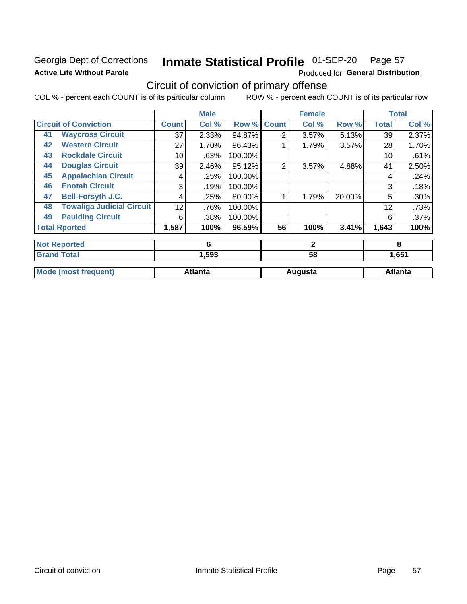### Georgia Dept of Corrections **Active Life Without Parole**

#### Inmate Statistical Profile 01-SEP-20 Page 57

Produced for General Distribution

### Circuit of conviction of primary offense

|    |                                  |              | <b>Male</b>    |         |                | <b>Female</b> |        |              | <b>Total</b>   |
|----|----------------------------------|--------------|----------------|---------|----------------|---------------|--------|--------------|----------------|
|    | <b>Circuit of Conviction</b>     | <b>Count</b> | Col %          | Row %   | <b>Count</b>   | Col %         | Row %  | <b>Total</b> | Col %          |
| 41 | <b>Waycross Circuit</b>          | 37           | 2.33%          | 94.87%  | 2              | 3.57%         | 5.13%  | 39           | 2.37%          |
| 42 | <b>Western Circuit</b>           | 27           | 1.70%          | 96.43%  |                | 1.79%         | 3.57%  | 28           | 1.70%          |
| 43 | <b>Rockdale Circuit</b>          | 10           | .63%           | 100.00% |                |               |        | 10           | .61%           |
| 44 | <b>Douglas Circuit</b>           | 39           | 2.46%          | 95.12%  | $\overline{2}$ | 3.57%         | 4.88%  | 41           | 2.50%          |
| 45 | <b>Appalachian Circuit</b>       | 4            | .25%           | 100.00% |                |               |        | 4            | .24%           |
| 46 | <b>Enotah Circuit</b>            | 3            | .19%           | 100.00% |                |               |        | 3            | .18%           |
| 47 | <b>Bell-Forsyth J.C.</b>         | 4            | .25%           | 80.00%  |                | 1.79%         | 20.00% | 5            | .30%           |
| 48 | <b>Towaliga Judicial Circuit</b> | 12           | .76%           | 100.00% |                |               |        | 12           | .73%           |
| 49 | <b>Paulding Circuit</b>          | 6            | .38%           | 100.00% |                |               |        | 6            | .37%           |
|    | <b>Total Rported</b>             | 1,587        | 100%           | 96.59%  | 56             | 100%          | 3.41%  | 1,643        | 100%           |
|    | <b>Not Reported</b>              |              | 6              |         |                | $\mathbf{2}$  |        |              | 8              |
|    | <b>Grand Total</b>               |              | 1,593          |         |                | 58            |        |              | 1,651          |
|    | <b>Mode (most frequent)</b>      |              | <b>Atlanta</b> |         |                | Augusta       |        |              | <b>Atlanta</b> |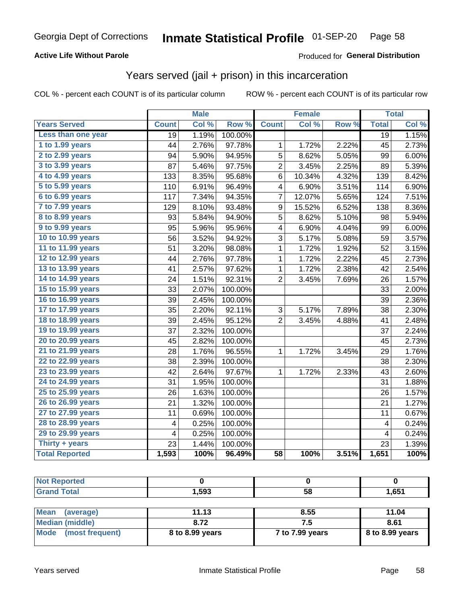### **Active Life Without Parole**

### Produced for General Distribution

### Years served (jail + prison) in this incarceration

COL % - percent each COUNT is of its particular column

|                        |                 | <b>Male</b> |         |                         | <b>Female</b> |       |                 | <b>Total</b> |
|------------------------|-----------------|-------------|---------|-------------------------|---------------|-------|-----------------|--------------|
| <b>Years Served</b>    | <b>Count</b>    | Col %       | Row %   | <b>Count</b>            | Col %         | Row % | <b>Total</b>    | Col %        |
| Less than one year     | $\overline{19}$ | 1.19%       | 100.00% |                         |               |       | $\overline{19}$ | 1.15%        |
| 1 to 1.99 years        | 44              | 2.76%       | 97.78%  | 1                       | 1.72%         | 2.22% | 45              | 2.73%        |
| 2 to 2.99 years        | 94              | 5.90%       | 94.95%  | 5                       | 8.62%         | 5.05% | 99              | 6.00%        |
| 3 to 3.99 years        | 87              | 5.46%       | 97.75%  | $\overline{\mathbf{c}}$ | 3.45%         | 2.25% | 89              | 5.39%        |
| 4 to 4.99 years        | 133             | 8.35%       | 95.68%  | 6                       | 10.34%        | 4.32% | 139             | 8.42%        |
| 5 to 5.99 years        | 110             | 6.91%       | 96.49%  | 4                       | 6.90%         | 3.51% | 114             | 6.90%        |
| 6 to 6.99 years        | 117             | 7.34%       | 94.35%  | 7                       | 12.07%        | 5.65% | 124             | 7.51%        |
| 7 to 7.99 years        | 129             | 8.10%       | 93.48%  | 9                       | 15.52%        | 6.52% | 138             | 8.36%        |
| <b>8 to 8.99 years</b> | 93              | 5.84%       | 94.90%  | 5                       | 8.62%         | 5.10% | 98              | 5.94%        |
| 9 to 9.99 years        | 95              | 5.96%       | 95.96%  | 4                       | 6.90%         | 4.04% | 99              | 6.00%        |
| 10 to 10.99 years      | 56              | 3.52%       | 94.92%  | 3                       | 5.17%         | 5.08% | 59              | 3.57%        |
| 11 to 11.99 years      | 51              | 3.20%       | 98.08%  | 1                       | 1.72%         | 1.92% | 52              | 3.15%        |
| 12 to 12.99 years      | 44              | 2.76%       | 97.78%  | 1                       | 1.72%         | 2.22% | 45              | 2.73%        |
| 13 to 13.99 years      | 41              | 2.57%       | 97.62%  | $\mathbf{1}$            | 1.72%         | 2.38% | 42              | 2.54%        |
| 14 to 14.99 years      | 24              | 1.51%       | 92.31%  | $\overline{2}$          | 3.45%         | 7.69% | 26              | 1.57%        |
| 15 to 15.99 years      | 33              | 2.07%       | 100.00% |                         |               |       | 33              | 2.00%        |
| 16 to 16.99 years      | 39              | 2.45%       | 100.00% |                         |               |       | 39              | 2.36%        |
| 17 to 17.99 years      | 35              | 2.20%       | 92.11%  | 3                       | 5.17%         | 7.89% | 38              | 2.30%        |
| 18 to 18.99 years      | 39              | 2.45%       | 95.12%  | $\overline{2}$          | 3.45%         | 4.88% | 41              | 2.48%        |
| 19 to 19.99 years      | 37              | 2.32%       | 100.00% |                         |               |       | 37              | 2.24%        |
| 20 to 20.99 years      | 45              | 2.82%       | 100.00% |                         |               |       | 45              | 2.73%        |
| 21 to 21.99 years      | 28              | 1.76%       | 96.55%  | 1                       | 1.72%         | 3.45% | 29              | 1.76%        |
| 22 to 22.99 years      | 38              | 2.39%       | 100.00% |                         |               |       | 38              | 2.30%        |
| 23 to 23.99 years      | 42              | 2.64%       | 97.67%  | 1                       | 1.72%         | 2.33% | 43              | 2.60%        |
| 24 to 24.99 years      | 31              | 1.95%       | 100.00% |                         |               |       | 31              | 1.88%        |
| 25 to 25.99 years      | 26              | 1.63%       | 100.00% |                         |               |       | 26              | 1.57%        |
| 26 to 26.99 years      | 21              | 1.32%       | 100.00% |                         |               |       | 21              | 1.27%        |
| 27 to 27.99 years      | 11              | 0.69%       | 100.00% |                         |               |       | 11              | 0.67%        |
| 28 to 28.99 years      | 4               | 0.25%       | 100.00% |                         |               |       | 4               | 0.24%        |
| 29 to 29.99 years      | 4               | 0.25%       | 100.00% |                         |               |       | 4               | 0.24%        |
| Thirty + years         | 23              | 1.44%       | 100.00% |                         |               |       | 23              | 1.39%        |
| <b>Total Reported</b>  | 1,593           | 100%        | 96.49%  | $\overline{58}$         | 100%          | 3.51% | 1,651           | 100%         |

| <b>Not Reported</b>            |                 |                 |                 |
|--------------------------------|-----------------|-----------------|-----------------|
| <b>Grand Total</b>             | 1,593           | 58              | 1,651           |
|                                |                 |                 |                 |
| <b>Mean</b><br>(average)       | 11.13           | 8.55            | 11.04           |
| <b>Median (middle)</b>         | 8.72            | 7.5             | 8.61            |
| <b>Mode</b><br>(most frequent) | 8 to 8.99 years | 7 to 7.99 years | 8 to 8.99 years |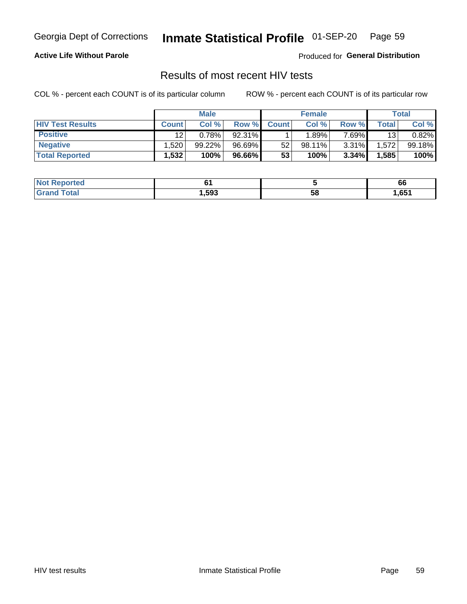#### Inmate Statistical Profile 01-SEP-20 Page 59

#### **Active Life Without Parole**

Produced for General Distribution

### Results of most recent HIV tests

COL % - percent each COUNT is of its particular column

|                         | <b>Male</b>  |        |        | <b>Female</b> |        |       | Total |        |
|-------------------------|--------------|--------|--------|---------------|--------|-------|-------|--------|
| <b>HIV Test Results</b> | <b>Count</b> | Col %  | Row %I | <b>Count</b>  | Col %  | Row % | Total | Col %  |
| <b>Positive</b>         | 12           | 0.78%  | 92.31% |               | .89%   | 7.69% | 13    | 0.82%  |
| <b>Negative</b>         | .520         | 99.22% | 96.69% | 52            | 98.11% | 3.31% | .572  | 99.18% |
| <b>Total Reported</b>   | .532         | 100%   | 96.66% | 53            | 100%   | 3.34% | 1,585 | 100%   |

| <b>Not Reported</b>               |        |    | 66    |
|-----------------------------------|--------|----|-------|
| <b>Total</b><br>Gran <sub>(</sub> | 593, ا | 58 | 651,ا |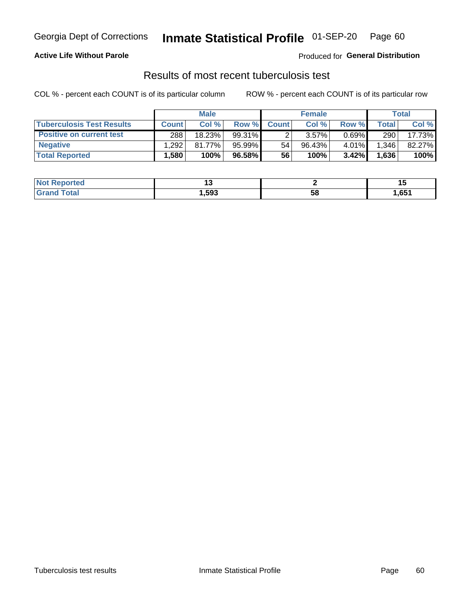### Georgia Dept of Corrections **Inmate Statistical Profile** 01-SEP-20 Page 60

#### **Active Life Without Parole**

Produced for **General Distribution**

### Results of most recent tuberculosis test

|                                  | <b>Male</b>       |        |        | <b>Female</b> |           |          | Total        |        |
|----------------------------------|-------------------|--------|--------|---------------|-----------|----------|--------------|--------|
| <b>Tuberculosis Test Results</b> | <b>Count</b>      | Col%   | Row %I | <b>Count</b>  | Col %     | Row %    | <b>Total</b> | Col %  |
| <b>Positive on current test</b>  | 288               | 18.23% | 99.31% |               | 3.57%     | $0.69\%$ | 290          | 17.73% |
| <b>Negative</b>                  | .292              | 81.77% | 95.99% | 54            | $96.43\%$ | 4.01%    | .346         | 82.27% |
| <b>Total Reported</b>            | $.580$ $^{\circ}$ | 100%   | 96.58% | 56            | 100%      | 3.42%    | 1,636        | 100%   |

| <b>Not Reported</b> |        |    | --   |
|---------------------|--------|----|------|
| <b>Total</b>        | 593. ا | วซ | ,651 |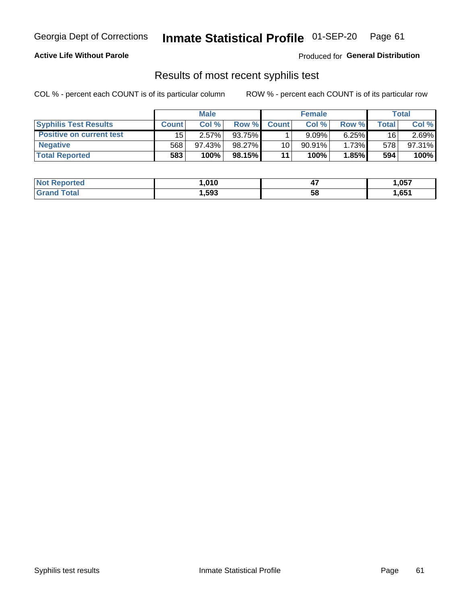### Georgia Dept of Corrections **Inmate Statistical Profile** 01-SEP-20 Page 61

#### **Active Life Without Parole**

Produced for **General Distribution**

### Results of most recent syphilis test

|                                 | <b>Male</b>  |           |        | <b>Female</b> |           |          | Total |        |
|---------------------------------|--------------|-----------|--------|---------------|-----------|----------|-------|--------|
| <b>Syphilis Test Results</b>    | <b>Count</b> | Col%      | Row %  | <b>Count</b>  | Col%      | Row %    | Total | Col %  |
| <b>Positive on current test</b> | 15           | 2.57%     | 93.75% |               | $9.09\%$  | $6.25\%$ | 16    | 2.69%  |
| <b>Negative</b>                 | 568          | $97.43\%$ | 98.27% | 10            | $90.91\%$ | 1.73%    | 578   | 97.31% |
| <b>Total Reported</b>           | 583          | 100%      | 98.15% | 11            | 100%      | 1.85%    | 594   | 100%   |

| <b>Not Reported</b> | 010، ا | . .<br>−. | 057, ا |
|---------------------|--------|-----------|--------|
| <b>Grand Total</b>  | ,593   | 58        | ,651   |